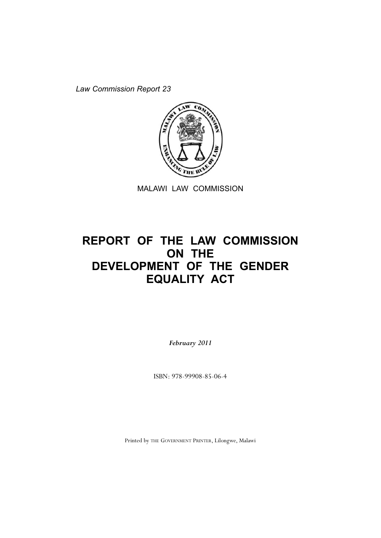*Law Commission Report 23*



MALAWI LAW COMMISSION

# **REPORT OF THE LAW COMMISSION ON THE DEVELOPMENT OF THE GENDER EQUALITY ACT**

*February 2011*

ISBN: 978-99908-85-06-4

Printed by THE GOVERNMENT PRINTER, Lilongwe, Malawi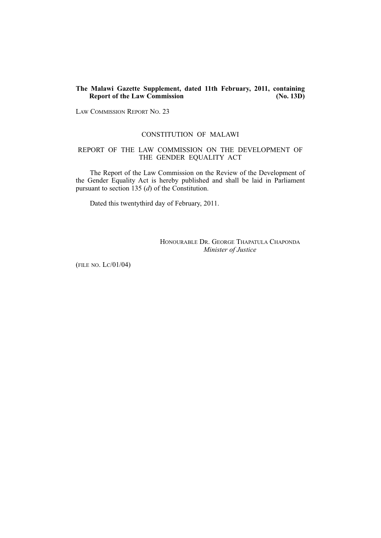# **The Malawi Gazette Supplement, dated 11th February, 2011, containing Report of the Law Commission**

LAW COMMISSION REPORT NO. 23

# CONSTITUTION OF MALAWI

# REPORT OF THE LAW COMMISSION ON THE DEVELOPMENT OF THE GENDER EQUALITY ACT

The Report of the Law Commission on the Review of the Development of the Gender Equality Act is hereby published and shall be laid in Parliament pursuant to section 135 (*d*) of the Constitution.

Dated this twentythird day of February, 2011.

HONOURABLE DR. GEORGE THAPATULA CHAPONDA *Minister of Justice* 

(FILE NO. LC/01/04)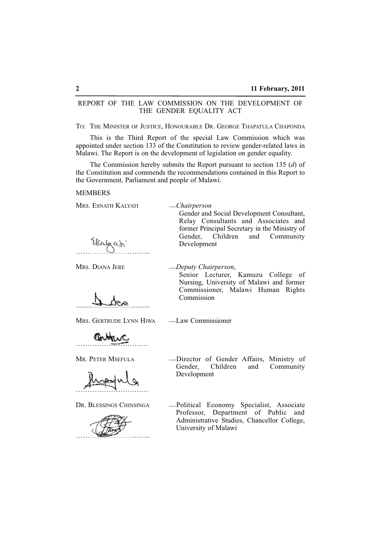# REPORT OF THE LAW COMMISSION ON THE DEVELOPMENT OF THE GENDER EQUALITY ACT

TO: THE MINISTER OF JUSTICE, HONOURABLE DR. GEORGE THAPATULA CHAPONDA

This is the Third Report of the special Law Commission which was appointed under section 133 of the Constitution to review gender-related laws in Malawi. The Report is on the development of legislation on gender equality.

The Commission hereby submits the Report pursuant to section 135 (*d*) of the Constitution and commends the recommendations contained in this Report to the Government, Parliament and people of Malawi.

## **MEMBERS**

MRS. ESNATH KALYATI \_\_*Chairperson*

…………………………..

MRS. DIANA JERE \_\_*Deputy Chairperson*,

Development

Senior Lecturer, Kamuzu College of Nursing, University of Malawi and former Commissioner, Malawi Human Rights Commission

Gender and Social Development Consultant, Relay Consultants and Associates and former Principal Secretary in the Ministry of Gender, Children and Community

..........................................

MRS. GERTRUDE LYNN HIWA \_\_ Law Commissioner

………………………….

………………………….



MR. PETER MSEFULA <sup>2</sup> -Director of Gender Affairs, Ministry of Gender, Children and Community and Community Development

DR. BLESSINGS CHINSINGA - Political Economy Specialist, Associate Professor, Department of Public and Administrative Studies, Chancellor College, University of Malawi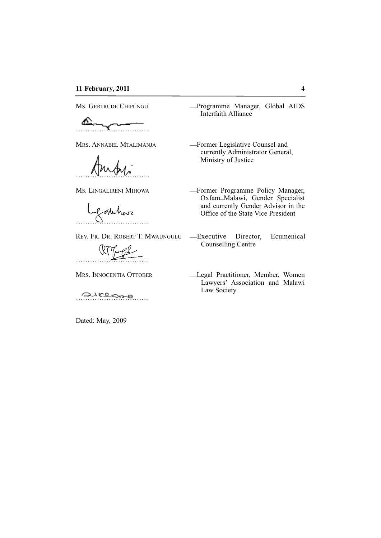# **11 February, 2011 4**

⚠ …………………………..

…………………………..

akhor ………………………….

………………………….

………………………….

Dated: May, 2009

Ms. GERTRUDE CHIPUNGU - Programme Manager, Global AIDS Interfaith Alliance

MRS. ANNABEL MTALIMANJA <sup>\_\_\_\_\_</sup>Former Legislative Counsel and currently Administrator General, Ministry of Justice

Ms. LINGALIRENI MIHOWA - - Former Programme Policy Manager, Oxfam\_Malawi, Gender Specialist and currently Gender Advisor in the Office of the State Vice President

- REV. FR. DR. ROBERT T. MWAUNGULU \_\_Executive Director, Ecumenical Counselling Centre
- MRS. INNOCENTIA OTTOBER -Legal Practitioner, Member, Women Lawyers' Association and Malawi Law Society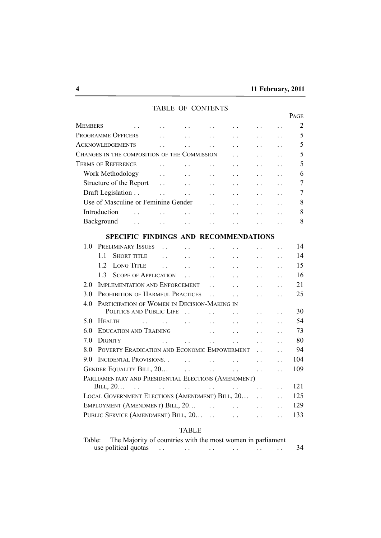|                           |                |                                                                          |                                                                                           |                                 |                      |                      |                                              |                      | PAGE           |
|---------------------------|----------------|--------------------------------------------------------------------------|-------------------------------------------------------------------------------------------|---------------------------------|----------------------|----------------------|----------------------------------------------|----------------------|----------------|
| Members                   |                | $\ddot{\phantom{a}}$                                                     | $\ddot{\phantom{a}}$                                                                      |                                 |                      |                      |                                              |                      | $\overline{2}$ |
|                           |                | PROGRAMME OFFICERS                                                       | $\ddot{\phantom{0}}$                                                                      |                                 | $\ddot{\phantom{0}}$ | . .                  |                                              |                      | 5              |
| <b>ACKNOWLEDGEMENTS</b>   |                |                                                                          | $\ddot{\phantom{0}}$                                                                      |                                 | $\ddot{\phantom{0}}$ |                      | $\ddot{\phantom{0}}$                         |                      | 5              |
|                           |                | CHANGES IN THE COMPOSITION OF THE COMMISSION                             |                                                                                           |                                 |                      |                      |                                              |                      | 5              |
| <b>TERMS OF REFERENCE</b> |                |                                                                          | $\ddot{\phantom{0}}$                                                                      |                                 |                      |                      |                                              |                      | 5              |
|                           |                | Work Methodology                                                         | $\ddot{\phantom{0}}$                                                                      |                                 |                      |                      |                                              |                      | 6              |
|                           |                | Structure of the Report                                                  | $\ddotsc$                                                                                 | $\cdots$                        | $\ddot{\phantom{0}}$ |                      | $\ddot{\phantom{a}}$                         |                      | $\overline{7}$ |
|                           |                | Draft Legislation                                                        | $\mathbb{Z}^{\mathbb{Z}}$                                                                 | $\langle \cdot \rangle_{\rm c}$ | $\ddotsc$            | $\ddot{\phantom{0}}$ | $\ddot{\phantom{0}}$                         | $\ddot{\phantom{0}}$ | 7              |
|                           |                | Use of Masculine or Feminine Gender                                      |                                                                                           |                                 | $\ddotsc$            |                      |                                              |                      | 8              |
|                           | Introduction   | $\ddot{\phantom{0}}$                                                     | $\ddot{\phantom{a}}$                                                                      | $\ddot{\phantom{a}}$            | $\ddot{\phantom{0}}$ |                      |                                              |                      | 8              |
|                           | Background     | $\ddot{\phantom{0}}$                                                     | $\ddot{\phantom{0}}$                                                                      | $\ddot{\phantom{a}}$            |                      |                      |                                              |                      | 8              |
|                           |                | SPECIFIC FINDINGS AND RECOMMENDATIONS                                    |                                                                                           |                                 |                      |                      |                                              |                      |                |
| 1.0                       |                | PRELIMINARY ISSUES                                                       |                                                                                           |                                 |                      |                      |                                              |                      | 14             |
|                           | 1.1            | <b>SHORT TITLE</b>                                                       | $\ddot{\phantom{0}}$                                                                      | $\sim$ $\sim$ $\sim$            | $\ddot{\phantom{a}}$ | $\ddot{\phantom{0}}$ | $\ddot{\phantom{a}}$                         |                      | 14             |
|                           |                |                                                                          |                                                                                           |                                 |                      |                      |                                              |                      |                |
|                           | 1.2            | <b>LONG TITLE</b>                                                        |                                                                                           |                                 | $\ddot{\phantom{0}}$ |                      |                                              |                      | 15             |
|                           | 1.3            | <b>SCOPE OF APPLICATION</b>                                              |                                                                                           | $\ddot{\phantom{0}}$            | $\ddot{\phantom{a}}$ | $\ddot{\phantom{a}}$ | $\ddot{\phantom{0}}$                         |                      | 16             |
| 2.0                       |                | <b>IMPLEMENTATION AND ENFORCEMENT</b>                                    |                                                                                           |                                 | $\ddot{\phantom{0}}$ | $\ddot{\phantom{a}}$ | $\ddot{\phantom{a}}$                         | $\ddot{\phantom{0}}$ | 21             |
| 3.0                       |                | PROHIBITION OF HARMFUL PRACTICES                                         |                                                                                           |                                 | $\ddot{\phantom{0}}$ | $\ddot{\phantom{0}}$ | $\ddot{\phantom{0}}$                         |                      | 25             |
| 4.0                       |                | PARTICIPATION OF WOMEN IN DECISION-MAKING IN<br>POLITICS AND PUBLIC LIFE |                                                                                           |                                 | $\ddotsc$            |                      |                                              |                      | 30             |
| 5.0                       | <b>HEALTH</b>  |                                                                          | $\mathbf{r} = \mathbf{r} \cdot \mathbf{r}$ and $\mathbf{r} = \mathbf{r} \cdot \mathbf{r}$ |                                 |                      | $\ddot{\phantom{0}}$ | $\ddots$                                     |                      | 54             |
| 6.0                       |                | <b>EDUCATION AND TRAINING</b>                                            |                                                                                           |                                 | $\ddot{\phantom{0}}$ |                      | $\ddot{\phantom{0}}$                         |                      | 73             |
| 7.0                       | <b>DIGNITY</b> |                                                                          |                                                                                           |                                 | $\ddot{\phantom{a}}$ |                      |                                              |                      | 80             |
| 8.0                       |                | POVERTY ERADICATION AND ECONOMIC EMPOWERMENT                             | $\ddot{\phantom{0}}$                                                                      | $\ddot{\phantom{0}}$            | $\ddot{\phantom{0}}$ |                      |                                              |                      | 94             |
|                           |                |                                                                          |                                                                                           |                                 |                      |                      |                                              |                      | 104            |
| 9.0                       |                | <b>INCIDENTAL PROVISIONS</b>                                             |                                                                                           | $\sim$ $\sim$                   | $\ddot{\phantom{0}}$ | $\ddot{\phantom{a}}$ | $\ddot{\phantom{a}}$                         |                      |                |
|                           |                | <b>GENDER EQUALITY BILL, 20</b>                                          |                                                                                           | $\ddot{\phantom{0}}$            | $\ddot{\phantom{0}}$ | $\ddot{\phantom{0}}$ | $\ddot{\phantom{0}}$                         | $\ddot{\phantom{0}}$ | 109            |
|                           | BILL, $20$     | PARLIAMENTARY AND PRESIDENTIAL ELECTIONS (AMENDMENT)<br>$\sim 10^7$      | $\ddot{\phantom{0}}$                                                                      | $\ddotsc$                       | $\sim 10^{-10}$      | $\ddot{\phantom{0}}$ |                                              |                      | 121            |
|                           |                | LOCAL GOVERNMENT ELECTIONS (AMENDMENT) BILL, 20                          |                                                                                           |                                 |                      |                      | $\ddot{\phantom{a}}$<br>$\ddot{\phantom{0}}$ | $\ddot{\phantom{0}}$ | 125            |
|                           |                | EMPLOYMENT (AMENDMENT) BILL, 20                                          |                                                                                           |                                 |                      |                      |                                              | $\ddot{\phantom{0}}$ | 129            |
|                           |                | PUBLIC SERVICE (AMENDMENT) BILL, 20                                      |                                                                                           |                                 |                      |                      | $\ddot{\phantom{0}}$                         |                      | 133            |
|                           |                |                                                                          |                                                                                           |                                 |                      | $\ddot{\phantom{a}}$ | $\ddot{\phantom{0}}$                         | $\ddot{\phantom{0}}$ |                |

# TABLE OF CONTENTS

# TABLE

| Table: | The Majority of countries with the most women in parliament |  |  |  |  |
|--------|-------------------------------------------------------------|--|--|--|--|
|        | use political quotas                                        |  |  |  |  |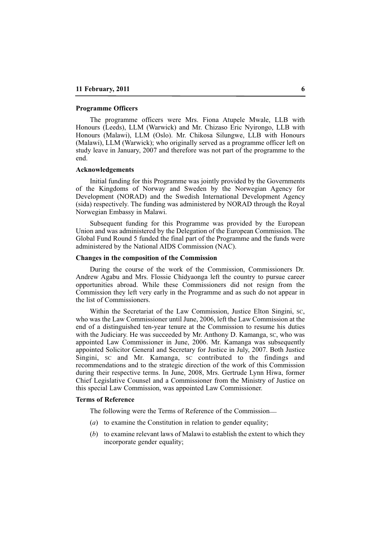#### **Programme Officers**

The programme officers were Mrs. Fiona Atupele Mwale, LLB with Honours (Leeds), LLM (Warwick) and Mr. Chizaso Eric Nyirongo, LLB with Honours (Malawi), LLM (Oslo). Mr. Chikosa Silungwe, LLB with Honours (Malawi), LLM (Warwick); who originally served as a programme officer left on study leave in January, 2007 and therefore was not part of the programme to the end.

#### **Acknowledgements**

Initial funding for this Programme was jointly provided by the Governments of the Kingdoms of Norway and Sweden by the Norwegian Agency for Development (NORAD) and the Swedish International Development Agency (sida) respectively. The funding was administered by NORAD through the Royal Norwegian Embassy in Malawi.

Subsequent funding for this Programme was provided by the European Union and was administered by the Delegation of the European Commission. The Global Fund Round 5 funded the final part of the Programme and the funds were administered by the National AIDS Commission (NAC).

#### **Changes in the composition of the Commission**

During the course of the work of the Commission, Commissioners Dr. Andrew Agabu and Mrs. Flossie Chidyaonga left the country to pursue career opportunities abroad. While these Commissioners did not resign from the Commission they left very early in the Programme and as such do not appear in the list of Commissioners.

Within the Secretariat of the Law Commission, Justice Elton Singini, SC, who was the Law Commissioner until June, 2006, left the Law Commission at the end of a distinguished ten-year tenure at the Commission to resume his duties with the Judiciary. He was succeeded by Mr. Anthony D. Kamanga, SC, who was appointed Law Commissioner in June, 2006. Mr. Kamanga was subsequently appointed Solicitor General and Secretary for Justice in July, 2007. Both Justice Singini, SC and Mr. Kamanga, SC contributed to the findings and recommendations and to the strategic direction of the work of this Commission during their respective terms. In June, 2008, Mrs. Gertrude Lynn Hiwa, former Chief Legislative Counsel and a Commissioner from the Ministry of Justice on this special Law Commission, was appointed Law Commissioner.

#### **Terms of Reference**

The following were the Terms of Reference of the Commission—

- (*a*) to examine the Constitution in relation to gender equality;
- (*b*) to examine relevant laws of Malawi to establish the extent to which they incorporate gender equality;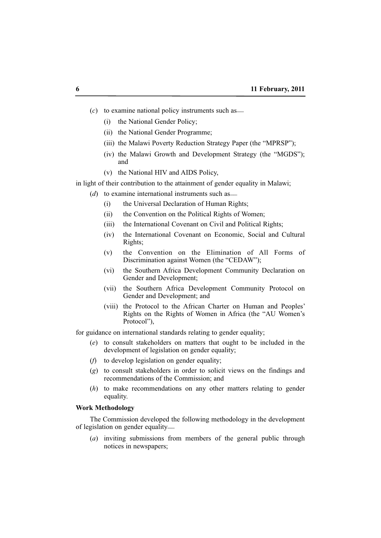- (*c*) to examine national policy instruments such as\_\_
	- (i) the National Gender Policy;
	- (ii) the National Gender Programme;
	- (iii) the Malawi Poverty Reduction Strategy Paper (the "MPRSP");
	- (iv) the Malawi Growth and Development Strategy (the "MGDS"); and
	- (v) the National HIV and AIDS Policy,

in light of their contribution to the attainment of gender equality in Malawi;

- (*d*) to examine international instruments such as
	- (i) the Universal Declaration of Human Rights;
	- (ii) the Convention on the Political Rights of Women;
	- (iii) the International Covenant on Civil and Political Rights;
	- (iv) the International Covenant on Economic, Social and Cultural Rights;
	- (v) the Convention on the Elimination of All Forms of Discrimination against Women (the "CEDAW");
	- (vi) the Southern Africa Development Community Declaration on Gender and Development;
	- (vii) the Southern Africa Development Community Protocol on Gender and Development; and
	- (viii) the Protocol to the African Charter on Human and Peoples' Rights on the Rights of Women in Africa (the "AU Women's Protocol"),

for guidance on international standards relating to gender equality;

- (*e*) to consult stakeholders on matters that ought to be included in the development of legislation on gender equality;
- (*f*) to develop legislation on gender equality;
- (*g*) to consult stakeholders in order to solicit views on the findings and recommendations of the Commission; and
- (*h*) to make recommendations on any other matters relating to gender equality.

# **Work Methodology**

The Commission developed the following methodology in the development of legislation on gender equality\_\_

(*a*) inviting submissions from members of the general public through notices in newspapers;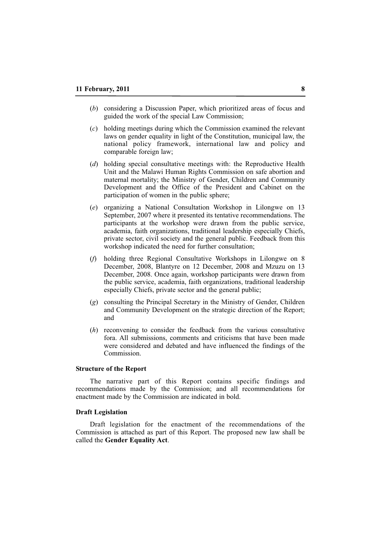- (*b*) considering a Discussion Paper, which prioritized areas of focus and guided the work of the special Law Commission;
- (*c*) holding meetings during which the Commission examined the relevant laws on gender equality in light of the Constitution, municipal law, the national policy framework, international law and policy and comparable foreign law;
- (*d*) holding special consultative meetings with: the Reproductive Health Unit and the Malawi Human Rights Commission on safe abortion and maternal mortality; the Ministry of Gender, Children and Community Development and the Office of the President and Cabinet on the participation of women in the public sphere;
- (*e*) organizing a National Consultation Workshop in Lilongwe on 13 September, 2007 where it presented its tentative recommendations. The participants at the workshop were drawn from the public service, academia, faith organizations, traditional leadership especially Chiefs, private sector, civil society and the general public. Feedback from this workshop indicated the need for further consultation;
- (*f*) holding three Regional Consultative Workshops in Lilongwe on 8 December, 2008, Blantyre on 12 December, 2008 and Mzuzu on 13 December, 2008. Once again, workshop participants were drawn from the public service, academia, faith organizations, traditional leadership especially Chiefs, private sector and the general public;
- (*g*) consulting the Principal Secretary in the Ministry of Gender, Children and Community Development on the strategic direction of the Report; and
- (*h*) reconvening to consider the feedback from the various consultative fora. All submissions, comments and criticisms that have been made were considered and debated and have influenced the findings of the Commission.

# **Structure of the Report**

The narrative part of this Report contains specific findings and recommendations made by the Commission; and all recommendations for enactment made by the Commission are indicated in bold.

#### **Draft Legislation**

Draft legislation for the enactment of the recommendations of the Commission is attached as part of this Report. The proposed new law shall be called the **Gender Equality Act**.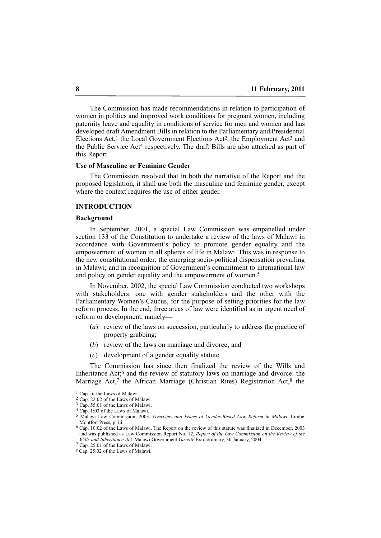The Commission has made recommendations in relation to participation of women in politics and improved work conditions for pregnant women, including paternity leave and equality in conditions of service for men and women and has developed draft Amendment Bills in relation to the Parliamentary and Presidential Elections Act,<sup>1</sup> the Local Government Elections Act<sup>2</sup>, the Employment Act<sup>3</sup> and the Public Service Act4 respectively. The draft Bills are also attached as part of this Report.

#### **Use of Masculine or Feminine Gender**

The Commission resolved that in both the narrative of the Report and the proposed legislation, it shall use both the masculine and feminine gender, except where the context requires the use of either gender.

# **INTRODUCTION**

#### **Background**

In September, 2001, a special Law Commission was empanelled under section 133 of the Constitution to undertake a review of the laws of Malawi in accordance with Government's policy to promote gender equality and the empowerment of women in all spheres of life in Malawi. This was in response to the new constitutional order; the emerging socio-political dispensation prevailing in Malawi; and in recognition of Government's commitment to international law and policy on gender equality and the empowerment of women.<sup>5</sup>

In November, 2002, the special Law Commission conducted two workshops with stakeholders: one with gender stakeholders and the other with the Parliamentary Women's Caucus, for the purpose of setting priorities for the law reform process. In the end, three areas of law were identified as in urgent need of reform or development, namely\_\_

- (*a*) review of the laws on succession, particularly to address the practice of property grabbing;
- (*b*) review of the laws on marriage and divorce; and
- (*c*) development of a gender equality statute.

The Commission has since then finalized the review of the Wills and Inheritance Act;<sup>6</sup> and the review of statutory laws on marriage and divorce: the Marriage Act,<sup>7</sup> the African Marriage (Christian Rites) Registration Act, $8$  the

<sup>1</sup> Cap of the Laws of Malawi.

<sup>2</sup> Cap. 22:02 of the Laws of Malawi.

<sup>3</sup> Cap. 55:01 of the Laws of Malawi.

<sup>4</sup> Cap. 1:03 of the Laws of Malawi.

<sup>5</sup> Malawi Law Commission, 2003; *Overview and Issues of Gender-Based Law Reform in Malawi*. Limbe: Montfort Press, p. iii.

<sup>6</sup> Cap. 10:02 of the Laws of Malawi. The Report on the review of this statute was finalized in December, 2003 and was published as Law Commission Report No. 12, *Report of the Law Commission on the Review of the Wills and Inheritance Act*. Malawi Government *Gazette* Extraordinary, 30 January, 2004.

<sup>7</sup> Cap. 25:01 of the Laws of Malawi.

<sup>8</sup> Cap. 25:02 of the Laws of Malawi.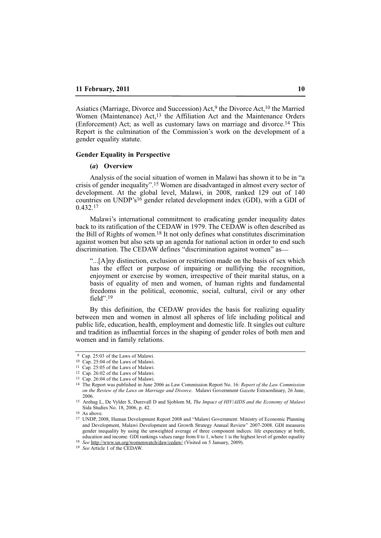Asiatics (Marriage, Divorce and Succession) Act,<sup>9</sup> the Divorce Act,<sup>10</sup> the Married Women (Maintenance) Act,13 the Affiliation Act and the Maintenance Orders (Enforcement) Act; as well as customary laws on marriage and divorce.14 This Report is the culmination of the Commission's work on the development of a gender equality statute.

# **Gender Equality in Perspective**

#### **(***a***) Overview**

Analysis of the social situation of women in Malawi has shown it to be in "a crisis of gender inequality".15 Women are disadvantaged in almost every sector of development. At the global level, Malawi, in 2008, ranked 129 out of 140 countries on UNDP's<sup>16</sup> gender related development index (GDI), with a GDI of 0.432.17

Malawi's international commitment to eradicating gender inequality dates back to its ratification of the CEDAW in 1979. The CEDAW is often described as the Bill of Rights of women.18 It not only defines what constitutes discrimination against women but also sets up an agenda for national action in order to end such discrimination. The CEDAW defines "discrimination against women" as\_\_

"...[A]ny distinction, exclusion or restriction made on the basis of sex which has the effect or purpose of impairing or nullifying the recognition, enjoyment or exercise by women, irrespective of their marital status, on a basis of equality of men and women, of human rights and fundamental freedoms in the political, economic, social, cultural, civil or any other field".19

By this definition, the CEDAW provides the basis for realizing equality between men and women in almost all spheres of life including political and public life, education, health, employment and domestic life. It singles out culture and tradition as influential forces in the shaping of gender roles of both men and women and in family relations.

<sup>9</sup> Cap. 25:03 of the Laws of Malawi.

<sup>10</sup> Cap. 25:04 of the Laws of Malawi.

<sup>11</sup> Cap. 25:05 of the Laws of Malawi.

<sup>12</sup> Cap. 26:02 of the Laws of Malawi.

<sup>13</sup> Cap. 26:04 of the Laws of Malawi.

<sup>14</sup> The Report was published in June 2006 as Law Commission Report No. 16: *Report of the Law Commission on the Review of the Laws on Marriage and Divorce*. Malawi Government *Gazette* Extraordinary, 26 June, 2006.

<sup>15</sup> Arehag L, De Vylder S, Durevall D and Sjoblom M, *The Impact of HIV/AIDS and the Economy of Malawi* Sida Studies No. 18, 2006, p. 42.

<sup>16</sup> As above.

<sup>17</sup> UNDP, 2008, Human Development Report 2008 and "Malawi Government: Ministry of Economic Planning and Development, Malawi Development and Growth Strategy Annual Review" 2007-2008. GDI measures gender inequality by using the unweighted average of three component indices: life expectancy at birth, education and income. GDI rankings values range from 0 to 1, where 1 is the highest level of gender equality

<sup>18</sup> *See* http://www.un.org/womenwatch/daw/cedaw/ (Visited on 5 January, 2009).

<sup>19</sup> *See* Article 1 of the CEDAW.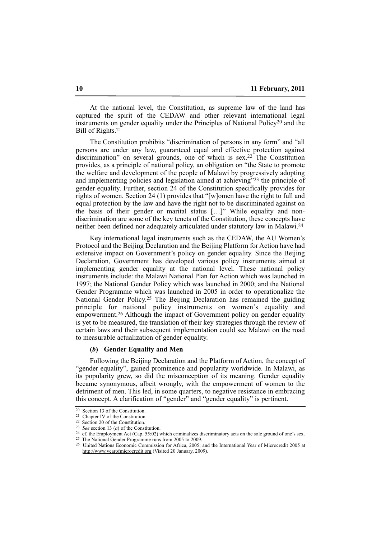At the national level, the Constitution, as supreme law of the land has captured the spirit of the CEDAW and other relevant international legal instruments on gender equality under the Principles of National Policy20 and the Bill of Rights.21

The Constitution prohibits "discrimination of persons in any form" and "all persons are under any law, guaranteed equal and effective protection against discrimination" on several grounds, one of which is sex.22 The Constitution provides, as a principle of national policy, an obligation on "the State to promote the welfare and development of the people of Malawi by progressively adopting and implementing policies and legislation aimed at achieving"23 the principle of gender equality. Further, section 24 of the Constitution specifically provides for rights of women. Section 24 (1) provides that "[w]omen have the right to full and equal protection by the law and have the right not to be discriminated against on the basis of their gender or marital status […]" While equality and nondiscrimination are some of the key tenets of the Constitution, these concepts have neither been defined nor adequately articulated under statutory law in Malawi.24

Key international legal instruments such as the CEDAW, the AU Women's Protocol and the Beijing Declaration and the Beijing Platform for Action have had extensive impact on Government's policy on gender equality. Since the Beijing Declaration, Government has developed various policy instruments aimed at implementing gender equality at the national level. These national policy instruments include: the Malawi National Plan for Action which was launched in 1997; the National Gender Policy which was launched in 2000; and the National Gender Programme which was launched in 2005 in order to operationalize the National Gender Policy.25 The Beijing Declaration has remained the guiding principle for national policy instruments on women's equality and empowerment.26 Although the impact of Government policy on gender equality is yet to be measured, the translation of their key strategies through the review of certain laws and their subsequent implementation could see Malawi on the road to measurable actualization of gender equality.

#### **(***b***) Gender Equality and Men**

Following the Beijing Declaration and the Platform of Action, the concept of "gender equality", gained prominence and popularity worldwide. In Malawi, as its popularity grew, so did the misconception of its meaning. Gender equality became synonymous, albeit wrongly, with the empowerment of women to the detriment of men. This led, in some quarters, to negative resistance in embracing this concept. A clarification of "gender" and "gender equality" is pertinent.

<sup>20</sup> Section 13 of the Constitution.

<sup>21</sup> Chapter IV of the Constitution.

<sup>22</sup> Section 20 of the Constitution.

<sup>23</sup> *See* section 13 (*a*) of the Constitution.

<sup>&</sup>lt;sup>24</sup> cf. the Employment Act (Cap. 55:02) which criminalizes discriminatory acts on the sole ground of one's sex.

<sup>25</sup> The National Gender Programme runs from 2005 to 2009.

<sup>26</sup> United Nations Economic Commission for Africa, 2005; and the International Year of Microcredit 2005 at http://www.yearofmicrocredit.org (Visited 20 January, 2009).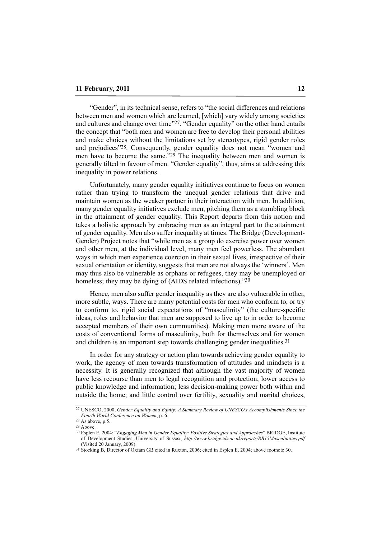"Gender", in its technical sense, refers to "the social differences and relations between men and women which are learned, [which] vary widely among societies and cultures and change over time"27. "Gender equality" on the other hand entails the concept that "both men and women are free to develop their personal abilities and make choices without the limitations set by stereotypes, rigid gender roles and prejudices"28. Consequently, gender equality does not mean "women and men have to become the same."29 The inequality between men and women is generally tilted in favour of men. "Gender equality", thus, aims at addressing this inequality in power relations.

Unfortunately, many gender equality initiatives continue to focus on women rather than trying to transform the unequal gender relations that drive and maintain women as the weaker partner in their interaction with men. In addition, many gender equality initiatives exclude men, pitching them as a stumbling block in the attainment of gender equality. This Report departs from this notion and takes a holistic approach by embracing men as an integral part to the attainment of gender equality. Men also suffer inequality at times. The Bridge (Development-Gender) Project notes that "while men as a group do exercise power over women and other men, at the individual level, many men feel powerless. The abundant ways in which men experience coercion in their sexual lives, irrespective of their sexual orientation or identity, suggests that men are not always the 'winners'. Men may thus also be vulnerable as orphans or refugees, they may be unemployed or homeless; they may be dying of (AIDS related infections)."30

Hence, men also suffer gender inequality as they are also vulnerable in other, more subtle, ways. There are many potential costs for men who conform to, or try to conform to, rigid social expectations of "masculinity" (the culture-specific ideas, roles and behavior that men are supposed to live up to in order to become accepted members of their own communities). Making men more aware of the costs of conventional forms of masculinity, both for themselves and for women and children is an important step towards challenging gender inequalities.31

In order for any strategy or action plan towards achieving gender equality to work, the agency of men towards transformation of attitudes and mindsets is a necessity. It is generally recognized that although the vast majority of women have less recourse than men to legal recognition and protection; lower access to public knowledge and information; less decision-making power both within and outside the home; and little control over fertility, sexuality and marital choices,

<sup>27</sup> UNESCO, 2000, *Gender Equality and Equity: A Summary Review of UNESCO's Accomplishments Since the Fourth World Conference on Women*, p. 6.

 $28$  As above, p.5.

<sup>29</sup> Above.

<sup>30</sup> Esplen E, 2004; "*Engaging Men in Gender Equality: Positive Strategies and Approaches*" BRIDGE, Institute of Development Studies, University of Sussex, *http://www.bridge.ids.ac.uk/reports/BB15Masculinities.pdf* (Visited  $20$  January,  $2009$ ).

<sup>31</sup> Stocking B, Director of Oxfam GB cited in Ruxton, 2006; cited in Esplen E, 2004; above footnote 30.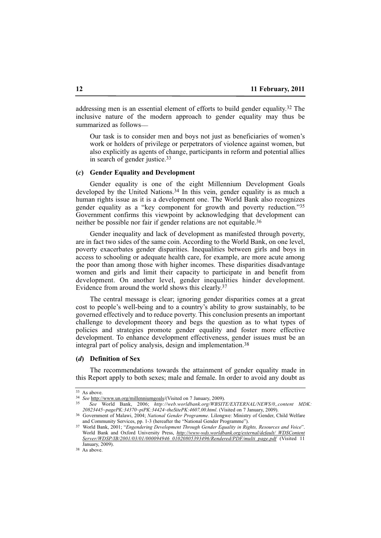addressing men is an essential element of efforts to build gender equality.32 The inclusive nature of the modern approach to gender equality may thus be summarized as follows—

Our task is to consider men and boys not just as beneficiaries of women's work or holders of privilege or perpetrators of violence against women, but also explicitly as agents of change, participants in reform and potential allies in search of gender justice.<sup>33</sup>

# **(***c***) Gender Equality and Development**

Gender equality is one of the eight Millennium Development Goals developed by the United Nations.<sup>34</sup> In this vein, gender equality is as much a human rights issue as it is a development one. The World Bank also recognizes gender equality as a "key component for growth and poverty reduction."35 Government confirms this viewpoint by acknowledging that development can neither be possible nor fair if gender relations are not equitable.<sup>36</sup>

Gender inequality and lack of development as manifested through poverty, are in fact two sides of the same coin. According to the World Bank, on one level, poverty exacerbates gender disparities. Inequalities between girls and boys in access to schooling or adequate health care, for example, are more acute among the poor than among those with higher incomes. These disparities disadvantage women and girls and limit their capacity to participate in and benefit from development. On another level, gender inequalities hinder development. Evidence from around the world shows this clearly.37

The central message is clear; ignoring gender disparities comes at a great cost to people's well-being and to a country's ability to grow sustainably, to be governed effectively and to reduce poverty. This conclusion presents an important challenge to development theory and begs the question as to what types of policies and strategies promote gender equality and foster more effective development. To enhance development effectiveness, gender issues must be an integral part of policy analysis, design and implementation.38

#### **(***d***) Definition of Sex**

The recommendations towards the attainment of gender equality made in this Report apply to both sexes; male and female. In order to avoid any doubt as

 $\overline{33}$  As above.

<sup>34</sup> *See* http://www.un.org/millenniumgoals/(Visited on 7 January, 2009).

<sup>35</sup> *See* World Bank, 2006; *http://web.worldbank.org/WBSITE/EXTERNAL/NEWS/0,,content MDK: 20823445~pagePK:34370~piPK:34424~theSitePK:4607,00.html*. (Visited on 7 January, 2009).

<sup>36</sup> Government of Malawi, 2004; *National Gender Programme*. Lilongwe: Ministry of Gender, Child Welfare and Community Services, pp. 1-3 (hereafter the "National Gender Programme").

<sup>37</sup> World Bank, 2001; "*Engendering Development Through Gender Equality in Rights, Resources and Voice*". World Bank and Oxford University Press, *http://www-wds.worldbank.org/external/default/ WDSContent Server/WDSP/IB/2001/03/01/000094946\_01020805393496/Rendered/PDF/multi\_page.pdf* (Visited 11 January, 2009).

<sup>&</sup>lt;sup>38</sup> As above.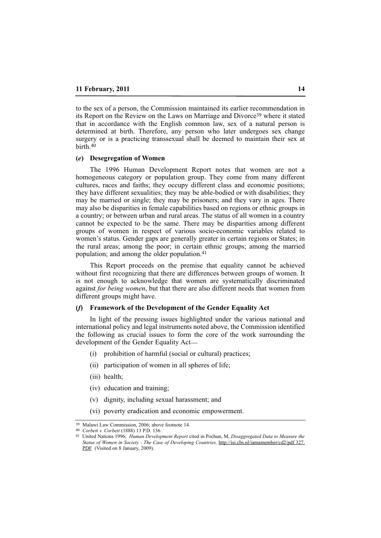to the sex of a person, the Commission maintained its earlier recommendation in its Report on the Review on the Laws on Marriage and Divorce<sup>39</sup> where it stated that in accordance with the English common law, sex of a natural person is determined at birth. Therefore, any person who later undergoes sex change surgery or is a practicing transsexual shall be deemed to maintain their sex at birth.40

#### **(***e***) Desegregation of Women**

The 1996 Human Development Report notes that women are not a homogeneous category or population group. They come from many different cultures, races and faiths; they occupy different class and economic positions; they have different sexualities; they may be able-bodied or with disabilities; they may be married or single; they may be prisoners; and they vary in ages. There may also be disparities in female capabilities based on regions or ethnic groups in a country; or between urban and rural areas. The status of all women in a country cannot be expected to be the same. There may be disparities among different groups of women in respect of various socio-economic variables related to women's status. Gender gaps are generally greater in certain regions or States; in the rural areas; among the poor; in certain ethnic groups; among the married population; and among the older population.41

This Report proceeds on the premise that equality cannot be achieved without first recognizing that there are differences between groups of women. It is not enough to acknowledge that women are systematically discriminated against *for being women*, but that there are also different needs that women from different groups might have.

# **(***f***) Framework of the Development of the Gender Equality Act**

In light of the pressing issues highlighted under the various national and international policy and legal instruments noted above, the Commission identified the following as crucial issues to form the core of the work surrounding the development of the Gender Equality Act—

- (i) prohibition of harmful (social or cultural) practices;
- (ii) participation of women in all spheres of life;
- (iii) health;
- (iv) education and training;
- (v) dignity, including sexual harassment; and
- (vi) poverty eradication and economic empowerment.

<sup>39</sup> Malawi Law Commission, 2006; above footnote 14. 40 *Corbett v. Corbett* (1888) 13 P.D. 136.

<sup>41</sup> United Nations 1996; *Human Development Report* cited in Pochun, M, *Disaggregated Data to Measure the Status of Women in Society - The Case of Developing Countries,* http://isi.cbs.nl/iamamember/cd2/pdf 327. PDF (Visited on 8 January, 2009).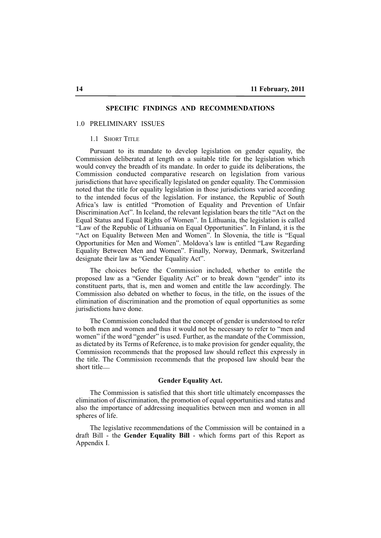# **SPECIFIC FINDINGS AND RECOMMENDATIONS**

#### 1.0 PRELIMINARY ISSUES

# 1.1 SHORT TITLE

Pursuant to its mandate to develop legislation on gender equality, the Commission deliberated at length on a suitable title for the legislation which would convey the breadth of its mandate. In order to guide its deliberations, the Commission conducted comparative research on legislation from various jurisdictions that have specifically legislated on gender equality. The Commission noted that the title for equality legislation in those jurisdictions varied according to the intended focus of the legislation. For instance, the Republic of South Africa's law is entitled "Promotion of Equality and Prevention of Unfair Discrimination Act". In Iceland, the relevant legislation bears the title "Act on the Equal Status and Equal Rights of Women". In Lithuania, the legislation is called "Law of the Republic of Lithuania on Equal Opportunities". In Finland, it is the "Act on Equality Between Men and Women". In Slovenia, the title is "Equal Opportunities for Men and Women". Moldova's law is entitled "Law Regarding Equality Between Men and Women". Finally, Norway, Denmark, Switzerland designate their law as "Gender Equality Act".

The choices before the Commission included, whether to entitle the proposed law as a "Gender Equality Act" or to break down "gender" into its constituent parts, that is, men and women and entitle the law accordingly. The Commission also debated on whether to focus, in the title, on the issues of the elimination of discrimination and the promotion of equal opportunities as some jurisdictions have done.

The Commission concluded that the concept of gender is understood to refer to both men and women and thus it would not be necessary to refer to "men and women" if the word "gender" is used. Further, as the mandate of the Commission, as dictated by its Terms of Reference, is to make provision for gender equality, the Commission recommends that the proposed law should reflect this expressly in the title. The Commission recommends that the proposed law should bear the short title\_\_

# **Gender Equality Act.**

The Commission is satisfied that this short title ultimately encompasses the elimination of discrimination, the promotion of equal opportunities and status and also the importance of addressing inequalities between men and women in all spheres of life.

The legislative recommendations of the Commission will be contained in a draft Bill - the **Gender Equality Bill** - which forms part of this Report as Appendix I.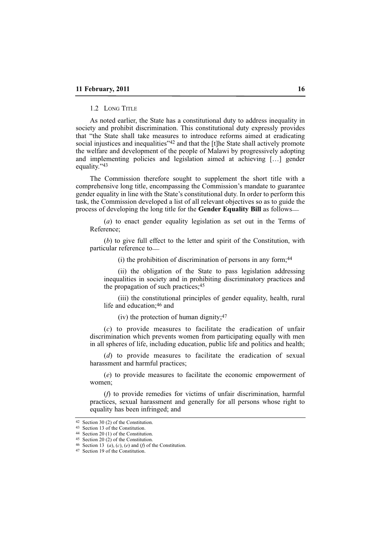# 1.2 LONG TITLE

As noted earlier, the State has a constitutional duty to address inequality in society and prohibit discrimination. This constitutional duty expressly provides that "the State shall take measures to introduce reforms aimed at eradicating social injustices and inequalities"<sup>42</sup> and that the [t]he State shall actively promote the welfare and development of the people of Malawi by progressively adopting and implementing policies and legislation aimed at achieving […] gender equality."43

The Commission therefore sought to supplement the short title with a comprehensive long title, encompassing the Commission's mandate to guarantee gender equality in line with the State's constitutional duty. In order to perform this task, the Commission developed a list of all relevant objectives so as to guide the process of developing the long title for the **Gender Equality Bill** as follows\_\_

(*a*) to enact gender equality legislation as set out in the Terms of Reference;

(*b*) to give full effect to the letter and spirit of the Constitution, with particular reference to

(i) the prohibition of discrimination of persons in any form;44

(ii) the obligation of the State to pass legislation addressing inequalities in society and in prohibiting discriminatory practices and the propagation of such practices;45

(iii) the constitutional principles of gender equality, health, rural life and education;46 and

(iv) the protection of human dignity;47

(*c*) to provide measures to facilitate the eradication of unfair discrimination which prevents women from participating equally with men in all spheres of life, including education, public life and politics and health;

(*d*) to provide measures to facilitate the eradication of sexual harassment and harmful practices;

(*e*) to provide measures to facilitate the economic empowerment of women;

(*f*) to provide remedies for victims of unfair discrimination, harmful practices, sexual harassment and generally for all persons whose right to equality has been infringed; and

<sup>42</sup> Section 30 (2) of the Constitution.

<sup>43</sup> Section 13 of the Constitution.

<sup>44</sup> Section 20 (1) of the Constitution.  $45$  Section 20 (2) of the Constitution.

<sup>46</sup> Section 13 (*a*), (*c*), (*e*) and (*f*) of the Constitution.

<sup>47</sup> Section 19 of the Constitution.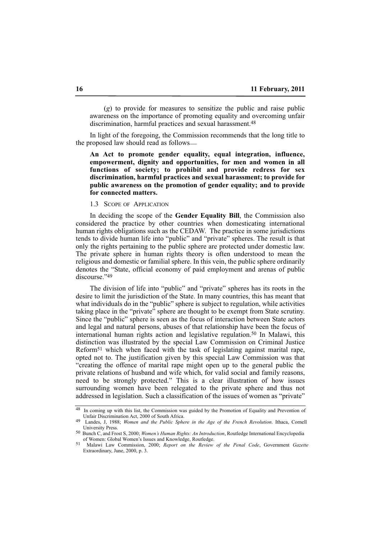(*g*) to provide for measures to sensitize the public and raise public awareness on the importance of promoting equality and overcoming unfair discrimination, harmful practices and sexual harassment.<sup>48</sup>

In light of the foregoing, the Commission recommends that the long title to the proposed law should read as follows\_\_

**An Act to promote gender equality, equal integration, influence, empowerment, dignity and opportunities, for men and women in all functions of society; to prohibit and provide redress for sex discrimination, harmful practices and sexual harassment; to provide for public awareness on the promotion of gender equality; and to provide for connected matters.**

1.3 SCOPE OF APPLICATION

In deciding the scope of the **Gender Equality Bill**, the Commission also considered the practice by other countries when domesticating international human rights obligations such as the CEDAW. The practice in some jurisdictions tends to divide human life into "public" and "private" spheres. The result is that only the rights pertaining to the public sphere are protected under domestic law. The private sphere in human rights theory is often understood to mean the religious and domestic or familial sphere. In this vein, the public sphere ordinarily denotes the "State, official economy of paid employment and arenas of public discourse."49

The division of life into "public" and "private" spheres has its roots in the desire to limit the jurisdiction of the State. In many countries, this has meant that what individuals do in the "public" sphere is subject to regulation, while activities taking place in the "private" sphere are thought to be exempt from State scrutiny. Since the "public" sphere is seen as the focus of interaction between State actors and legal and natural persons, abuses of that relationship have been the focus of international human rights action and legislative regulation.50 In Malawi, this distinction was illustrated by the special Law Commission on Criminal Justice Reform51 which when faced with the task of legislating against marital rape, opted not to. The justification given by this special Law Commission was that "creating the offence of marital rape might open up to the general public the private relations of husband and wife which, for valid social and family reasons, need to be strongly protected." This is a clear illustration of how issues surrounding women have been relegated to the private sphere and thus not addressed in legislation. Such a classification of the issues of women as "private"

<sup>&</sup>lt;sup>48</sup> In coming up with this list, the Commission was guided by the Promotion of Equality and Prevention of Unfair Discrimination Act, 2000 of South Africa.

<sup>49</sup> Landes, J, 1988; *Women and the Public Sphere in the Age of the French Revolution*. Ithaca, Cornell University Press.

<sup>50</sup> Bunch C, and Frost S, 2000; *Women's Human Rights: An Introduction*, Routledge International Encyclopedia of Women: Global Women's Issues and Knowledge, Routledge.

<sup>51</sup> Malawi Law Commission, 2000; *Report on the Review of the Penal Code*, Government *Gazette* Extraordinary, June, 2000, p. 3.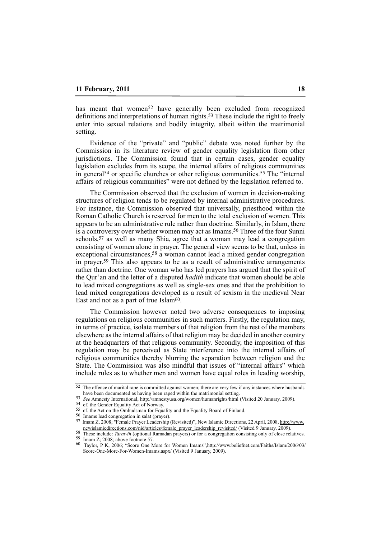has meant that women<sup>52</sup> have generally been excluded from recognized definitions and interpretations of human rights.53 These include the right to freely enter into sexual relations and bodily integrity, albeit within the matrimonial setting.

Evidence of the "private" and "public" debate was noted further by the Commission in its literature review of gender equality legislation from other jurisdictions. The Commission found that in certain cases, gender equality legislation excludes from its scope, the internal affairs of religious communities in general54 or specific churches or other religious communities.55 The "internal affairs of religious communities" were not defined by the legislation referred to.

The Commission observed that the exclusion of women in decision-making structures of religion tends to be regulated by internal administrative procedures. For instance, the Commission observed that universally, priesthood within the Roman Catholic Church is reserved for men to the total exclusion of women. This appears to be an administrative rule rather than doctrine. Similarly, in Islam, there is a controversy over whether women may act as Imams.<sup>56</sup> Three of the four Sunni schools,<sup>57</sup> as well as many Shia, agree that a woman may lead a congregation consisting of women alone in prayer. The general view seems to be that, unless in exceptional circumstances,<sup>58</sup> a woman cannot lead a mixed gender congregation in prayer.59 This also appears to be as a result of administrative arrangements rather than doctrine. One woman who has led prayers has argued that the spirit of the Qur'an and the letter of a disputed *hadith* indicate that women should be able to lead mixed congregations as well as single-sex ones and that the prohibition to lead mixed congregations developed as a result of sexism in the medieval Near East and not as a part of true Islam $60$ .

The Commission however noted two adverse consequences to imposing regulations on religious communities in such matters. Firstly, the regulation may, in terms of practice, isolate members of that religion from the rest of the members elsewhere as the internal affairs of that religion may be decided in another country at the headquarters of that religious community. Secondly, the imposition of this regulation may be perceived as State interference into the internal affairs of religious communities thereby blurring the separation between religion and the State. The Commission was also mindful that issues of "internal affairs" which include rules as to whether men and women have equal roles in leading worship,

<sup>52</sup> The offence of marital rape is committed against women; there are very few if any instances where husbands have been documented as having been raped within the matrimonial setting.

<sup>53</sup> *See* Amnesty International, http://amnestyusa.org/women/humanrights/html (Visited 20 January, 2009).

<sup>54</sup> cf. the Gender Equality Act of Norway.

<sup>55</sup> cf. the Act on the Ombudsman for Equality and the Equality Board of Finland.

<sup>56</sup> Imams lead congregation in salat (prayer).

<sup>57</sup> Imam Z, 2008; "Female Prayer Leadership (Revisited)", New Islamic Directions, 22 April, 2008, http://www. newislamicdirections.com/nid/articles/female\_prayer\_leadership\_revisited/ (Visited 9 January, 2009).

<sup>58</sup> These include: *Tarawih* (optional Ramadan prayers) or for a congregation consisting only of close relatives. 59 Imam Z; 2008; above footnote 57.

<sup>60</sup> Taylor, P K, 2006; "Score One More for Women Imams",http://www.beliefnet.com/Faiths/Islam/2006/03/ Score-One-More-For-Women-Imams.aspx/ (Visited 9 January, 2009).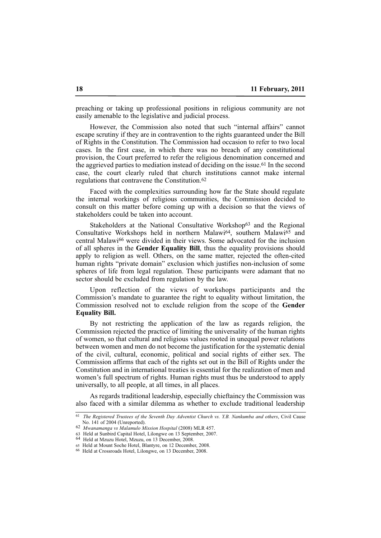preaching or taking up professional positions in religious community are not easily amenable to the legislative and judicial process.

However, the Commission also noted that such "internal affairs" cannot escape scrutiny if they are in contravention to the rights guaranteed under the Bill of Rights in the Constitution. The Commission had occasion to refer to two local cases. In the first case, in which there was no breach of any constitutional provision, the Court preferred to refer the religious denomination concerned and the aggrieved parties to mediation instead of deciding on the issue.<sup>61</sup> In the second case, the court clearly ruled that church institutions cannot make internal regulations that contravene the Constitution.62

Faced with the complexities surrounding how far the State should regulate the internal workings of religious communities, the Commission decided to consult on this matter before coming up with a decision so that the views of stakeholders could be taken into account.

Stakeholders at the National Consultative Workshop<sup>63</sup> and the Regional Consultative Workshops held in northern Malawi<sup>64</sup>, southern Malawi<sup>65</sup> and central Malawi66 were divided in their views. Some advocated for the inclusion of all spheres in the **Gender Equality Bill**, thus the equality provisions should apply to religion as well. Others, on the same matter, rejected the often-cited human rights "private domain" exclusion which justifies non-inclusion of some spheres of life from legal regulation. These participants were adamant that no sector should be excluded from regulation by the law.

Upon reflection of the views of workshops participants and the Commission's mandate to guarantee the right to equality without limitation, the Commission resolved not to exclude religion from the scope of the **Gender Equality Bill.**

By not restricting the application of the law as regards religion, the Commission rejected the practice of limiting the universality of the human rights of women, so that cultural and religious values rooted in unequal power relations between women and men do not become the justification for the systematic denial of the civil, cultural, economic, political and social rights of either sex. The Commission affirms that each of the rights set out in the Bill of Rights under the Constitution and in international treaties is essential for the realization of men and women's full spectrum of rights. Human rights must thus be understood to apply universally, to all people, at all times, in all places.

As regards traditional leadership, especially chieftaincy the Commission was also faced with a similar dilemma as whether to exclude traditional leadership

<sup>61</sup> *The Registered Trustees of the Seventh Day Adventist Church vs. Y.B. Nankumba and others*, Civil Cause No. 141 of 2004 (Unreported).

<sup>62</sup> *Mwanamanga vs Malamulo Mission Hospital* (2008) MLR 457.

<sup>63</sup> Held at Sunbird Capital Hotel, Lilongwe on 13 September, 2007.

<sup>64</sup> Held at Mzuzu Hotel, Mzuzu, on 13 December, 2008.

<sup>65</sup> Held at Mount Soche Hotel, Blantyre, on 12 December, 2008.

<sup>66</sup> Held at Crossroads Hotel, Lilongwe, on 13 December, 2008.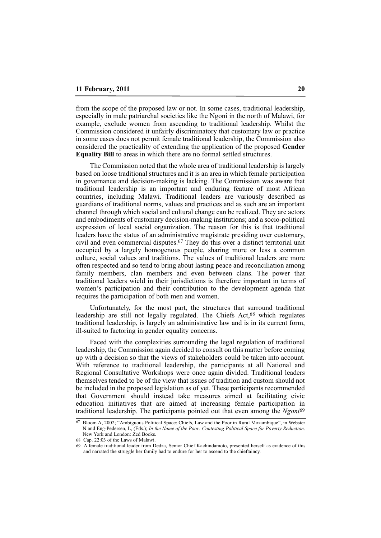from the scope of the proposed law or not. In some cases, traditional leadership, especially in male patriarchal societies like the Ngoni in the north of Malawi, for example, exclude women from ascending to traditional leadership. Whilst the Commission considered it unfairly discriminatory that customary law or practice in some cases does not permit female traditional leadership, the Commission also considered the practicality of extending the application of the proposed **Gender Equality Bill** to areas in which there are no formal settled structures.

The Commission noted that the whole area of traditional leadership is largely based on loose traditional structures and it is an area in which female participation in governance and decision-making is lacking. The Commission was aware that traditional leadership is an important and enduring feature of most African countries, including Malawi. Traditional leaders are variously described as guardians of traditional norms, values and practices and as such are an important channel through which social and cultural change can be realized. They are actors and embodiments of customary decision-making institutions; and a socio-political expression of local social organization. The reason for this is that traditional leaders have the status of an administrative magistrate presiding over customary, civil and even commercial disputes.67 They do this over a distinct territorial unit occupied by a largely homogenous people, sharing more or less a common culture, social values and traditions. The values of traditional leaders are more often respected and so tend to bring about lasting peace and reconciliation among family members, clan members and even between clans. The power that traditional leaders wield in their jurisdictions is therefore important in terms of women's participation and their contribution to the development agenda that requires the participation of both men and women.

Unfortunately, for the most part, the structures that surround traditional leadership are still not legally regulated. The Chiefs Act,68 which regulates traditional leadership, is largely an administrative law and is in its current form, ill-suited to factoring in gender equality concerns.

Faced with the complexities surrounding the legal regulation of traditional leadership, the Commission again decided to consult on this matter before coming up with a decision so that the views of stakeholders could be taken into account. With reference to traditional leadership, the participants at all National and Regional Consultative Workshops were once again divided. Traditional leaders themselves tended to be of the view that issues of tradition and custom should not be included in the proposed legislation as of yet. These participants recommended that Government should instead take measures aimed at facilitating civic education initiatives that are aimed at increasing female participation in traditional leadership. The participants pointed out that even among the *Ngoni*69

<sup>67</sup> Bloom A, 2002; "Ambiguous Political Space: Chiefs, Law and the Poor in Rural Mozambique", in Webster N and Eng-Pedersen, L, (Eds.); *In the Name of the Poor: Contesting Political Space for Poverty Reduction*. New York and London: Zed Books.

<sup>68</sup> Cap. 22:03 of the Laws of Malawi.

<sup>69</sup> A female traditional leader from Dedza, Senior Chief Kachindamoto, presented herself as evidence of this and narrated the struggle her family had to endure for her to ascend to the chieftaincy.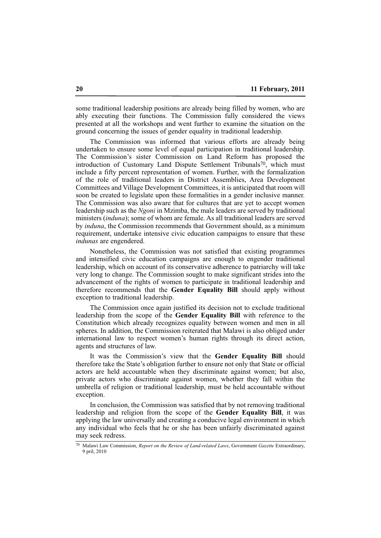some traditional leadership positions are already being filled by women, who are ably executing their functions. The Commission fully considered the views presented at all the workshops and went further to examine the situation on the ground concerning the issues of gender equality in traditional leadership.

The Commission was informed that various efforts are already being undertaken to ensure some level of equal participation in traditional leadership. The Commission's sister Commission on Land Reform has proposed the introduction of Customary Land Dispute Settlement Tribunals<sup>70</sup>, which must include a fifty percent representation of women. Further, with the formalization of the role of traditional leaders in District Assemblies, Area Development Committees and Village Development Committees, it is anticipated that room will soon be created to legislate upon these formalities in a gender inclusive manner. The Commission was also aware that for cultures that are yet to accept women leadership such as the *Ngoni* in Mzimba, the male leaders are served by traditional ministers (*induna*); some of whom are female. As all traditional leaders are served by *induna*, the Commission recommends that Government should, as a minimum requirement, undertake intensive civic education campaigns to ensure that these *indunas* are engendered.

Nonetheless, the Commission was not satisfied that existing programmes and intensified civic education campaigns are enough to engender traditional leadership, which on account of its conservative adherence to patriarchy will take very long to change. The Commission sought to make significant strides into the advancement of the rights of women to participate in traditional leadership and therefore recommends that the **Gender Equality Bill** should apply without exception to traditional leadership.

The Commission once again justified its decision not to exclude traditional leadership from the scope of the **Gender Equality Bill** with reference to the Constitution which already recognizes equality between women and men in all spheres. In addition, the Commission reiterated that Malawi is also obliged under international law to respect women's human rights through its direct action, agents and structures of law.

It was the Commission's view that the **Gender Equality Bill** should therefore take the State's obligation further to ensure not only that State or official actors are held accountable when they discriminate against women; but also, private actors who discriminate against women, whether they fall within the umbrella of religion or traditional leadership, must be held accountable without exception.

In conclusion, the Commission was satisfied that by not removing traditional leadership and religion from the scope of the **Gender Equality Bill**, it was applying the law universally and creating a conducive legal environment in which any individual who feels that he or she has been unfairly discriminated against may seek redress.

<sup>70</sup> Malawi Law Commission, *Report on the Review of Land-related Laws*, Government *Gazette* Extraordinary, 9 pril, 2010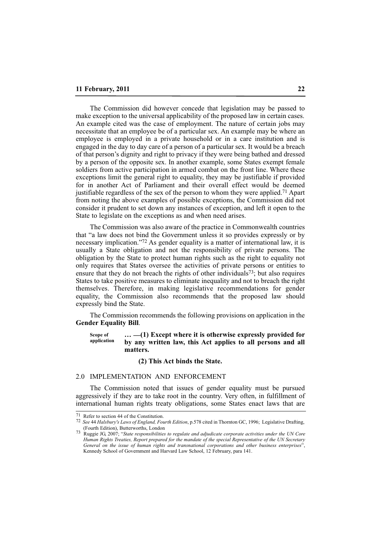The Commission did however concede that legislation may be passed to make exception to the universal applicability of the proposed law in certain cases. An example cited was the case of employment. The nature of certain jobs may necessitate that an employee be of a particular sex. An example may be where an employee is employed in a private household or in a care institution and is engaged in the day to day care of a person of a particular sex. It would be a breach of that person's dignity and right to privacy if they were being bathed and dressed by a person of the opposite sex. In another example, some States exempt female soldiers from active participation in armed combat on the front line. Where these exceptions limit the general right to equality, they may be justifiable if provided for in another Act of Parliament and their overall effect would be deemed justifiable regardless of the sex of the person to whom they were applied.71 Apart from noting the above examples of possible exceptions, the Commission did not consider it prudent to set down any instances of exception, and left it open to the State to legislate on the exceptions as and when need arises.

The Commission was also aware of the practice in Commonwealth countries that "a law does not bind the Government unless it so provides expressly or by necessary implication."72 As gender equality is a matter of international law, it is usually a State obligation and not the responsibility of private persons. The obligation by the State to protect human rights such as the right to equality not only requires that States oversee the activities of private persons or entities to ensure that they do not breach the rights of other individuals73; but also requires States to take positive measures to eliminate inequality and not to breach the right themselves. Therefore, in making legislative recommendations for gender equality, the Commission also recommends that the proposed law should expressly bind the State.

The Commission recommends the following provisions on application in the **Gender Equality Bill**.

#### **… \_\_(1) Except where it is otherwise expressly provided for by any written law, this Act applies to all persons and all matters. Scope of application**

#### **(2) This Act binds the State.**

### 2.0 IMPLEMENTATION AND ENFORCEMENT

The Commission noted that issues of gender equality must be pursued aggressively if they are to take root in the country. Very often, in fulfillment of international human rights treaty obligations, some States enact laws that are

<sup>71</sup> Refer to section 44 of the Constitution.

<sup>72</sup> *See* 44 *Halsbury's Laws of England, Fourth Edition*, p.578 cited in Thornton GC, 1996; Legislative Drafting, (Fourth Edition), Butterworths, London

<sup>73</sup> Ruggie JG, 2007; "*State responsibilities to regulate and adjudicate corporate activities under the UN Core Human Rights Treaties, Report prepared for the mandate of the special Representative of the UN Secretary General on the issue of human rights and transnational corporations and other business enterprises*", Kennedy School of Government and Harvard Law School, 12 February, para 141.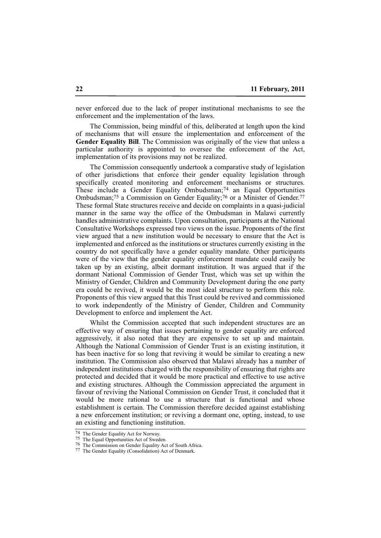never enforced due to the lack of proper institutional mechanisms to see the enforcement and the implementation of the laws.

The Commission, being mindful of this, deliberated at length upon the kind of mechanisms that will ensure the implementation and enforcement of the **Gender Equality Bill**. The Commission was originally of the view that unless a particular authority is appointed to oversee the enforcement of the Act, implementation of its provisions may not be realized.

The Commission consequently undertook a comparative study of legislation of other jurisdictions that enforce their gender equality legislation through specifically created monitoring and enforcement mechanisms or structures. These include a Gender Equality Ombudsman;74 an Equal Opportunities Ombudsman;75 a Commission on Gender Equality;76 or a Minister of Gender.77 These formal State structures receive and decide on complaints in a quasi-judicial manner in the same way the office of the Ombudsman in Malawi currently handles administrative complaints. Upon consultation, participants at the National Consultative Workshops expressed two views on the issue. Proponents of the first view argued that a new institution would be necessary to ensure that the Act is implemented and enforced as the institutions or structures currently existing in the country do not specifically have a gender equality mandate. Other participants were of the view that the gender equality enforcement mandate could easily be taken up by an existing, albeit dormant institution. It was argued that if the dormant National Commission of Gender Trust, which was set up within the Ministry of Gender, Children and Community Development during the one party era could be revived, it would be the most ideal structure to perform this role. Proponents of this view argued that this Trust could be revived and commissioned to work independently of the Ministry of Gender, Children and Community Development to enforce and implement the Act.

Whilst the Commission accepted that such independent structures are an effective way of ensuring that issues pertaining to gender equality are enforced aggressively, it also noted that they are expensive to set up and maintain. Although the National Commission of Gender Trust is an existing institution, it has been inactive for so long that reviving it would be similar to creating a new institution. The Commission also observed that Malawi already has a number of independent institutions charged with the responsibility of ensuring that rights are protected and decided that it would be more practical and effective to use active and existing structures. Although the Commission appreciated the argument in favour of reviving the National Commission on Gender Trust, it concluded that it would be more rational to use a structure that is functional and whose establishment is certain. The Commission therefore decided against establishing a new enforcement institution; or reviving a dormant one, opting, instead, to use an existing and functioning institution.

<sup>74</sup> The Gender Equality Act for Norway.

<sup>75</sup> The Equal Opportunities Act of Sweden.

<sup>76</sup> The Commission on Gender Equality Act of South Africa.

<sup>77</sup> The Gender Equality (Consolidation) Act of Denmark.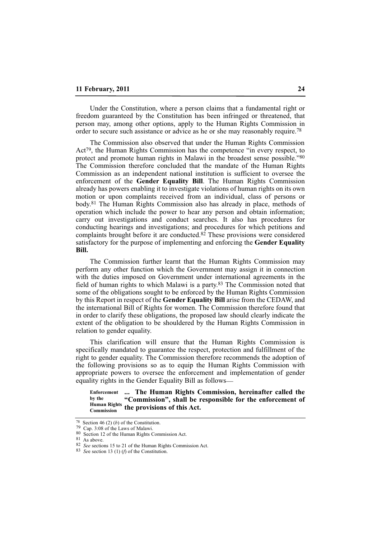Under the Constitution, where a person claims that a fundamental right or freedom guaranteed by the Constitution has been infringed or threatened, that person may, among other options, apply to the Human Rights Commission in order to secure such assistance or advice as he or she may reasonably require.78

The Commission also observed that under the Human Rights Commission Act79, the Human Rights Commission has the competence "in every respect, to protect and promote human rights in Malawi in the broadest sense possible."80 The Commission therefore concluded that the mandate of the Human Rights Commission as an independent national institution is sufficient to oversee the enforcement of the **Gender Equality Bill**. The Human Rights Commission already has powers enabling it to investigate violations of human rights on its own motion or upon complaints received from an individual, class of persons or body.81 The Human Rights Commission also has already in place, methods of operation which include the power to hear any person and obtain information; carry out investigations and conduct searches. It also has procedures for conducting hearings and investigations; and procedures for which petitions and complaints brought before it are conducted.82 These provisions were considered satisfactory for the purpose of implementing and enforcing the **Gender Equality Bill.**

The Commission further learnt that the Human Rights Commission may perform any other function which the Government may assign it in connection with the duties imposed on Government under international agreements in the field of human rights to which Malawi is a party.83 The Commission noted that some of the obligations sought to be enforced by the Human Rights Commission by this Report in respect of the **Gender Equality Bill** arise from the CEDAW, and the international Bill of Rights for women. The Commission therefore found that in order to clarify these obligations, the proposed law should clearly indicate the extent of the obligation to be shouldered by the Human Rights Commission in relation to gender equality.

This clarification will ensure that the Human Rights Commission is specifically mandated to guarantee the respect, protection and fulfillment of the right to gender equality. The Commission therefore recommends the adoption of the following provisions so as to equip the Human Rights Commission with appropriate powers to oversee the enforcement and implementation of gender equality rights in the Gender Equality Bill as follows\_\_

**... The Human Rights Commission, hereinafter called the "Commission", shall be responsible for the enforcement of Human Rights** the provisions of this Act. **Enforcement by the Commission** 

 $\overline{78}$  Section 46 (2) (*b*) of the Constitution.

<sup>79</sup> Cap. 3:08 of the Laws of Malawi.

<sup>80</sup> Section 12 of the Human Rights Commission Act.

<sup>81</sup> As above.

<sup>82</sup> *See* sections 15 to 21 of the Human Rights Commission Act.

<sup>83</sup> *Se*e section 13 (1) (*f*) of the Constitution.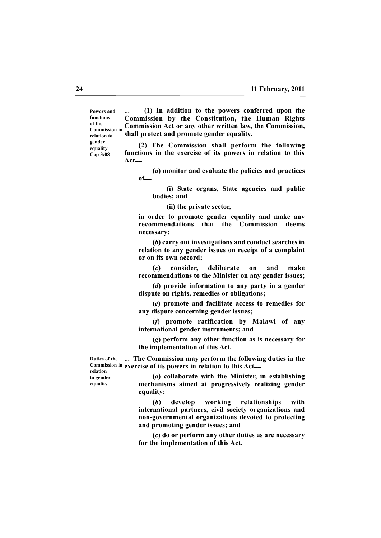**Powers and functions of the Commission in relation to gender equality Cap 3:08**

**...** \_\_**(1) In addition to the powers conferred upon the Commission by the Constitution, the Human Rights Commission Act or any other written law, the Commission, shall protect and promote gender equality.**

**(2) The Commission shall perform the following functions in the exercise of its powers in relation to this Act\_\_**

**(***a***) monitor and evaluate the policies and practices of\_\_**

**(i) State organs, State agencies and public bodies; and**

**(ii) the private sector,**

**in order to promote gender equality and make any recommendations that the Commission deems necessary;**

**(***b***) carry out investigations and conduct searches in relation to any gender issues on receipt of a complaint or on its own accord;** 

**(***c***) consider, deliberate on and make recommendations to the Minister on any gender issues;**

**(***d***) provide information to any party in a gender dispute on rights, remedies or obligations;**

**(***e***) promote and facilitate access to remedies for any dispute concerning gender issues;**

**(***f***) promote ratification by Malawi of any international gender instruments; and**

**(***g***) perform any other function as is necessary for the implementation of this Act.**

**... The Commission may perform the following duties in the Duties of the exercise of its powers in relation to this Act\_\_ Commission in**

**relation to gender equality**

**(***a***) collaborate with the Minister, in establishing mechanisms aimed at progressively realizing gender equality;**

**(***b***) develop working relationships with international partners, civil society organizations and non-governmental organizations devoted to protecting and promoting gender issues; and**

**(***c***) do or perform any other duties as are necessary for the implementation of this Act.**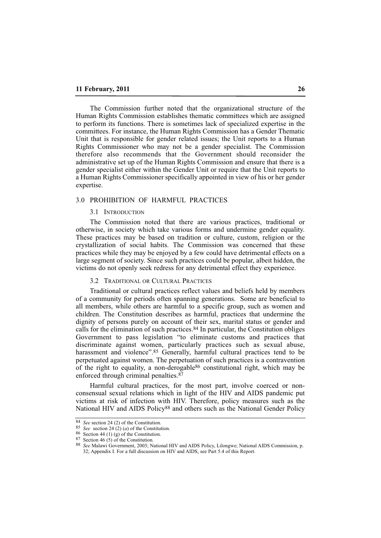The Commission further noted that the organizational structure of the Human Rights Commission establishes thematic committees which are assigned to perform its functions. There is sometimes lack of specialized expertise in the committees. For instance, the Human Rights Commission has a Gender Thematic Unit that is responsible for gender related issues; the Unit reports to a Human Rights Commissioner who may not be a gender specialist. The Commission therefore also recommends that the Government should reconsider the administrative set up of the Human Rights Commission and ensure that there is a gender specialist either within the Gender Unit or require that the Unit reports to a Human Rights Commissioner specifically appointed in view of his or her gender expertise.

# 3.0 PROHIBITION OF HARMFUL PRACTICES

#### 3.1 INTRODUCTION

The Commission noted that there are various practices, traditional or otherwise, in society which take various forms and undermine gender equality. These practices may be based on tradition or culture, custom, religion or the crystallization of social habits. The Commission was concerned that these practices while they may be enjoyed by a few could have detrimental effects on a large segment of society. Since such practices could be popular, albeit hidden, the victims do not openly seek redress for any detrimental effect they experience.

#### 3.2 TRADITIONAL OR CULTURAL PRACTICES

Traditional or cultural practices reflect values and beliefs held by members of a community for periods often spanning generations. Some are beneficial to all members, while others are harmful to a specific group, such as women and children. The Constitution describes as harmful, practices that undermine the dignity of persons purely on account of their sex, marital status or gender and calls for the elimination of such practices.84 In particular, the Constitution obliges Government to pass legislation "to eliminate customs and practices that discriminate against women, particularly practices such as sexual abuse, harassment and violence".<sup>85</sup> Generally, harmful cultural practices tend to be perpetuated against women. The perpetuation of such practices is a contravention of the right to equality, a non-derogable<sup>86</sup> constitutional right, which may be enforced through criminal penalties.87

Harmful cultural practices, for the most part, involve coerced or nonconsensual sexual relations which in light of the HIV and AIDS pandemic put victims at risk of infection with HIV. Therefore, policy measures such as the National HIV and AIDS Policy<sup>88</sup> and others such as the National Gender Policy

<sup>84</sup> *See* section 24 (2) of the Constitution.

<sup>&</sup>lt;sup>85</sup> *See* section 24 (2) (*a*) of the Constitution.

<sup>86</sup> Section 44 (1) (g) of the Constitution. 87 Section 46 (5) of the Constitution.

<sup>88</sup> *See* Malawi Government, 2003; National HIV and AIDS Policy, Lilongwe; National AIDS Commission, p. 32; Appendix I. For a full discussion on HIV and AIDS, see Part 5.4 of this Report.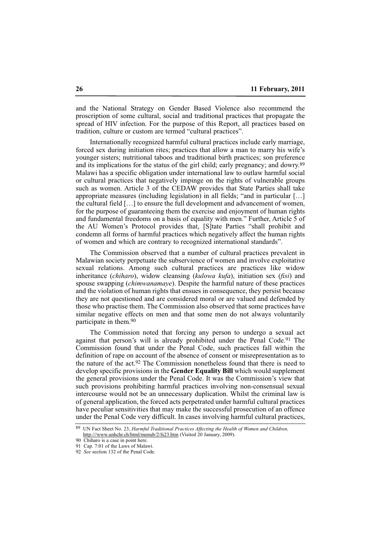and the National Strategy on Gender Based Violence also recommend the proscription of some cultural, social and traditional practices that propagate the spread of HIV infection. For the purpose of this Report, all practices based on tradition, culture or custom are termed "cultural practices".

Internationally recognized harmful cultural practices include early marriage, forced sex during initiation rites; practices that allow a man to marry his wife's younger sisters; nutritional taboos and traditional birth practices; son preference and its implications for the status of the girl child; early pregnancy; and dowry.89 Malawi has a specific obligation under international law to outlaw harmful social or cultural practices that negatively impinge on the rights of vulnerable groups such as women. Article 3 of the CEDAW provides that State Parties shall take appropriate measures (including legislation) in all fields; "and in particular […] the cultural field […] to ensure the full development and advancement of women, for the purpose of guaranteeing them the exercise and enjoyment of human rights and fundamental freedoms on a basis of equality with men." Further, Article 5 of the AU Women's Protocol provides that, [S]tate Parties "shall prohibit and condemn all forms of harmful practices which negatively affect the human rights of women and which are contrary to recognized international standards".

The Commission observed that a number of cultural practices prevalent in Malawian society perpetuate the subservience of women and involve exploitative sexual relations. Among such cultural practices are practices like widow inheritance (*chiharo*), widow cleansing (*kulowa kufa*), initiation sex (*fisi*) and spouse swapping (*chimwanamaye*). Despite the harmful nature of these practices and the violation of human rights that ensues in consequence, they persist because they are not questioned and are considered moral or are valued and defended by those who practise them. The Commission also observed that some practices have similar negative effects on men and that some men do not always voluntarily participate in them.90

The Commission noted that forcing any person to undergo a sexual act against that person's will is already prohibited under the Penal Code.91 The Commission found that under the Penal Code, such practices fall within the definition of rape on account of the absence of consent or misrepresentation as to the nature of the act.92 The Commission nonetheless found that there is need to develop specific provisions in the **Gender Equality Bill** which would supplement the general provisions under the Penal Code. It was the Commission's view that such provisions prohibiting harmful practices involving non-consensual sexual intercourse would not be an unnecessary duplication. Whilst the criminal law is of general application, the forced acts perpetrated under harmful cultural practices have peculiar sensitivities that may make the successful prosecution of an offence under the Penal Code very difficult. In cases involving harmful cultural practices,

<sup>89</sup> UN Fact Sheet No. 23, *Harmful Traditional Practices Affecting the Health of Women and Children,* http:///www.unhchr.ch/html/menub/2/fs23.htm (Visited 20 January, 2009).

<sup>90</sup> Chiharo is a case in point here.

<sup>91</sup> Cap. 7:01 of the Laws of Malawi.

<sup>92</sup> *See* section 132 of the Penal Code.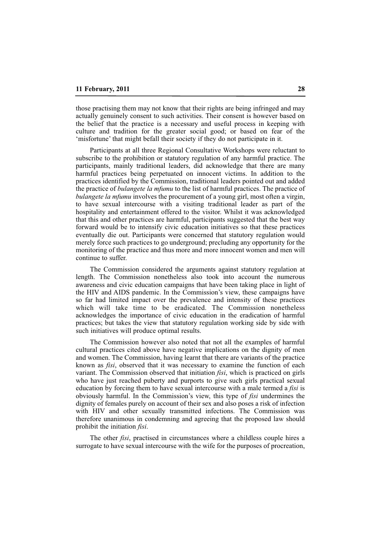those practising them may not know that their rights are being infringed and may actually genuinely consent to such activities. Their consent is however based on the belief that the practice is a necessary and useful process in keeping with culture and tradition for the greater social good; or based on fear of the 'misfortune' that might befall their society if they do not participate in it.

Participants at all three Regional Consultative Workshops were reluctant to subscribe to the prohibition or statutory regulation of any harmful practice. The participants, mainly traditional leaders, did acknowledge that there are many harmful practices being perpetuated on innocent victims. In addition to the practices identified by the Commission, traditional leaders pointed out and added the practice of *bulangete la mfumu* to the list of harmful practices. The practice of *bulangete la mfumu* involves the procurement of a young girl, most often a virgin, to have sexual intercourse with a visiting traditional leader as part of the hospitality and entertainment offered to the visitor. Whilst it was acknowledged that this and other practices are harmful, participants suggested that the best way forward would be to intensify civic education initiatives so that these practices eventually die out. Participants were concerned that statutory regulation would merely force such practices to go underground; precluding any opportunity for the monitoring of the practice and thus more and more innocent women and men will continue to suffer.

The Commission considered the arguments against statutory regulation at length. The Commission nonetheless also took into account the numerous awareness and civic education campaigns that have been taking place in light of the HIV and AIDS pandemic. In the Commission's view, these campaigns have so far had limited impact over the prevalence and intensity of these practices which will take time to be eradicated. The Commission nonetheless acknowledges the importance of civic education in the eradication of harmful practices; but takes the view that statutory regulation working side by side with such initiatives will produce optimal results.

The Commission however also noted that not all the examples of harmful cultural practices cited above have negative implications on the dignity of men and women. The Commission, having learnt that there are variants of the practice known as *fisi*, observed that it was necessary to examine the function of each variant. The Commission observed that initiation *fisi*, which is practiced on girls who have just reached puberty and purports to give such girls practical sexual education by forcing them to have sexual intercourse with a male termed a *fisi* is obviously harmful. In the Commission's view, this type of *fisi* undermines the dignity of females purely on account of their sex and also poses a risk of infection with HIV and other sexually transmitted infections. The Commission was therefore unanimous in condemning and agreeing that the proposed law should prohibit the initiation *fisi*.

The other *fisi*, practised in circumstances where a childless couple hires a surrogate to have sexual intercourse with the wife for the purposes of procreation,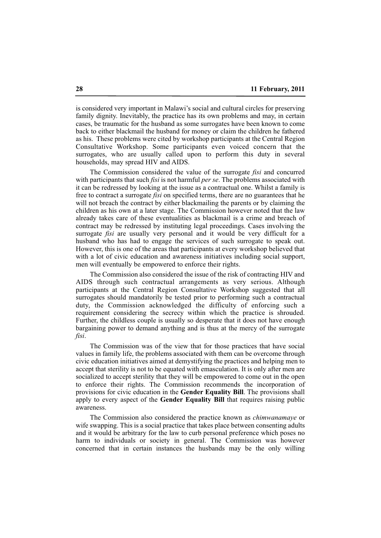is considered very important in Malawi's social and cultural circles for preserving family dignity. Inevitably, the practice has its own problems and may, in certain cases, be traumatic for the husband as some surrogates have been known to come back to either blackmail the husband for money or claim the children he fathered as his. These problems were cited by workshop participants at the Central Region Consultative Workshop. Some participants even voiced concern that the surrogates, who are usually called upon to perform this duty in several households, may spread HIV and AIDS.

The Commission considered the value of the surrogate *fisi* and concurred with participants that such *fisi* is not harmful *per se*. The problems associated with it can be redressed by looking at the issue as a contractual one. Whilst a family is free to contract a surrogate *fisi* on specified terms, there are no guarantees that he will not breach the contract by either blackmailing the parents or by claiming the children as his own at a later stage. The Commission however noted that the law already takes care of these eventualities as blackmail is a crime and breach of contract may be redressed by instituting legal proceedings. Cases involving the surrogate *fisi* are usually very personal and it would be very difficult for a husband who has had to engage the services of such surrogate to speak out. However, this is one of the areas that participants at every workshop believed that with a lot of civic education and awareness initiatives including social support, men will eventually be empowered to enforce their rights.

The Commission also considered the issue of the risk of contracting HIV and AIDS through such contractual arrangements as very serious. Although participants at the Central Region Consultative Workshop suggested that all surrogates should mandatorily be tested prior to performing such a contractual duty, the Commission acknowledged the difficulty of enforcing such a requirement considering the secrecy within which the practice is shrouded. Further, the childless couple is usually so desperate that it does not have enough bargaining power to demand anything and is thus at the mercy of the surrogate *fisi*.

The Commission was of the view that for those practices that have social values in family life, the problems associated with them can be overcome through civic education initiatives aimed at demystifying the practices and helping men to accept that sterility is not to be equated with emasculation. It is only after men are socialized to accept sterility that they will be empowered to come out in the open to enforce their rights. The Commission recommends the incorporation of provisions for civic education in the **Gender Equality Bill**. The provisions shall apply to every aspect of the **Gender Equality Bill** that requires raising public awareness.

The Commission also considered the practice known as *chimwanamaye* or wife swapping. This is a social practice that takes place between consenting adults and it would be arbitrary for the law to curb personal preference which poses no harm to individuals or society in general. The Commission was however concerned that in certain instances the husbands may be the only willing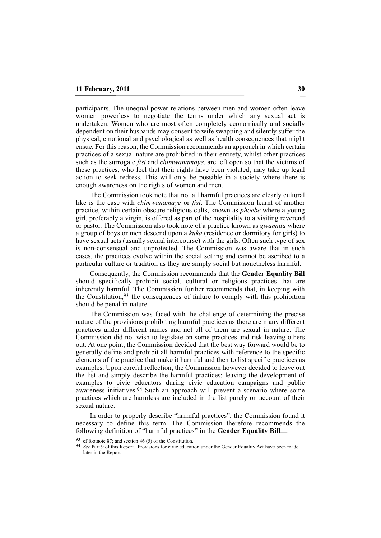participants. The unequal power relations between men and women often leave women powerless to negotiate the terms under which any sexual act is undertaken. Women who are most often completely economically and socially dependent on their husbands may consent to wife swapping and silently suffer the physical, emotional and psychological as well as health consequences that might ensue. For this reason, the Commission recommends an approach in which certain practices of a sexual nature are prohibited in their entirety, whilst other practices such as the surrogate *fisi* and *chimwanamaye*, are left open so that the victims of these practices, who feel that their rights have been violated, may take up legal action to seek redress. This will only be possible in a society where there is enough awareness on the rights of women and men.

The Commission took note that not all harmful practices are clearly cultural like is the case with *chimwanamaye* or *fisi*. The Commission learnt of another practice, within certain obscure religious cults, known as *phoebe* where a young girl, preferably a virgin, is offered as part of the hospitality to a visiting reverend or pastor. The Commission also took note of a practice known as *gwamula* where a group of boys or men descend upon a *kuka* (residence or dormitory for girls) to have sexual acts (usually sexual intercourse) with the girls. Often such type of sex is non-consensual and unprotected. The Commission was aware that in such cases, the practices evolve within the social setting and cannot be ascribed to a particular culture or tradition as they are simply social but nonetheless harmful.

Consequently, the Commission recommends that the **Gender Equality Bill** should specifically prohibit social, cultural or religious practices that are inherently harmful. The Commission further recommends that, in keeping with the Constitution,93 the consequences of failure to comply with this prohibition should be penal in nature.

The Commission was faced with the challenge of determining the precise nature of the provisions prohibiting harmful practices as there are many different practices under different names and not all of them are sexual in nature. The Commission did not wish to legislate on some practices and risk leaving others out. At one point, the Commission decided that the best way forward would be to generally define and prohibit all harmful practices with reference to the specific elements of the practice that make it harmful and then to list specific practices as examples. Upon careful reflection, the Commission however decided to leave out the list and simply describe the harmful practices; leaving the development of examples to civic educators during civic education campaigns and public awareness initiatives.94 Such an approach will prevent a scenario where some practices which are harmless are included in the list purely on account of their sexual nature.

In order to properly describe "harmful practices", the Commission found it necessary to define this term. The Commission therefore recommends the following definition of "harmful practices" in the **Gender Equality Bill** 

<sup>93</sup> cf footnote 87; and section 46 (5) of the Constitution.

<sup>94</sup> *See* Part 9 of this Report. Provisions for civic education under the Gender Equality Act have been made later in the Report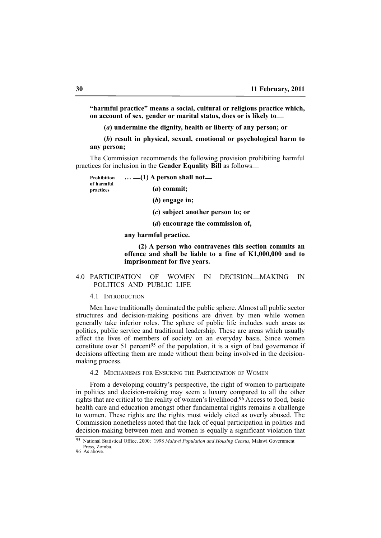**"harmful practice" means a social, cultural or religious practice which, on account of sex, gender or marital status, does or is likely to\_\_**

**(***a***) undermine the dignity, health or liberty of any person; or**

**(***b***) result in physical, sexual, emotional or psychological harm to any person;** 

The Commission recommends the following provision prohibiting harmful practices for inclusion in the **Gender Equality Bill** as follows\_\_

**Prohibition of harmful practices**

**(***a***) commit;**

**… \_\_(1) A person shall not\_\_**

**(***b***) engage in;**

**(***c***) subject another person to; or**

**(***d***) encourage the commission of,** 

**any harmful practice.**

**(2) A person who contravenes this section commits an offence and shall be liable to a fine of K1,000,000 and to imprisonment for five years.**

# 4.0 PARTICIPATION OF WOMEN IN DECISION\_\_MAKING IN POLITICS AND PUBLIC LIFE

#### 4.1 INTRODUCTION

Men have traditionally dominated the public sphere. Almost all public sector structures and decision-making positions are driven by men while women generally take inferior roles. The sphere of public life includes such areas as politics, public service and traditional leadership. These are areas which usually affect the lives of members of society on an everyday basis. Since women constitute over 51 percent<sup>95</sup> of the population, it is a sign of bad governance if decisions affecting them are made without them being involved in the decisionmaking process.

4.2 MECHANISMS FOR ENSURING THE PARTICIPATION OF WOMEN

From a developing country's perspective, the right of women to participate in politics and decision-making may seem a luxury compared to all the other rights that are critical to the reality of women's livelihood.96 Access to food, basic health care and education amongst other fundamental rights remains a challenge to women. These rights are the rights most widely cited as overly abused. The Commission nonetheless noted that the lack of equal participation in politics and decision-making between men and women is equally a significant violation that

<sup>95</sup> National Statistical Office, 2000; 1998 *Malawi Population and Housing Census*, Malawi Government Press, Zomba.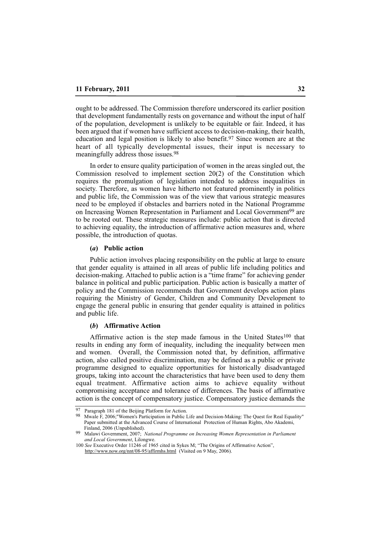ought to be addressed. The Commission therefore underscored its earlier position that development fundamentally rests on governance and without the input of half of the population, development is unlikely to be equitable or fair. Indeed, it has been argued that if women have sufficient access to decision-making, their health, education and legal position is likely to also benefit.97 Since women are at the heart of all typically developmental issues, their input is necessary to meaningfully address those issues.98

In order to ensure quality participation of women in the areas singled out, the Commission resolved to implement section 20(2) of the Constitution which requires the promulgation of legislation intended to address inequalities in society. Therefore, as women have hitherto not featured prominently in politics and public life, the Commission was of the view that various strategic measures need to be employed if obstacles and barriers noted in the National Programme on Increasing Women Representation in Parliament and Local Government<sup>99</sup> are to be rooted out. These strategic measures include: public action that is directed to achieving equality, the introduction of affirmative action measures and, where possible, the introduction of quotas.

#### **(***a***) Public action**

Public action involves placing responsibility on the public at large to ensure that gender equality is attained in all areas of public life including politics and decision-making. Attached to public action is a "time frame" for achieving gender balance in political and public participation. Public action is basically a matter of policy and the Commission recommends that Government develops action plans requiring the Ministry of Gender, Children and Community Development to engage the general public in ensuring that gender equality is attained in politics and public life.

# **(***b***) Affirmative Action**

Affirmative action is the step made famous in the United States<sup>100</sup> that results in ending any form of inequality, including the inequality between men and women. Overall, the Commission noted that, by definition, affirmative action, also called positive discrimination, may be defined as a public or private programme designed to equalize opportunities for historically disadvantaged groups, taking into account the characteristics that have been used to deny them equal treatment. Affirmative action aims to achieve equality without compromising acceptance and tolerance of differences. The basis of affirmative action is the concept of compensatory justice. Compensatory justice demands the

<sup>97</sup> Paragraph 181 of the Beijing Platform for Action.<br>98 March E. 2006: "Weman's Bertinination in Bublie 1

Mwale F, 2006;"Women's Participation in Public Life and Decision-Making: The Quest for Real Equality" Paper submitted at the Advanced Course of International Protection of Human Rights, Abo Akademi, Finland, 2006 (Unpublished).

<sup>99</sup> Malawi Government, 2007; *National Programme on Increasing Women Representation in Parliament and Local Government*, Lilongwe.

<sup>100</sup> *See* Executive Order 11246 of 1965 cited in Sykes M; "The Origins of Affirmative Action", http://www.now.org/nnt/08-95/affirmhs.html (Visited on 9 May, 2006).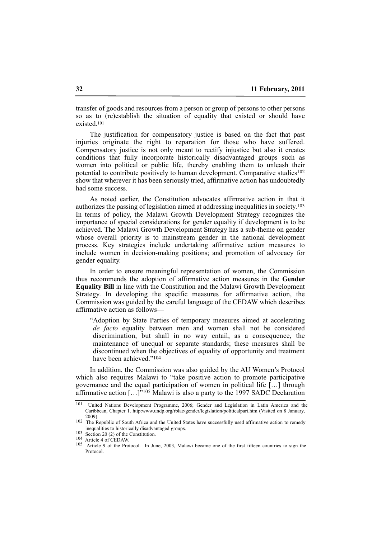transfer of goods and resources from a person or group of persons to other persons so as to (re)establish the situation of equality that existed or should have existed.101

The justification for compensatory justice is based on the fact that past injuries originate the right to reparation for those who have suffered. Compensatory justice is not only meant to rectify injustice but also it creates conditions that fully incorporate historically disadvantaged groups such as women into political or public life, thereby enabling them to unleash their potential to contribute positively to human development. Comparative studies<sup>102</sup> show that wherever it has been seriously tried, affirmative action has undoubtedly had some success.

As noted earlier, the Constitution advocates affirmative action in that it authorizes the passing of legislation aimed at addressing inequalities in society.103 In terms of policy, the Malawi Growth Development Strategy recognizes the importance of special considerations for gender equality if development is to be achieved. The Malawi Growth Development Strategy has a sub-theme on gender whose overall priority is to mainstream gender in the national development process. Key strategies include undertaking affirmative action measures to include women in decision-making positions; and promotion of advocacy for gender equality.

In order to ensure meaningful representation of women, the Commission thus recommends the adoption of affirmative action measures in the **Gender Equality Bill** in line with the Constitution and the Malawi Growth Development Strategy. In developing the specific measures for affirmative action, the Commission was guided by the careful language of the CEDAW which describes affirmative action as follows\_\_

"Adoption by State Parties of temporary measures aimed at accelerating *de facto* equality between men and women shall not be considered discrimination, but shall in no way entail, as a consequence, the maintenance of unequal or separate standards; these measures shall be discontinued when the objectives of equality of opportunity and treatment have been achieved."104

In addition, the Commission was also guided by the AU Women's Protocol which also requires Malawi to "take positive action to promote participative governance and the equal participation of women in political life […] through affirmative action  $\left[ \ldots \right]^{r_{105}}$  Malawi is also a party to the 1997 SADC Declaration

<sup>101</sup> United Nations Development Programme, 2006; Gender and Legislation in Latin America and the Caribbean, Chapter 1. http:www.undp.org/rblac/gender/legislation/politicalpart.htm (Visited on 8 January, 2009).

<sup>102</sup> The Republic of South Africa and the United States have successfully used affirmative action to remedy inequalities to historically disadvantaged groups.

<sup>103</sup> Section 20 (2) of the Constitution.

<sup>104</sup> Article 4 of CEDAW.

<sup>105</sup> Article 9 of the Protocol. In June, 2003, Malawi became one of the first fifteen countries to sign the Protocol.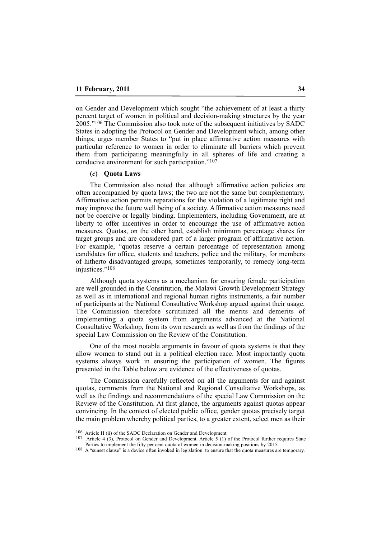on Gender and Development which sought "the achievement of at least a thirty percent target of women in political and decision-making structures by the year 2005."106 The Commission also took note of the subsequent initiatives by SADC States in adopting the Protocol on Gender and Development which, among other things, urges member States to "put in place affirmative action measures with particular reference to women in order to eliminate all barriers which prevent them from participating meaningfully in all spheres of life and creating a conducive environment for such participation."107

#### **(***c***) Quota Laws**

The Commission also noted that although affirmative action policies are often accompanied by quota laws; the two are not the same but complementary. Affirmative action permits reparations for the violation of a legitimate right and may improve the future well being of a society. Affirmative action measures need not be coercive or legally binding. Implementers, including Government, are at liberty to offer incentives in order to encourage the use of affirmative action measures. Quotas, on the other hand, establish minimum percentage shares for target groups and are considered part of a larger program of affirmative action. For example, "quotas reserve a certain percentage of representation among candidates for office, students and teachers, police and the military, for members of hitherto disadvantaged groups, sometimes temporarily, to remedy long-term injustices."108

Although quota systems as a mechanism for ensuring female participation are well grounded in the Constitution, the Malawi Growth Development Strategy as well as in international and regional human rights instruments, a fair number of participants at the National Consultative Workshop argued against their usage. The Commission therefore scrutinized all the merits and demerits of implementing a quota system from arguments advanced at the National Consultative Workshop, from its own research as well as from the findings of the special Law Commission on the Review of the Constitution.

One of the most notable arguments in favour of quota systems is that they allow women to stand out in a political election race. Most importantly quota systems always work in ensuring the participation of women. The figures presented in the Table below are evidence of the effectiveness of quotas.

The Commission carefully reflected on all the arguments for and against quotas, comments from the National and Regional Consultative Workshops, as well as the findings and recommendations of the special Law Commission on the Review of the Constitution. At first glance, the arguments against quotas appear convincing. In the context of elected public office, gender quotas precisely target the main problem whereby political parties, to a greater extent, select men as their

<sup>106</sup> Article H (ii) of the SADC Declaration on Gender and Development.

<sup>107</sup> Article 4 (3), Protocol on Gender and Development. Article 5 (1) of the Protocol further requires State Parties to implement the fifty per cent quota of women in decision-making positions by 2015.

<sup>108</sup> A "sunset clause" is a device often invoked in legislation to ensure that the quota measures are temporary.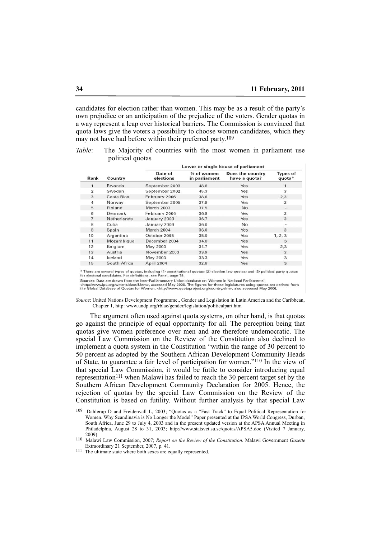candidates for election rather than women. This may be as a result of the party's own prejudice or an anticipation of the prejudice of the voters. Gender quotas in a way represent a leap over historical barriers. The Commission is convinced that quota laws give the voters a possibility to choose women candidates, which they may not have had before within their preferred party.109

*Table*: The Majority of countries with the most women in parliament use political quotas

|                |                | Lower or single house of parliament |                               |                                   |                           |  |  |  |  |
|----------------|----------------|-------------------------------------|-------------------------------|-----------------------------------|---------------------------|--|--|--|--|
| Rank           | Country        | Date of<br>elections                | $%$ of women<br>in parliament | Does the country<br>have a quota? | <b>Types of</b><br>quota* |  |  |  |  |
| 1              | Rwanda         | September 2003                      | 48.8                          | Yes                               |                           |  |  |  |  |
| $\overline{2}$ | Sweden         | September 2002                      | 45.3                          | Yes                               | 3                         |  |  |  |  |
| 3              | Costa Rica     | February 2006                       | 38.6                          | Yes                               | 2,3                       |  |  |  |  |
| 4              | Norway         | September 2005                      | 37.9                          | Yes                               | 3                         |  |  |  |  |
| 5              | Finland        | <b>March 2003</b>                   | 37.5                          | <b>No</b>                         | $\sim$                    |  |  |  |  |
| 6              | Denmark        | February 2005                       | 36.9                          | Yes                               | 3                         |  |  |  |  |
| $\overline{7}$ | Netherlands    | January 2003                        | 36.7                          | Yes                               | 3                         |  |  |  |  |
| 8              | Cuba           | January 2003                        | 36.0                          | No                                |                           |  |  |  |  |
| 8              | Spain          | March 2004                          | 36.0                          | Yes                               | 3                         |  |  |  |  |
| 10             | Argentina      | October 2005                        | 35.0                          | Yes                               | 1, 2, 3                   |  |  |  |  |
| 11             | Mozambique     | December 2004                       | 34.8                          | Yes                               | 3                         |  |  |  |  |
| 12             | <b>Belgium</b> | May 2003                            | 34.7                          | Yes                               | 2,3                       |  |  |  |  |
| 13             | Austria        | November 2003                       | 33.9                          | Yes                               | 3                         |  |  |  |  |
| 14             | Iceland        | May 2003                            | 33.3                          | Yes                               | 3                         |  |  |  |  |
| 15             | South Africa   | April 2004                          | 32.8                          | Yes                               | 3                         |  |  |  |  |
|                |                |                                     |                               |                                   |                           |  |  |  |  |

\* There are several types of quotas, including (1) constitutional quotas; (2) election law quotas; and (3) political party quotas for electoral candidates. For definitions, see Panel, page 79.

Sources: Data are drawn from the Inter-Parliamentary Union database on 'Women in National Parliaments',<br>-http://www.ipu.org/wmn-e/classif.htm>, accessed May 2006. The figures for those legislatures using quotas are derived

*Source*: United Nations Development Programme,, Gender and Legislation in Latin America and the Caribbean, Chapter 1, http: www.undp.org/rblac/gender/legislation/politicalpart.htm

The argument often used against quota systems, on other hand, is that quotas go against the principle of equal opportunity for all. The perception being that quotas give women preference over men and are therefore undemocratic. The special Law Commission on the Review of the Constitution also declined to implement a quota system in the Constitution "within the range of 30 percent to 50 percent as adopted by the Southern African Development Community Heads of State, to guarantee a fair level of participation for women."110 In the view of that special Law Commission, it would be futile to consider introducing equal representation<sup>111</sup> when Malawi has failed to reach the 30 percent target set by the Southern African Development Community Declaration for 2005. Hence, the rejection of quotas by the special Law Commission on the Review of the Constitution is based on futility. Without further analysis by that special Law

<sup>109</sup> Dahlerup D and Freidenvall L, 2003; "Quotas as a "Fast Track" to Equal Political Representation for Women. Why Scandinavia is No Longer the Model" Paper presented at the IPSA World Congress, Durban, South Africa, June 29 to July 4, 2003 and in the present updated version at the APSA Annual Meeting in Philadelphia, August 28 to 31, 2003; http://www.statsvet.su.se/quotas/APSA5.doc (Visited 7 January, 2009).

<sup>110</sup> Malawi Law Commission, 2007; *Report on the Review of the Constitution*. Malawi Government *Gazette* Extraordinary 21 September, 2007, p. 41.

<sup>111</sup> The ultimate state where both sexes are equally represented.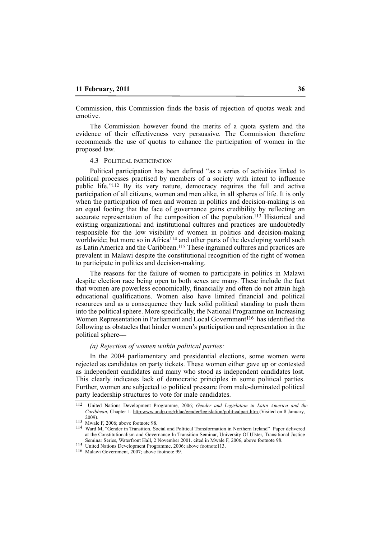Commission, this Commission finds the basis of rejection of quotas weak and emotive.

The Commission however found the merits of a quota system and the evidence of their effectiveness very persuasive. The Commission therefore recommends the use of quotas to enhance the participation of women in the proposed law.

#### 4.3 POLITICAL PARTICIPATION

Political participation has been defined "as a series of activities linked to political processes practised by members of a society with intent to influence public life."112 By its very nature, democracy requires the full and active participation of all citizens, women and men alike, in all spheres of life. It is only when the participation of men and women in politics and decision-making is on an equal footing that the face of governance gains credibility by reflecting an accurate representation of the composition of the population.113 Historical and existing organizational and institutional cultures and practices are undoubtedly responsible for the low visibility of women in politics and decision-making worldwide; but more so in Africa<sup>114</sup> and other parts of the developing world such as Latin America and the Caribbean.115 These ingrained cultures and practices are prevalent in Malawi despite the constitutional recognition of the right of women to participate in politics and decision-making.

The reasons for the failure of women to participate in politics in Malawi despite election race being open to both sexes are many. These include the fact that women are powerless economically, financially and often do not attain high educational qualifications. Women also have limited financial and political resources and as a consequence they lack solid political standing to push them into the political sphere. More specifically, the National Programme on Increasing Women Representation in Parliament and Local Government<sup>116</sup> has identified the following as obstacles that hinder women's participation and representation in the political sphere\_\_

#### *(a) Rejection of women within political parties:*

In the 2004 parliamentary and presidential elections, some women were rejected as candidates on party tickets. These women either gave up or contested as independent candidates and many who stood as independent candidates lost. This clearly indicates lack of democratic principles in some political parties. Further, women are subjected to political pressure from male-dominated political party leadership structures to vote for male candidates.

115 United Nations Development Programme, 2006; above footnote113.

<sup>112</sup> United Nations Development Programme, 2006; *Gender and Legislation in Latin America and the Caribbean*, Chapter 1. http:www.undp.org/rblac/gender/legislation/politicalpart.htm (Visited on 8 January, 2009).

 $113$  Mwale F, 2006; above footnote 98.

<sup>114</sup> Ward M, "Gender in Transition. Social and Political Transformation in Northern Ireland" Paper delivered at the Constitutionalism and Governance In Transition Seminar, University Of Ulster, Transitional Justice Seminar Series, Waterfront Hall, 2 November 2001. cited in Mwale F, 2006, above footnote 98.

<sup>116</sup> Malawi Government, 2007; above footnote 99.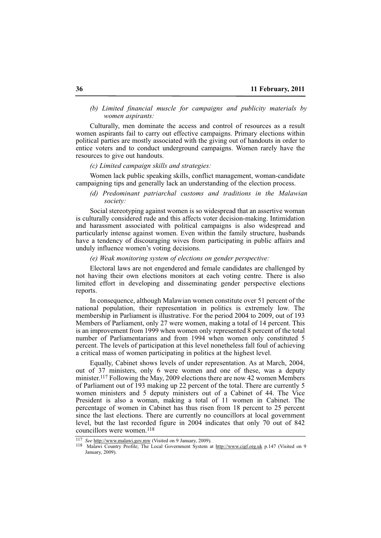# *(b) Limited financial muscle for campaigns and publicity materials by women aspirants:*

Culturally, men dominate the access and control of resources as a result women aspirants fail to carry out effective campaigns. Primary elections within political parties are mostly associated with the giving out of handouts in order to entice voters and to conduct underground campaigns. Women rarely have the resources to give out handouts.

#### *(c) Limited campaign skills and strategies:*

Women lack public speaking skills, conflict management, woman-candidate campaigning tips and generally lack an understanding of the election process.

# *(d) Predominant patriarchal customs and traditions in the Malawian society:*

Social stereotyping against women is so widespread that an assertive woman is culturally considered rude and this affects voter decision-making. Intimidation and harassment associated with political campaigns is also widespread and particularly intense against women. Even within the family structure, husbands have a tendency of discouraging wives from participating in public affairs and unduly influence women's voting decisions.

# *(e) Weak monitoring system of elections on gender perspective:*

Electoral laws are not engendered and female candidates are challenged by not having their own elections monitors at each voting centre. There is also limited effort in developing and disseminating gender perspective elections reports.

In consequence, although Malawian women constitute over 51 percent of the national population, their representation in politics is extremely low. The membership in Parliament is illustrative. For the period 2004 to 2009, out of 193 Members of Parliament, only 27 were women, making a total of 14 percent. This is an improvement from 1999 when women only represented 8 percent of the total number of Parliamentarians and from 1994 when women only constituted 5 percent. The levels of participation at this level nonetheless fall foul of achieving a critical mass of women participating in politics at the highest level.

Equally, Cabinet shows levels of under representation. As at March, 2004, out of 37 ministers, only 6 were women and one of these, was a deputy minister.<sup>117</sup> Following the May, 2009 elections there are now 42 women Members of Parliament out of 193 making up 22 percent of the total. There are currently 5 women ministers and 5 deputy ministers out of a Cabinet of 44. The Vice President is also a woman, making a total of 11 women in Cabinet. The percentage of women in Cabinet has thus risen from 18 percent to 25 percent since the last elections. There are currently no councillors at local government level, but the last recorded figure in 2004 indicates that only 70 out of 842 councillors were women.118

<sup>117</sup> *See* http://www.malawi.gov.mw (Visited on 9 January, 2009).

<sup>118</sup> Malawi Country Profile; The Local Government System at http://www.cigf.org.uk p.147 (Visited on 9 January, 2009).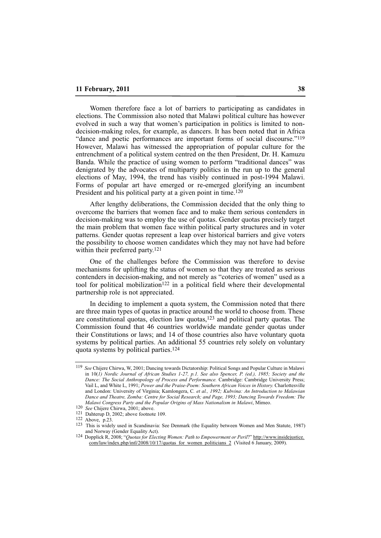Women therefore face a lot of barriers to participating as candidates in elections. The Commission also noted that Malawi political culture has however evolved in such a way that women's participation in politics is limited to nondecision-making roles, for example, as dancers. It has been noted that in Africa "dance and poetic performances are important forms of social discourse."<sup>119</sup> However, Malawi has witnessed the appropriation of popular culture for the entrenchment of a political system centred on the then President, Dr. H. Kamuzu Banda. While the practice of using women to perform "traditional dances" was denigrated by the advocates of multiparty politics in the run up to the general elections of May, 1994, the trend has visibly continued in post-1994 Malawi. Forms of popular art have emerged or re-emerged glorifying an incumbent President and his political party at a given point in time.<sup>120</sup>

After lengthy deliberations, the Commission decided that the only thing to overcome the barriers that women face and to make them serious contenders in decision-making was to employ the use of quotas. Gender quotas precisely target the main problem that women face within political party structures and in voter patterns. Gender quotas represent a leap over historical barriers and give voters the possibility to choose women candidates which they may not have had before within their preferred party.121

One of the challenges before the Commission was therefore to devise mechanisms for uplifting the status of women so that they are treated as serious contenders in decision-making, and not merely as "coteries of women" used as a tool for political mobilization<sup>122</sup> in a political field where their developmental partnership role is not appreciated.

In deciding to implement a quota system, the Commission noted that there are three main types of quotas in practice around the world to choose from. These are constitutional quotas, election law quotas,123 and political party quotas. The Commission found that 46 countries worldwide mandate gender quotas under their Constitutions or laws; and 14 of those countries also have voluntary quota systems by political parties. An additional 55 countries rely solely on voluntary quota systems by political parties.124

<sup>119</sup> *See* Chijere Chirwa, W, 2001; Dancing towards Dictatorship: Political Songs and Popular Culture in Malawi in 10(*1) Nordic Journal of African Studies 1-27, p.1. See also Spencer, P. (ed.), 1985; Society and the Dance: The Social Anthropology of Process and Performance.* Cambridge: Cambridge University Press; Vail L, and White L, 1991; *Power and the Praise-Poem: Southern African Voices in History.* Charlottesville and London: University of Virginia; Kamlongera, C*. et al., 1992; Kubvina: An Introduction to Malawian Dance and Theatre, Zomba: Centre for Social Research; and Page, 1993; Dancing Towards Freedom: The Malawi Congress Party and the Popular Origins of Mass Nationalism in Malawi*, Mimeo.

<sup>120</sup> *See* Chijere Chirwa, 2001; above.

<sup>121</sup> Dahterup D, 2002; above footnote 109.

<sup>122</sup> Above, p.23.

<sup>123</sup> This is widely used in Scandinavia: See Denmark (the Equality between Women and Men Statute, 1987) and Norway (Gender Equality Act).

<sup>124</sup> Dopplick R, 2008; "*Quotas for Electing Women: Path to Empowerment or Peril*?" http://www.insidejustice. com/law/index.php/intl/2008/10/17/quotas\_for\_women\_politicians\_2 (Visited 6 January, 2009).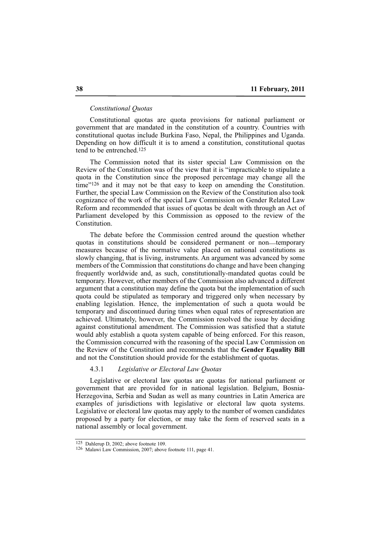### *Constitutional Quotas*

Constitutional quotas are quota provisions for national parliament or government that are mandated in the constitution of a country. Countries with constitutional quotas include Burkina Faso, Nepal, the Philippines and Uganda. Depending on how difficult it is to amend a constitution, constitutional quotas tend to be entrenched.125

The Commission noted that its sister special Law Commission on the Review of the Constitution was of the view that it is "impracticable to stipulate a quota in the Constitution since the proposed percentage may change all the time"<sup>126</sup> and it may not be that easy to keep on amending the Constitution. Further, the special Law Commission on the Review of the Constitution also took cognizance of the work of the special Law Commission on Gender Related Law Reform and recommended that issues of quotas be dealt with through an Act of Parliament developed by this Commission as opposed to the review of the Constitution.

The debate before the Commission centred around the question whether quotas in constitutions should be considered permanent or non\_\_temporary measures because of the normative value placed on national constitutions as slowly changing, that is living, instruments. An argument was advanced by some members of the Commission that constitutions do change and have been changing frequently worldwide and, as such, constitutionally-mandated quotas could be temporary. However, other members of the Commission also advanced a different argument that a constitution may define the quota but the implementation of such quota could be stipulated as temporary and triggered only when necessary by enabling legislation. Hence, the implementation of such a quota would be temporary and discontinued during times when equal rates of representation are achieved. Ultimately, however, the Commission resolved the issue by deciding against constitutional amendment. The Commission was satisfied that a statute would ably establish a quota system capable of being enforced. For this reason, the Commission concurred with the reasoning of the special Law Commission on the Review of the Constitution and recommends that the **Gender Equality Bill** and not the Constitution should provide for the establishment of quotas.

## 4.3.1 *Legislative or Electoral Law Quotas*

Legislative or electoral law quotas are quotas for national parliament or government that are provided for in national legislation. Belgium, Bosnia-Herzegovina, Serbia and Sudan as well as many countries in Latin America are examples of jurisdictions with legislative or electoral law quota systems. Legislative or electoral law quotas may apply to the number of women candidates proposed by a party for election, or may take the form of reserved seats in a national assembly or local government.

<sup>125</sup> Dahlerup D, 2002; above footnote 109.

<sup>126</sup> Malawi Law Commission, 2007; above footnote 111, page 41.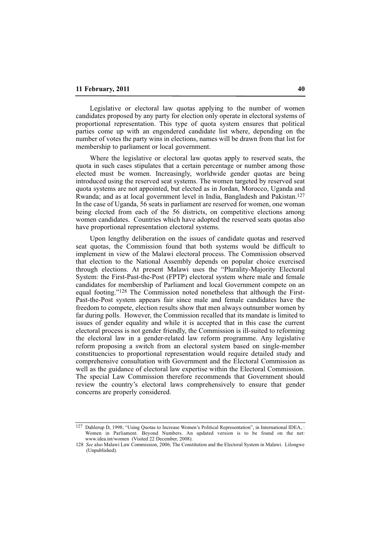Legislative or electoral law quotas applying to the number of women candidates proposed by any party for election only operate in electoral systems of proportional representation. This type of quota system ensures that political parties come up with an engendered candidate list where, depending on the number of votes the party wins in elections, names will be drawn from that list for membership to parliament or local government.

Where the legislative or electoral law quotas apply to reserved seats, the quota in such cases stipulates that a certain percentage or number among those elected must be women. Increasingly, worldwide gender quotas are being introduced using the reserved seat systems. The women targeted by reserved seat quota systems are not appointed, but elected as in Jordan, Morocco, Uganda and Rwanda; and as at local government level in India, Bangladesh and Pakistan.127 In the case of Uganda, 56 seats in parliament are reserved for women, one woman being elected from each of the 56 districts, on competitive elections among women candidates. Countries which have adopted the reserved seats quotas also have proportional representation electoral systems.

Upon lengthy deliberation on the issues of candidate quotas and reserved seat quotas, the Commission found that both systems would be difficult to implement in view of the Malawi electoral process. The Commission observed that election to the National Assembly depends on popular choice exercised through elections. At present Malawi uses the "Plurality-Majority Electoral System: the First-Past-the-Post (FPTP) electoral system where male and female candidates for membership of Parliament and local Government compete on an equal footing."128 The Commission noted nonetheless that although the First-Past-the-Post system appears fair since male and female candidates have the freedom to compete, election results show that men always outnumber women by far during polls. However, the Commission recalled that its mandate is limited to issues of gender equality and while it is accepted that in this case the current electoral process is not gender friendly, the Commission is ill-suited to reforming the electoral law in a gender-related law reform programme. Any legislative reform proposing a switch from an electoral system based on single-member constituencies to proportional representation would require detailed study and comprehensive consultation with Government and the Electoral Commission as well as the guidance of electoral law expertise within the Electoral Commission. The special Law Commission therefore recommends that Government should review the country's electoral laws comprehensively to ensure that gender concerns are properly considered.

<sup>127</sup> Dahlerup D, 1998; "Using Quotas to Increase Women's Political Representation", in International IDEA, : Women in Parliament. Beyond Numbers. An updated version is to be found on the net: www.idea.int/women (Visited 22 December, 2008).

<sup>128</sup> *See* also Malawi Law Commission, 2006; The Constitution and the Electoral System in Malawi. Lilongwe (Unpublished).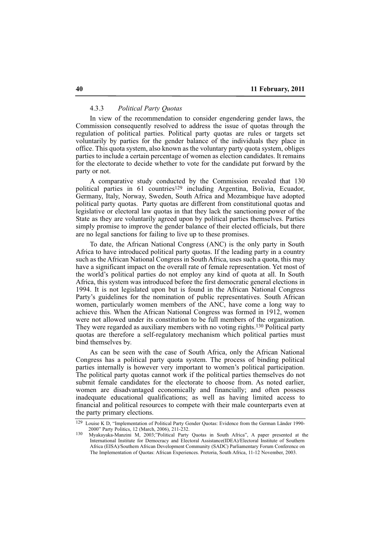### 4.3.3 *Political Party Quotas*

In view of the recommendation to consider engendering gender laws, the Commission consequently resolved to address the issue of quotas through the regulation of political parties. Political party quotas are rules or targets set voluntarily by parties for the gender balance of the individuals they place in office. This quota system, also known as the voluntary party quota system, obliges parties to include a certain percentage of women as election candidates. It remains for the electorate to decide whether to vote for the candidate put forward by the party or not.

A comparative study conducted by the Commission revealed that 130 political parties in 61 countries<sup>129</sup> including Argentina, Bolivia, Ecuador, Germany, Italy, Norway, Sweden, South Africa and Mozambique have adopted political party quotas. Party quotas are different from constitutional quotas and legislative or electoral law quotas in that they lack the sanctioning power of the State as they are voluntarily agreed upon by political parties themselves. Parties simply promise to improve the gender balance of their elected officials, but there are no legal sanctions for failing to live up to these promises.

To date, the African National Congress (ANC) is the only party in South Africa to have introduced political party quotas. If the leading party in a country such as the African National Congress in South Africa, uses such a quota, this may have a significant impact on the overall rate of female representation. Yet most of the world's political parties do not employ any kind of quota at all. In South Africa, this system was introduced before the first democratic general elections in 1994. It is not legislated upon but is found in the African National Congress Party's guidelines for the nomination of public representatives. South African women, particularly women members of the ANC, have come a long way to achieve this. When the African National Congress was formed in 1912, women were not allowed under its constitution to be full members of the organization. They were regarded as auxiliary members with no voting rights.130 Political party quotas are therefore a self-regulatory mechanism which political parties must bind themselves by.

As can be seen with the case of South Africa, only the African National Congress has a political party quota system. The process of binding political parties internally is however very important to women's political participation. The political party quotas cannot work if the political parties themselves do not submit female candidates for the electorate to choose from. As noted earlier, women are disadvantaged economically and financially; and often possess inadequate educational qualifications; as well as having limited access to financial and political resources to compete with their male counterparts even at the party primary elections.

<sup>129</sup> Louise K D, "Implementation of Political Party Gender Quotas: Evidence from the German Länder 1990- 2000" Party Politics, 12 (March, 2006), 211-232.

<sup>130</sup> Myakayaka-Manzini M, 2003;"Political Party Quotas in South Africa", A paper presented at the International Institute for Democracy and Electoral Assistance(IDEA)/Electoral Institute of Southern Africa (EISA)/Southern African Development Community (SADC) Parliamentary Forum Conference on The Implementation of Quotas: African Experiences. Pretoria, South Africa, 11-12 November, 2003.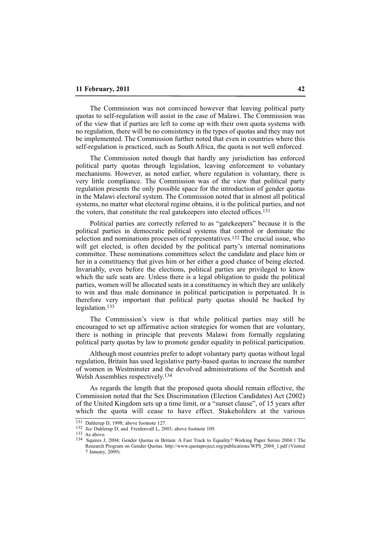The Commission was not convinced however that leaving political party quotas to self-regulation will assist in the case of Malawi. The Commission was of the view that if parties are left to come up with their own quota systems with no regulation, there will be no consistency in the types of quotas and they may not be implemented. The Commission further noted that even in countries where this self-regulation is practiced, such as South Africa, the quota is not well enforced.

The Commission noted though that hardly any jurisdiction has enforced political party quotas through legislation, leaving enforcement to voluntary mechanisms. However, as noted earlier, where regulation is voluntary, there is very little compliance. The Commission was of the view that political party regulation presents the only possible space for the introduction of gender quotas in the Malawi electoral system. The Commission noted that in almost all political systems, no matter what electoral regime obtains, it is the political parties, and not the voters, that constitute the real gatekeepers into elected offices.131

Political parties are correctly referred to as "gatekeepers" because it is the political parties in democratic political systems that control or dominate the selection and nominations processes of representatives.132 The crucial issue, who will get elected, is often decided by the political party's internal nominations committee. These nominations committees select the candidate and place him or her in a constituency that gives him or her either a good chance of being elected. Invariably, even before the elections, political parties are privileged to know which the safe seats are. Unless there is a legal obligation to guide the political parties, women will be allocated seats in a constituency in which they are unlikely to win and thus male dominance in political participation is perpetuated. It is therefore very important that political party quotas should be backed by legislation.133

The Commission's view is that while political parties may still be encouraged to set up affirmative action strategies for women that are voluntary, there is nothing in principle that prevents Malawi from formally regulating political party quotas by law to promote gender equality in political participation.

Although most countries prefer to adopt voluntary party quotas without legal regulation, Britain has used legislative party-based quotas to increase the number of women in Westminster and the devolved administrations of the Scottish and Welsh Assemblies respectively.134

As regards the length that the proposed quota should remain effective, the Commission noted that the Sex Discrimination (Election Candidates) Act (2002) of the United Kingdom sets up a time limit, or a "sunset clause", of 15 years after which the quota will cease to have effect. Stakeholders at the various

<sup>131</sup> Dahlerup D, 1998; above footnote 127.

<sup>132</sup> *See* Dahlerup D, and Freidenvall L, 2003; above footnote 109.

<sup>133</sup> As above.

<sup>134</sup> Squires J, 2004; Gender Quotas in Britain: A Fast Track to Equality? Working Paper Series 2004:1 The Research Program on Gender Quotas. http://www.quotaproject.org/publications/WPS\_2004\_1.pdf (Visited 7 January, 2009).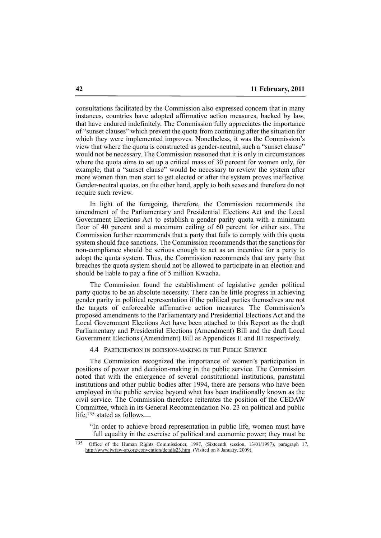consultations facilitated by the Commission also expressed concern that in many instances, countries have adopted affirmative action measures, backed by law, that have endured indefinitely. The Commission fully appreciates the importance of "sunset clauses" which prevent the quota from continuing after the situation for which they were implemented improves. Nonetheless, it was the Commission's view that where the quota is constructed as gender-neutral, such a "sunset clause" would not be necessary. The Commission reasoned that it is only in circumstances where the quota aims to set up a critical mass of 30 percent for women only, for example, that a "sunset clause" would be necessary to review the system after more women than men start to get elected or after the system proves ineffective. Gender-neutral quotas, on the other hand, apply to both sexes and therefore do not require such review.

In light of the foregoing, therefore, the Commission recommends the amendment of the Parliamentary and Presidential Elections Act and the Local Government Elections Act to establish a gender parity quota with a minimum floor of 40 percent and a maximum ceiling of 60 percent for either sex. The Commission further recommends that a party that fails to comply with this quota system should face sanctions. The Commission recommends that the sanctions for non-compliance should be serious enough to act as an incentive for a party to adopt the quota system. Thus, the Commission recommends that any party that breaches the quota system should not be allowed to participate in an election and should be liable to pay a fine of 5 million Kwacha.

The Commission found the establishment of legislative gender political party quotas to be an absolute necessity. There can be little progress in achieving gender parity in political representation if the political parties themselves are not the targets of enforceable affirmative action measures. The Commission's proposed amendments to the Parliamentary and Presidential Elections Act and the Local Government Elections Act have been attached to this Report as the draft Parliamentary and Presidential Elections (Amendment) Bill and the draft Local Government Elections (Amendment) Bill as Appendices II and III respectively.

4.4 PARTICIPATION IN DECISION-MAKING IN THE PUBLIC SERVICE

The Commission recognized the importance of women's participation in positions of power and decision-making in the public service. The Commission noted that with the emergence of several constitutional institutions, parastatal institutions and other public bodies after 1994, there are persons who have been employed in the public service beyond what has been traditionally known as the civil service. The Commission therefore reiterates the position of the CEDAW Committee, which in its General Recommendation No. 23 on political and public life,135 stated as follows\_\_

"In order to achieve broad representation in public life, women must have full equality in the exercise of political and economic power; they must be

<sup>135</sup> Office of the Human Rights Commissioner, 1997, (Sixteenth session, 13/01/1997), paragraph 17, http://www.iwraw-ap.org/convention/details23.htm (Visited on 8 January, 2009).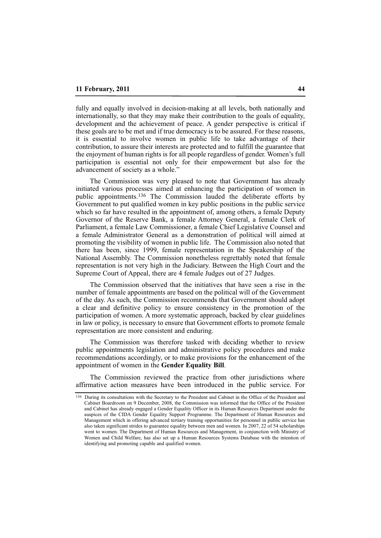fully and equally involved in decision-making at all levels, both nationally and internationally, so that they may make their contribution to the goals of equality, development and the achievement of peace. A gender perspective is critical if these goals are to be met and if true democracy is to be assured. For these reasons, it is essential to involve women in public life to take advantage of their contribution, to assure their interests are protected and to fulfill the guarantee that the enjoyment of human rights is for all people regardless of gender. Women's full participation is essential not only for their empowerment but also for the advancement of society as a whole."

The Commission was very pleased to note that Government has already initiated various processes aimed at enhancing the participation of women in public appointments.136 The Commission lauded the deliberate efforts by Government to put qualified women in key public positions in the public service which so far have resulted in the appointment of, among others, a female Deputy Governor of the Reserve Bank, a female Attorney General, a female Clerk of Parliament, a female Law Commissioner, a female Chief Legislative Counsel and a female Administrator General as a demonstration of political will aimed at promoting the visibility of women in public life. The Commission also noted that there has been, since 1999, female representation in the Speakership of the National Assembly. The Commission nonetheless regrettably noted that female representation is not very high in the Judiciary. Between the High Court and the Supreme Court of Appeal, there are 4 female Judges out of 27 Judges.

The Commission observed that the initiatives that have seen a rise in the number of female appointments are based on the political will of the Government of the day. As such, the Commission recommends that Government should adopt a clear and definitive policy to ensure consistency in the promotion of the participation of women. A more systematic approach, backed by clear guidelines in law or policy, is necessary to ensure that Government efforts to promote female representation are more consistent and enduring.

The Commission was therefore tasked with deciding whether to review public appointments legislation and administrative policy procedures and make recommendations accordingly, or to make provisions for the enhancement of the appointment of women in the **Gender Equality Bill**.

The Commission reviewed the practice from other jurisdictions where affirmative action measures have been introduced in the public service. For

<sup>136</sup> During its consultations with the Secretary to the President and Cabinet in the Office of the President and Cabinet Boardroom on 9 December, 2008, the Commission was informed that the Office of the President and Cabinet has already engaged a Gender Equality Officer in its Human Resources Department under the auspices of the CIDA Gender Equality Support Programme. The Department of Human Resources and Management which in offering advanced tertiary training opportunities for personnel in public service has also taken significant strides to guarantee equality between men and women. In 2007, 22 of 54 scholarships went to women. The Department of Human Resources and Management, in conjunction with Ministry of Women and Child Welfare, has also set up a Human Resources Systems Database with the intention of identifying and promoting capable and qualified women.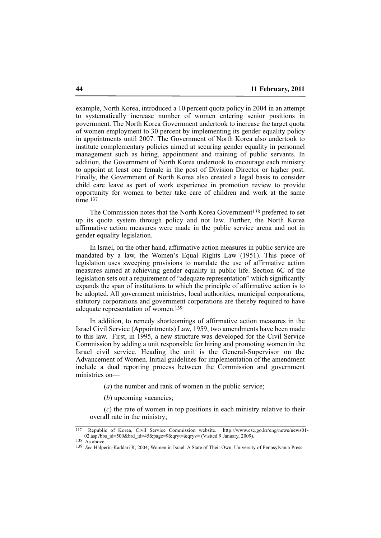example, North Korea, introduced a 10 percent quota policy in 2004 in an attempt to systematically increase number of women entering senior positions in government. The North Korea Government undertook to increase the target quota of women employment to 30 percent by implementing its gender equality policy in appointments until 2007. The Government of North Korea also undertook to institute complementary policies aimed at securing gender equality in personnel management such as hiring, appointment and training of public servants. In addition, the Government of North Korea undertook to encourage each ministry to appoint at least one female in the post of Division Director or higher post. Finally, the Government of North Korea also created a legal basis to consider child care leave as part of work experience in promotion review to provide opportunity for women to better take care of children and work at the same  $time<sub>137</sub>$ 

The Commission notes that the North Korea Government<sup>138</sup> preferred to set up its quota system through policy and not law. Further, the North Korea affirmative action measures were made in the public service arena and not in gender equality legislation.

In Israel, on the other hand, affirmative action measures in public service are mandated by a law, the Women's Equal Rights Law (1951). This piece of legislation uses sweeping provisions to mandate the use of affirmative action measures aimed at achieving gender equality in public life. Section 6C of the legislation sets out a requirement of "adequate representation" which significantly expands the span of institutions to which the principle of affirmative action is to be adopted. All government ministries, local authorities, municipal corporations, statutory corporations and government corporations are thereby required to have adequate representation of women.139

In addition, to remedy shortcomings of affirmative action measures in the Israel Civil Service (Appointments) Law, 1959, two amendments have been made to this law. First, in 1995, a new structure was developed for the Civil Service Commission by adding a unit responsible for hiring and promoting women in the Israel civil service. Heading the unit is the General-Supervisor on the Advancement of Women. Initial guidelines for implementation of the amendment include a dual reporting process between the Commission and government ministries on—

(*a*) the number and rank of women in the public service;

(*b*) upcoming vacancies;

(*c*) the rate of women in top positions in each ministry relative to their overall rate in the ministry;

<sup>137</sup> Republic of Korea, Civil Service Commission website. http://www.csc.go.kr/eng/news/news01- 02.asp?bbs\_id=500&brd\_id=45&page=9&qryt=&qryv= (Visited 9 January, 2009).

<sup>138</sup> As above.

<sup>139</sup> *See* Halperin-Kaddari R, 2004; Women in Israel: A State of Their Own, University of Pennsylvania Press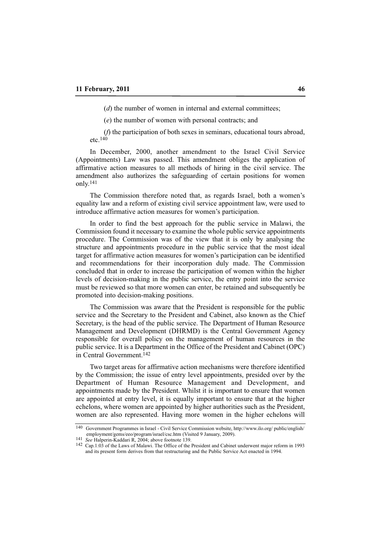(*d*) the number of women in internal and external committees;

(*e*) the number of women with personal contracts; and

(*f*) the participation of both sexes in seminars, educational tours abroad, etc. $140$ 

In December, 2000, another amendment to the Israel Civil Service (Appointments) Law was passed. This amendment obliges the application of affirmative action measures to all methods of hiring in the civil service. The amendment also authorizes the safeguarding of certain positions for women only.141

The Commission therefore noted that, as regards Israel, both a women's equality law and a reform of existing civil service appointment law, were used to introduce affirmative action measures for women's participation.

In order to find the best approach for the public service in Malawi, the Commission found it necessary to examine the whole public service appointments procedure. The Commission was of the view that it is only by analysing the structure and appointments procedure in the public service that the most ideal target for affirmative action measures for women's participation can be identified and recommendations for their incorporation duly made. The Commission concluded that in order to increase the participation of women within the higher levels of decision-making in the public service, the entry point into the service must be reviewed so that more women can enter, be retained and subsequently be promoted into decision-making positions.

The Commission was aware that the President is responsible for the public service and the Secretary to the President and Cabinet, also known as the Chief Secretary, is the head of the public service. The Department of Human Resource Management and Development (DHRMD) is the Central Government Agency responsible for overall policy on the management of human resources in the public service. It is a Department in the Office of the President and Cabinet (OPC) in Central Government.142

Two target areas for affirmative action mechanisms were therefore identified by the Commission; the issue of entry level appointments, presided over by the Department of Human Resource Management and Development, and appointments made by the President. Whilst it is important to ensure that women are appointed at entry level, it is equally important to ensure that at the higher echelons, where women are appointed by higher authorities such as the President, women are also represented. Having more women in the higher echelons will

<sup>140</sup> Government Programmes in Israel - Civil Service Commission website, http://www.ilo.org/ public/english/ employment/gems/eeo/program/israel/csc.htm (Visited 9 January, 2009).

<sup>141</sup> *See* Halperin-Kaddari R, 2004; above footnote 139.

<sup>142</sup> Cap.1:03 of the Laws of Malawi. The Office of the President and Cabinet underwent major reform in 1993 and its present form derives from that restructuring and the Public Service Act enacted in 1994.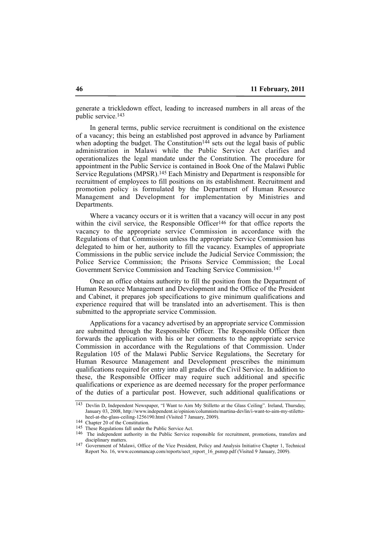generate a trickledown effect, leading to increased numbers in all areas of the public service.143

In general terms, public service recruitment is conditional on the existence of a vacancy; this being an established post approved in advance by Parliament when adopting the budget. The Constitution<sup>144</sup> sets out the legal basis of public administration in Malawi while the Public Service Act clarifies and operationalizes the legal mandate under the Constitution. The procedure for appointment in the Public Service is contained in Book One of the Malawi Public Service Regulations (MPSR).145 Each Ministry and Department is responsible for recruitment of employees to fill positions on its establishment. Recruitment and promotion policy is formulated by the Department of Human Resource Management and Development for implementation by Ministries and Departments.

Where a vacancy occurs or it is written that a vacancy will occur in any post within the civil service, the Responsible Officer<sup>146</sup> for that office reports the vacancy to the appropriate service Commission in accordance with the Regulations of that Commission unless the appropriate Service Commission has delegated to him or her, authority to fill the vacancy. Examples of appropriate Commissions in the public service include the Judicial Service Commission; the Police Service Commission; the Prisons Service Commission; the Local Government Service Commission and Teaching Service Commission.147

Once an office obtains authority to fill the position from the Department of Human Resource Management and Development and the Office of the President and Cabinet, it prepares job specifications to give minimum qualifications and experience required that will be translated into an advertisement. This is then submitted to the appropriate service Commission.

Applications for a vacancy advertised by an appropriate service Commission are submitted through the Responsible Officer. The Responsible Officer then forwards the application with his or her comments to the appropriate service Commission in accordance with the Regulations of that Commission. Under Regulation 105 of the Malawi Public Service Regulations, the Secretary for Human Resource Management and Development prescribes the minimum qualifications required for entry into all grades of the Civil Service. In addition to these, the Responsible Officer may require such additional and specific qualifications or experience as are deemed necessary for the proper performance of the duties of a particular post. However, such additional qualifications or

<sup>143</sup> Devlin D, Independent Newspaper, "I Want to Aim My Stilletto at the Glass Ceiling". Ireland, Thursday, January 03, 2008, http://www.independent.ie/opinion/columnists/martina-devlin/i-want-to-aim-my-stilettoheel-at-the-glass-ceiling-1256190.html (Visited 7 January, 2009).

<sup>144</sup> Chapter 20 of the Constitution.

<sup>145</sup> These Regulations fall under the Public Service Act.

<sup>146</sup> The independent authority in the Public Service responsible for recruitment, promotions, transfers and disciplinary matters.

<sup>&</sup>lt;sup>147</sup> Government of Malawi, Office of the Vice President, Policy and Analysis Initiative Chapter 1, Technical Report No. 16, www.econmancap.com/reports/sect\_report\_16\_psmrp.pdf (Visited 9 January, 2009).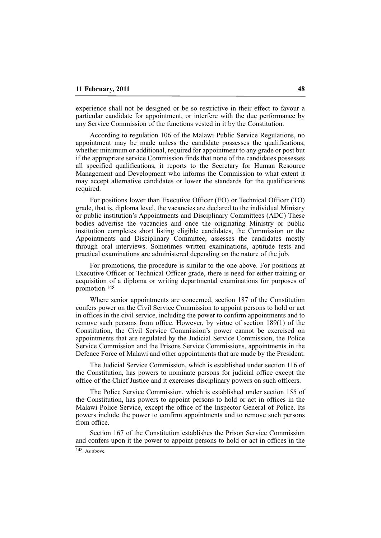experience shall not be designed or be so restrictive in their effect to favour a particular candidate for appointment, or interfere with the due performance by any Service Commission of the functions vested in it by the Constitution.

According to regulation 106 of the Malawi Public Service Regulations, no appointment may be made unless the candidate possesses the qualifications, whether minimum or additional, required for appointment to any grade or post but if the appropriate service Commission finds that none of the candidates possesses all specified qualifications, it reports to the Secretary for Human Resource Management and Development who informs the Commission to what extent it may accept alternative candidates or lower the standards for the qualifications required.

For positions lower than Executive Officer (EO) or Technical Officer (TO) grade, that is, diploma level, the vacancies are declared to the individual Ministry or public institution's Appointments and Disciplinary Committees (ADC) These bodies advertise the vacancies and once the originating Ministry or public institution completes short listing eligible candidates, the Commission or the Appointments and Disciplinary Committee, assesses the candidates mostly through oral interviews. Sometimes written examinations, aptitude tests and practical examinations are administered depending on the nature of the job.

For promotions, the procedure is similar to the one above. For positions at Executive Officer or Technical Officer grade, there is need for either training or acquisition of a diploma or writing departmental examinations for purposes of promotion.148

Where senior appointments are concerned, section 187 of the Constitution confers power on the Civil Service Commission to appoint persons to hold or act in offices in the civil service, including the power to confirm appointments and to remove such persons from office. However, by virtue of section 189(1) of the Constitution, the Civil Service Commission's power cannot be exercised on appointments that are regulated by the Judicial Service Commission, the Police Service Commission and the Prisons Service Commissions, appointments in the Defence Force of Malawi and other appointments that are made by the President.

The Judicial Service Commission, which is established under section 116 of the Constitution, has powers to nominate persons for judicial office except the office of the Chief Justice and it exercises disciplinary powers on such officers.

The Police Service Commission, which is established under section 155 of the Constitution, has powers to appoint persons to hold or act in offices in the Malawi Police Service, except the office of the Inspector General of Police. Its powers include the power to confirm appointments and to remove such persons from office.

Section 167 of the Constitution establishes the Prison Service Commission and confers upon it the power to appoint persons to hold or act in offices in the

 $148$  As above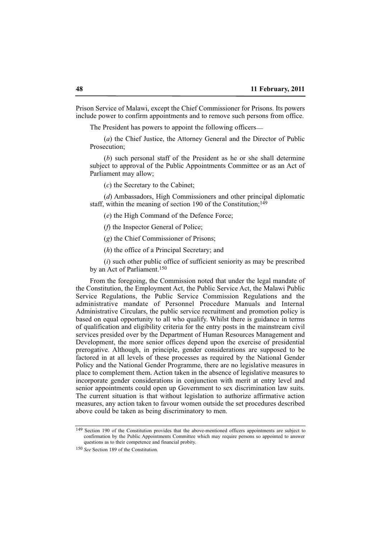Prison Service of Malawi, except the Chief Commissioner for Prisons. Its powers include power to confirm appointments and to remove such persons from office.

The President has powers to appoint the following officers—

(*a*) the Chief Justice, the Attorney General and the Director of Public Prosecution;

(*b*) such personal staff of the President as he or she shall determine subject to approval of the Public Appointments Committee or as an Act of Parliament may allow;

(*c*) the Secretary to the Cabinet;

(*d*) Ambassadors, High Commissioners and other principal diplomatic staff, within the meaning of section 190 of the Constitution;<sup>149</sup>

(*e*) the High Command of the Defence Force;

(*f*) the Inspector General of Police;

(*g*) the Chief Commissioner of Prisons;

(*h*) the office of a Principal Secretary; and

(*i*) such other public office of sufficient seniority as may be prescribed by an Act of Parliament.150

From the foregoing, the Commission noted that under the legal mandate of the Constitution, the Employment Act, the Public Service Act, the Malawi Public Service Regulations, the Public Service Commission Regulations and the administrative mandate of Personnel Procedure Manuals and Internal Administrative Circulars, the public service recruitment and promotion policy is based on equal opportunity to all who qualify. Whilst there is guidance in terms of qualification and eligibility criteria for the entry posts in the mainstream civil services presided over by the Department of Human Resources Management and Development, the more senior offices depend upon the exercise of presidential prerogative. Although, in principle, gender considerations are supposed to be factored in at all levels of these processes as required by the National Gender Policy and the National Gender Programme, there are no legislative measures in place to complement them. Action taken in the absence of legislative measures to incorporate gender considerations in conjunction with merit at entry level and senior appointments could open up Government to sex discrimination law suits. The current situation is that without legislation to authorize affirmative action measures, any action taken to favour women outside the set procedures described above could be taken as being discriminatory to men.

<sup>&</sup>lt;sup>149</sup> Section 190 of the Constitution provides that the above-mentioned officers appointments are subject to confirmation by the Public Appointments Committee which may require persons so appointed to answer questions as to their competence and financial probity.

<sup>150</sup> *See* Section 189 of the Constitution.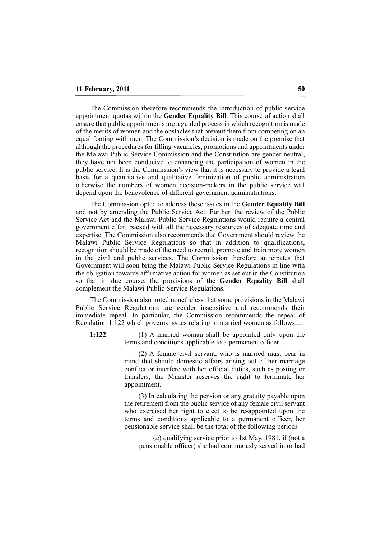The Commission therefore recommends the introduction of public service appointment quotas within the **Gender Equality Bill**. This course of action shall ensure that public appointments are a guided process in which recognition is made of the merits of women and the obstacles that prevent them from competing on an equal footing with men. The Commission's decision is made on the premise that although the procedures for filling vacancies, promotions and appointments under the Malawi Public Service Commission and the Constitution are gender neutral, they have not been conducive to enhancing the participation of women in the public service. It is the Commission's view that it is necessary to provide a legal basis for a quantitative and qualitative feminization of public administration otherwise the numbers of women decision-makers in the public service will depend upon the benevolence of different government administrations.

The Commission opted to address these issues in the **Gender Equality Bill** and not by amending the Public Service Act. Further, the review of the Public Service Act and the Malawi Public Service Regulations would require a central government effort backed with all the necessary resources of adequate time and expertise. The Commission also recommends that Government should review the Malawi Public Service Regulations so that in addition to qualifications, recognition should be made of the need to recruit, promote and train more women in the civil and public services. The Commission therefore anticipates that Government will soon bring the Malawi Public Service Regulations in line with the obligation towards affirmative action for women as set out in the Constitution so that in due course, the provisions of the **Gender Equality Bill** shall complement the Malawi Public Service Regulations.

The Commission also noted nonetheless that some provisions in the Malawi Public Service Regulations are gender insensitive and recommends their immediate repeal. In particular, the Commission recommends the repeal of Regulation 1:122 which governs issues relating to married women as follows\_\_

**1:122**

(1) A married woman shall be appointed only upon the terms and conditions applicable to a permanent officer.

(2) A female civil servant, who is married must bear in mind that should domestic affairs arising out of her marriage conflict or interfere with her official duties, such as posting or transfers, the Minister reserves the right to terminate her appointment.

(3) In calculating the pension or any gratuity payable upon the retirement from the public service of any female civil servant who exercised her right to elect to be re-appointed upon the terms and conditions applicable to a permanent officer, her pensionable service shall be the total of the following periods\_\_

(*a*) qualifying service prior to 1st May, 1981, if (not a pensionable officer) she had continuously served in or had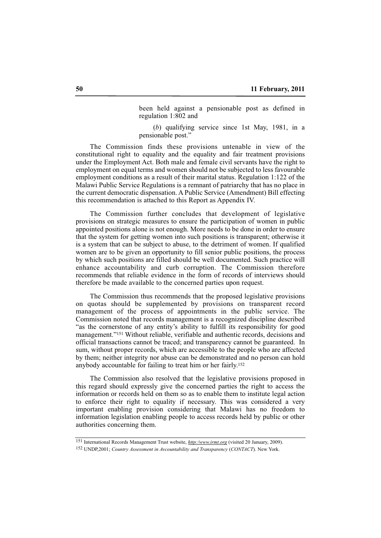been held against a pensionable post as defined in regulation 1:802 and

(*b*) qualifying service since 1st May, 1981, in a pensionable post."

The Commission finds these provisions untenable in view of the constitutional right to equality and the equality and fair treatment provisions under the Employment Act. Both male and female civil servants have the right to employment on equal terms and women should not be subjected to less favourable employment conditions as a result of their marital status. Regulation 1:122 of the Malawi Public Service Regulations is a remnant of patriarchy that has no place in the current democratic dispensation. A Public Service (Amendment) Bill effecting this recommendation is attached to this Report as Appendix IV.

The Commission further concludes that development of legislative provisions on strategic measures to ensure the participation of women in public appointed positions alone is not enough. More needs to be done in order to ensure that the system for getting women into such positions is transparent; otherwise it is a system that can be subject to abuse, to the detriment of women. If qualified women are to be given an opportunity to fill senior public positions, the process by which such positions are filled should be well documented. Such practice will enhance accountability and curb corruption. The Commission therefore recommends that reliable evidence in the form of records of interviews should therefore be made available to the concerned parties upon request.

The Commission thus recommends that the proposed legislative provisions on quotas should be supplemented by provisions on transparent record management of the process of appointments in the public service. The Commission noted that records management is a recognized discipline described "as the cornerstone of any entity's ability to fulfill its responsibility for good management."151 Without reliable, verifiable and authentic records, decisions and official transactions cannot be traced; and transparency cannot be guaranteed. In sum, without proper records, which are accessible to the people who are affected by them; neither integrity nor abuse can be demonstrated and no person can hold anybody accountable for failing to treat him or her fairly.152

The Commission also resolved that the legislative provisions proposed in this regard should expressly give the concerned parties the right to access the information or records held on them so as to enable them to institute legal action to enforce their right to equality if necessary. This was considered a very important enabling provision considering that Malawi has no freedom to information legislation enabling people to access records held by public or other authorities concerning them.

152 UNDP,2001; *Country Assessment in Avcountability and Transparency* (*CONTACT*). New York.

<sup>151</sup> International Records Management Trust website, *http:/www.irmt.org* (visited 20 January, 2009).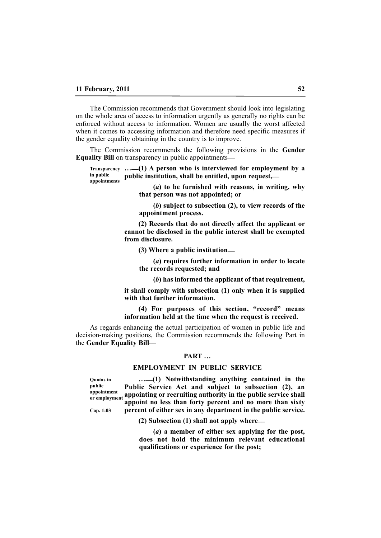The Commission recommends that Government should look into legislating on the whole area of access to information urgently as generally no rights can be enforced without access to information. Women are usually the worst affected when it comes to accessing information and therefore need specific measures if the gender equality obtaining in the country is to improve.

The Commission recommends the following provisions in the **Gender Equality Bill** on transparency in public appointments\_\_

**…\_\_(1) A person who is interviewed for employment by a Transparency public institution, shall be entitled, upon request,\_\_ in public appointments**

**(***a***) to be furnished with reasons, in writing, why that person was not appointed; or**

**(***b***) subject to subsection (2), to view records of the appointment process.**

**(2) Records that do not directly affect the applicant or cannot be disclosed in the public interest shall be exempted from disclosure.**

**(3) Where a public institution\_\_**

**(***a***) requires further information in order to locate the records requested; and**

**(***b***) has informed the applicant of that requirement,**

**it shall comply with subsection (1) only when it is supplied with that further information.**

**(4) For purposes of this section, "record" means information held at the time when the request is received.**

As regards enhancing the actual participation of women in public life and decision-making positions, the Commission recommends the following Part in the **Gender Equality Bill\_\_**

# **PART …**

#### **EMPLOYMENT IN PUBLIC SERVICE**

**Quotas in public appointment or employment** 

**Cap. 1:03**

**…\_\_(1) Notwithstanding anything contained in the Public Service Act and subject to subsection (2), an appointing or recruiting authority in the public service shall appoint no less than forty percent and no more than sixty percent of either sex in any department in the public service.**

**(2) Subsection (1) shall not apply where\_\_**

**(***a***) a member of either sex applying for the post, does not hold the minimum relevant educational qualifications or experience for the post;**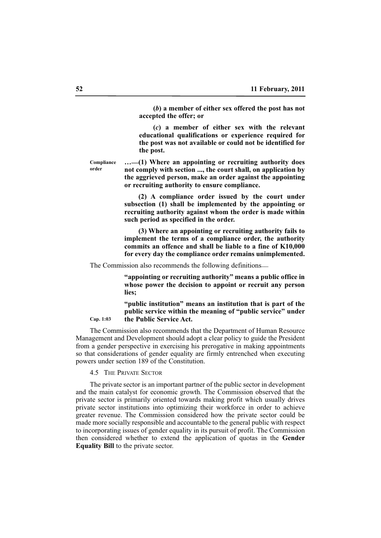**(***b***) a member of either sex offered the post has not accepted the offer; or**

**(***c***) a member of either sex with the relevant educational qualifications or experience required for the post was not available or could not be identified for the post.**

**Compliance order**

**Cap. 1:03**

**…\_\_(1) Where an appointing or recruiting authority does not comply with section ..., the court shall, on application by the aggrieved person, make an order against the appointing or recruiting authority to ensure compliance.**

**(2) A compliance order issued by the court under subsection (1) shall be implemented by the appointing or recruiting authority against whom the order is made within such period as specified in the order.**

**(3) Where an appointing or recruiting authority fails to implement the terms of a compliance order, the authority commits an offence and shall be liable to a fine of K10,000 for every day the compliance order remains unimplemented.**

The Commission also recommends the following definitions\_\_

**"appointing or recruiting authority" means a public office in whose power the decision to appoint or recruit any person lies;**

**"public institution" means an institution that is part of the public service within the meaning of "public service" under the Public Service Act.**

The Commission also recommends that the Department of Human Resource Management and Development should adopt a clear policy to guide the President from a gender perspective in exercising his prerogative in making appointments so that considerations of gender equality are firmly entrenched when executing powers under section 189 of the Constitution.

4.5 THE PRIVATE SECTOR

The private sector is an important partner of the public sector in development and the main catalyst for economic growth. The Commission observed that the private sector is primarily oriented towards making profit which usually drives private sector institutions into optimizing their workforce in order to achieve greater revenue. The Commission considered how the private sector could be made more socially responsible and accountable to the general public with respect to incorporating issues of gender equality in its pursuit of profit. The Commission then considered whether to extend the application of quotas in the **Gender Equality Bill** to the private sector.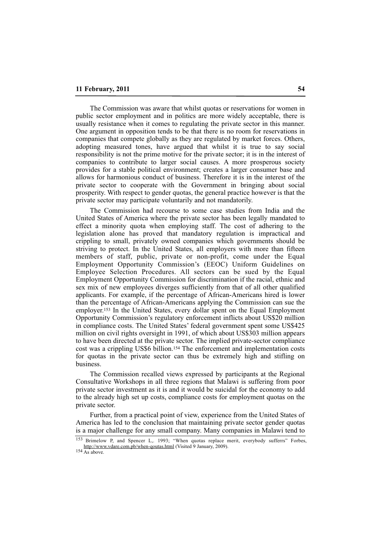The Commission was aware that whilst quotas or reservations for women in public sector employment and in politics are more widely acceptable, there is usually resistance when it comes to regulating the private sector in this manner. One argument in opposition tends to be that there is no room for reservations in companies that compete globally as they are regulated by market forces. Others, adopting measured tones, have argued that whilst it is true to say social responsibility is not the prime motive for the private sector; it is in the interest of companies to contribute to larger social causes. A more prosperous society provides for a stable political environment; creates a larger consumer base and allows for harmonious conduct of business. Therefore it is in the interest of the private sector to cooperate with the Government in bringing about social prosperity. With respect to gender quotas, the general practice however is that the private sector may participate voluntarily and not mandatorily.

The Commission had recourse to some case studies from India and the United States of America where the private sector has been legally mandated to effect a minority quota when employing staff. The cost of adhering to the legislation alone has proved that mandatory regulation is impractical and crippling to small, privately owned companies which governments should be striving to protect. In the United States, all employers with more than fifteen members of staff, public, private or non-profit, come under the Equal Employment Opportunity Commission's (EEOC) Uniform Guidelines on Employee Selection Procedures. All sectors can be sued by the Equal Employment Opportunity Commission for discrimination if the racial, ethnic and sex mix of new employees diverges sufficiently from that of all other qualified applicants. For example, if the percentage of African-Americans hired is lower than the percentage of African-Americans applying the Commission can sue the employer.153 In the United States, every dollar spent on the Equal Employment Opportunity Commission's regulatory enforcement inflicts about US\$20 million in compliance costs. The United States' federal government spent some US\$425 million on civil rights oversight in 1991, of which about US\$303 million appears to have been directed at the private sector. The implied private-sector compliance cost was a crippling US\$6 billion.154 The enforcement and implementation costs for quotas in the private sector can thus be extremely high and stifling on business.

The Commission recalled views expressed by participants at the Regional Consultative Workshops in all three regions that Malawi is suffering from poor private sector investment as it is and it would be suicidal for the economy to add to the already high set up costs, compliance costs for employment quotas on the private sector.

Further, from a practical point of view, experience from the United States of America has led to the conclusion that maintaining private sector gender quotas is a major challenge for any small company. Many companies in Malawi tend to

Brimelow P, and Spencer L, 1993; "When quotas replace merit, everybody sufferrs" Forbes, http://www.vdare.com.pb/when-qoutas.html (Visited 9 January, 2009).

 $154 \overline{\text{As above}}$ .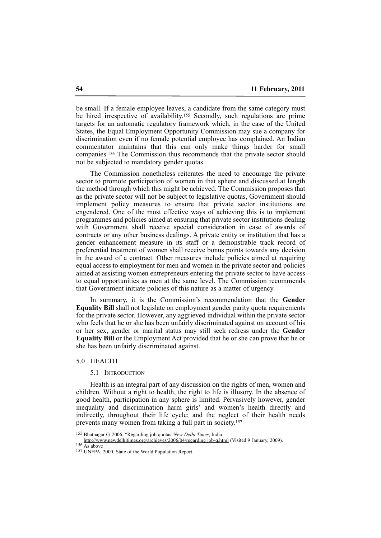be small. If a female employee leaves, a candidate from the same category must be hired irrespective of availability.155 Secondly, such regulations are prime targets for an automatic regulatory framework which, in the case of the United States, the Equal Employment Opportunity Commission may sue a company for discrimination even if no female potential employee has complained. An Indian commentator maintains that this can only make things harder for small companies.156 The Commission thus recommends that the private sector should not be subjected to mandatory gender quotas.

The Commission nonetheless reiterates the need to encourage the private sector to promote participation of women in that sphere and discussed at length the method through which this might be achieved. The Commission proposes that as the private sector will not be subject to legislative quotas, Government should implement policy measures to ensure that private sector institutions are engendered. One of the most effective ways of achieving this is to implement programmes and policies aimed at ensuring that private sector institutions dealing with Government shall receive special consideration in case of awards of contracts or any other business dealings. A private entity or institution that has a gender enhancement measure in its staff or a demonstrable track record of preferential treatment of women shall receive bonus points towards any decision in the award of a contract. Other measures include policies aimed at requiring equal access to employment for men and women in the private sector and policies aimed at assisting women entrepreneurs entering the private sector to have access to equal opportunities as men at the same level. The Commission recommends that Government initiate policies of this nature as a matter of urgency.

In summary, it is the Commission's recommendation that the **Gender Equality Bill** shall not legislate on employment gender parity quota requirements for the private sector. However, any aggrieved individual within the private sector who feels that he or she has been unfairly discriminated against on account of his or her sex, gender or marital status may still seek redress under the **Gender Equality Bill** or the Employment Act provided that he or she can prove that he or she has been unfairly discriminated against.

# 5.0 HEALTH

#### 5.1 INTRODUCTION

Health is an integral part of any discussion on the rights of men, women and children. Without a right to health, the right to life is illusory. In the absence of good health, participation in any sphere is limited. Pervasively however, gender inequality and discrimination harm girls' and women's health directly and indirectly, throughout their life cycle; and the neglect of their health needs prevents many women from taking a full part in society.157

<sup>155</sup> Bhatnagar G, 2006; "Regarding job quotas"*New Delhi Times*, India.

http://www.newdelhitimes.org/archieves/2006/04/regarding job-q.html (Visited 9 January, 2009).  $156 \overline{\text{As above}}$ 

<sup>157</sup> UNFPA, 2000, State of the World Population Report.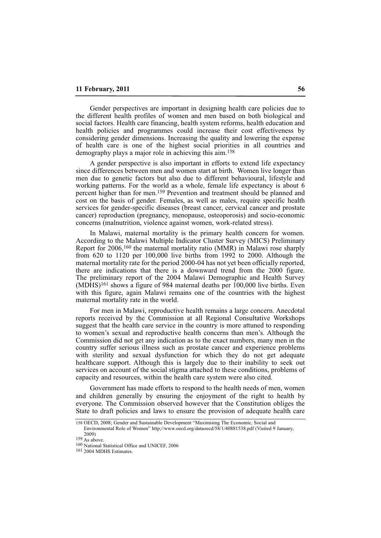Gender perspectives are important in designing health care policies due to the different health profiles of women and men based on both biological and social factors. Health care financing, health system reforms, health education and health policies and programmes could increase their cost effectiveness by considering gender dimensions. Increasing the quality and lowering the expense of health care is one of the highest social priorities in all countries and demography plays a major role in achieving this aim.158

A gender perspective is also important in efforts to extend life expectancy since differences between men and women start at birth. Women live longer than men due to genetic factors but also due to different behavioural, lifestyle and working patterns. For the world as a whole, female life expectancy is about 6 percent higher than for men.159 Prevention and treatment should be planned and cost on the basis of gender. Females, as well as males, require specific health services for gender-specific diseases (breast cancer, cervical cancer and prostate cancer) reproduction (pregnancy, menopause, osteoporosis) and socio-economic concerns (malnutrition, violence against women, work-related stress).

In Malawi, maternal mortality is the primary health concern for women. According to the Malawi Multiple Indicator Cluster Survey (MICS) Preliminary Report for 2006,160 the maternal mortality ratio (MMR) in Malawi rose sharply from 620 to 1120 per 100,000 live births from 1992 to 2000. Although the maternal mortality rate for the period 2000-04 has not yet been officially reported, there are indications that there is a downward trend from the 2000 figure. The preliminary report of the 2004 Malawi Demographic and Health Survey (MDHS)161 shows a figure of 984 maternal deaths per 100,000 live births. Even with this figure, again Malawi remains one of the countries with the highest maternal mortality rate in the world.

For men in Malawi, reproductive health remains a large concern. Anecdotal reports received by the Commission at all Regional Consultative Workshops suggest that the health care service in the country is more attuned to responding to women's sexual and reproductive health concerns than men's. Although the Commission did not get any indication as to the exact numbers, many men in the country suffer serious illness such as prostate cancer and experience problems with sterility and sexual dysfunction for which they do not get adequate healthcare support. Although this is largely due to their inability to seek out services on account of the social stigma attached to these conditions, problems of capacity and resources, within the health care system were also cited.

Government has made efforts to respond to the health needs of men, women and children generally by ensuring the enjoyment of the right to health by everyone. The Commission observed however that the Constitution obliges the State to draft policies and laws to ensure the provision of adequate health care

<sup>158</sup> OECD, 2008; Gender and Sustainable Development "Maximising The Economic, Social and

Environmental Role of Women" http;//www.oecd.org/dataoecd/58/1/40881538.pdf (Visited 9 January, 2009)

 $159$  As above.

<sup>160</sup> National Statistical Office and UNICEF, 2006

<sup>161</sup> 2004 MDHS Estimates.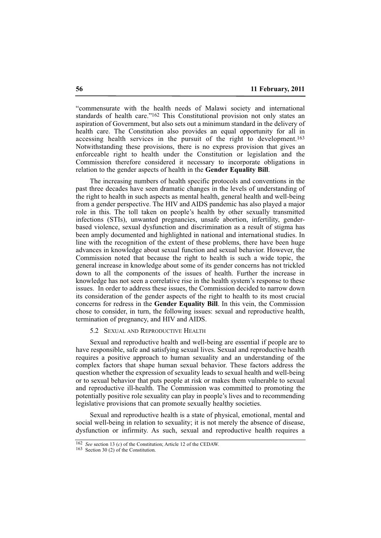"commensurate with the health needs of Malawi society and international standards of health care."162 This Constitutional provision not only states an aspiration of Government, but also sets out a minimum standard in the delivery of health care. The Constitution also provides an equal opportunity for all in accessing health services in the pursuit of the right to development.163 Notwithstanding these provisions, there is no express provision that gives an enforceable right to health under the Constitution or legislation and the Commission therefore considered it necessary to incorporate obligations in relation to the gender aspects of health in the **Gender Equality Bill**.

The increasing numbers of health specific protocols and conventions in the past three decades have seen dramatic changes in the levels of understanding of the right to health in such aspects as mental health, general health and well-being from a gender perspective. The HIV and AIDS pandemic has also played a major role in this. The toll taken on people's health by other sexually transmitted infections (STIs), unwanted pregnancies, unsafe abortion, infertility, genderbased violence, sexual dysfunction and discrimination as a result of stigma has been amply documented and highlighted in national and international studies. In line with the recognition of the extent of these problems, there have been huge advances in knowledge about sexual function and sexual behavior. However, the Commission noted that because the right to health is such a wide topic, the general increase in knowledge about some of its gender concerns has not trickled down to all the components of the issues of health. Further the increase in knowledge has not seen a correlative rise in the health system's response to these issues. In order to address these issues, the Commission decided to narrow down its consideration of the gender aspects of the right to health to its most crucial concerns for redress in the **Gender Equality Bill**. In this vein, the Commission chose to consider, in turn, the following issues: sexual and reproductive health, termination of pregnancy, and HIV and AIDS.

#### 5.2 SEXUAL AND REPRODUCTIVE HEALTH

Sexual and reproductive health and well-being are essential if people are to have responsible, safe and satisfying sexual lives. Sexual and reproductive health requires a positive approach to human sexuality and an understanding of the complex factors that shape human sexual behavior. These factors address the question whether the expression of sexuality leads to sexual health and well-being or to sexual behavior that puts people at risk or makes them vulnerable to sexual and reproductive ill-health. The Commission was committed to promoting the potentially positive role sexuality can play in people's lives and to recommending legislative provisions that can promote sexually healthy societies.

Sexual and reproductive health is a state of physical, emotional, mental and social well-being in relation to sexuality; it is not merely the absence of disease, dysfunction or infirmity. As such, sexual and reproductive health requires a

<sup>162</sup> *See* section 13 (*c*) of the Constitution; Article 12 of the CEDAW.

<sup>163</sup> Section 30 (2) of the Constitution.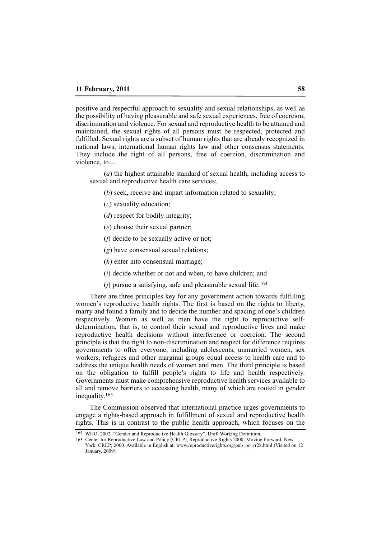positive and respectful approach to sexuality and sexual relationships, as well as the possibility of having pleasurable and safe sexual experiences, free of coercion, discrimination and violence. For sexual and reproductive health to be attained and maintained, the sexual rights of all persons must be respected, protected and fulfilled. Sexual rights are a subset of human rights that are already recognized in national laws, international human rights law and other consensus statements. They include the right of all persons, free of coercion, discrimination and violence, to-

(*a*) the highest attainable standard of sexual health, including access to sexual and reproductive health care services;

(*b*) seek, receive and impart information related to sexuality;

- (*c*) sexuality education;
- (*d*) respect for bodily integrity;
- (*e*) choose their sexual partner;
- (*f*) decide to be sexually active or not;
- (*g*) have consensual sexual relations;
- (*h*) enter into consensual marriage;
- (*i*) decide whether or not and when, to have children; and
- (*j*) pursue a satisfying, safe and pleasurable sexual life.164

There are three principles key for any government action towards fulfilling women's reproductive health rights. The first is based on the rights to liberty, marry and found a family and to decide the number and spacing of one's children respectively. Women as well as men have the right to reproductive selfdetermination, that is, to control their sexual and reproductive lives and make reproductive health decisions without interference or coercion. The second principle is that the right to non-discrimination and respect for difference requires governments to offer everyone, including adolescents, unmarried women, sex workers, refugees and other marginal groups equal access to health care and to address the unique health needs of women and men. The third principle is based on the obligation to fulfill people's rights to life and health respectively. Governments must make comprehensive reproductive health services available to all and remove barriers to accessing health, many of which are rooted in gender inequality.165

The Commission observed that international practice urges governments to engage a rights-based approach in fulfillment of sexual and reproductive health rights. This is in contrast to the public health approach, which focuses on the

<sup>164</sup> WHO, 2002, "Gender and Reproductive Health Glossary", Draft Working Definition.

<sup>165</sup> Center for Reproductive Law and Policy (CRLP), Reproductive Rights 2000: Moving Forward. New York: CRLP; 2000. Available in English at: www.reproductiverights.org/pub\_bo\_rr2k.html (Visited on 12 January, 2009).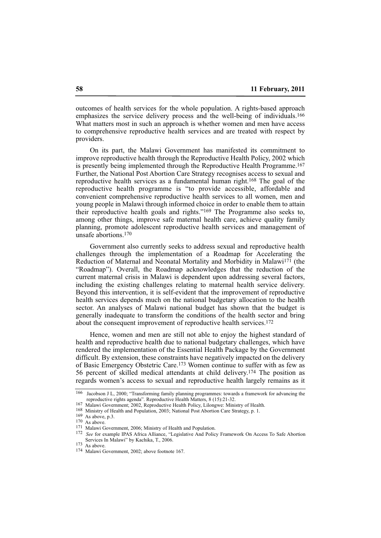outcomes of health services for the whole population. A rights-based approach emphasizes the service delivery process and the well-being of individuals.166 What matters most in such an approach is whether women and men have access to comprehensive reproductive health services and are treated with respect by providers.

On its part, the Malawi Government has manifested its commitment to improve reproductive health through the Reproductive Health Policy, 2002 which is presently being implemented through the Reproductive Health Programme.<sup>167</sup> Further, the National Post Abortion Care Strategy recognises access to sexual and reproductive health services as a fundamental human right.168 The goal of the reproductive health programme is "to provide accessible, affordable and convenient comprehensive reproductive health services to all women, men and young people in Malawi through informed choice in order to enable them to attain their reproductive health goals and rights."169 The Programme also seeks to, among other things, improve safe maternal health care, achieve quality family planning, promote adolescent reproductive health services and management of unsafe abortions.<sup>170</sup>

Government also currently seeks to address sexual and reproductive health challenges through the implementation of a Roadmap for Accelerating the Reduction of Maternal and Neonatal Mortality and Morbidity in Malawi171 (the "Roadmap"). Overall, the Roadmap acknowledges that the reduction of the current maternal crisis in Malawi is dependent upon addressing several factors, including the existing challenges relating to maternal health service delivery. Beyond this intervention, it is self-evident that the improvement of reproductive health services depends much on the national budgetary allocation to the health sector. An analyses of Malawi national budget has shown that the budget is generally inadequate to transform the conditions of the health sector and bring about the consequent improvement of reproductive health services.172

Hence, women and men are still not able to enjoy the highest standard of health and reproductive health due to national budgetary challenges, which have rendered the implementation of the Essential Health Package by the Government difficult. By extension, these constraints have negatively impacted on the delivery of Basic Emergency Obstetric Care.173 Women continue to suffer with as few as 56 percent of skilled medical attendants at child delivery.174 The position as regards women's access to sexual and reproductive health largely remains as it

<sup>166</sup> Jacobson J L, 2000; "Transforming family planning programmes: towards a framework for advancing the reproductive rights agenda". Reproductive Health Matters, 8 (15):21-32.

<sup>167</sup> Malawi Government; 2002, Reproductive Health Policy, Lilongwe: Ministry of Health.

<sup>168</sup> Ministry of Health and Population, 2003; National Post Abortion Care Strategy, p. 1.

<sup>169</sup> As above, p.3.

<sup>170</sup> As above.

<sup>171</sup> Malawi Government, 2006; Ministry of Health and Population.

<sup>172</sup> *See* for example IPAS Africa Alliance, "Legislative And Policy Framework On Access To Safe Abortion Services In Malawi" by Kachika, T., 2006.

<sup>173</sup> As above.

<sup>174</sup> Malawi Government, 2002; above footnote 167.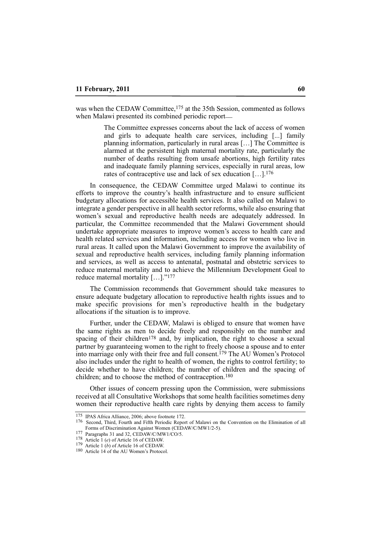was when the CEDAW Committee,<sup>175</sup> at the 35th Session, commented as follows when Malawi presented its combined periodic report—

> The Committee expresses concerns about the lack of access of women and girls to adequate health care services, including [...] family planning information, particularly in rural areas […] The Committee is alarmed at the persistent high maternal mortality rate, particularly the number of deaths resulting from unsafe abortions, high fertility rates and inadequate family planning services, especially in rural areas, low rates of contraceptive use and lack of sex education […].176

In consequence, the CEDAW Committee urged Malawi to continue its efforts to improve the country's health infrastructure and to ensure sufficient budgetary allocations for accessible health services. It also called on Malawi to integrate a gender perspective in all health sector reforms, while also ensuring that women's sexual and reproductive health needs are adequately addressed. In particular, the Committee recommended that the Malawi Government should undertake appropriate measures to improve women's access to health care and health related services and information, including access for women who live in rural areas. It called upon the Malawi Government to improve the availability of sexual and reproductive health services, including family planning information and services, as well as access to antenatal, postnatal and obstetric services to reduce maternal mortality and to achieve the Millennium Development Goal to reduce maternal mortality […]."177

The Commission recommends that Government should take measures to ensure adequate budgetary allocation to reproductive health rights issues and to make specific provisions for men's reproductive health in the budgetary allocations if the situation is to improve.

Further, under the CEDAW, Malawi is obliged to ensure that women have the same rights as men to decide freely and responsibly on the number and spacing of their children<sup>178</sup> and, by implication, the right to choose a sexual partner by guaranteeing women to the right to freely choose a spouse and to enter into marriage only with their free and full consent.179 The AU Women's Protocol also includes under the right to health of women, the rights to control fertility; to decide whether to have children; the number of children and the spacing of children; and to choose the method of contraception.180

Other issues of concern pressing upon the Commission, were submissions received at all Consultative Workshops that some health facilities sometimes deny women their reproductive health care rights by denying them access to family

<sup>175</sup> IPAS Africa Alliance, 2006; above footnote 172.

<sup>176</sup> Second, Third, Fourth and Fifth Periodic Report of Malawi on the Convention on the Elimination of all Forms of Discrimination Against Women (CEDAW/C/MW1/2-5).

<sup>177</sup> Paragraphs 31 and 32, CEDAW/C/MW1/CO/5.

<sup>178</sup> Article 1 (*e*) of Article 16 of CEDAW.

<sup>179</sup> Article 1 (*b*) of Article 16 of CEDAW.

<sup>180</sup> Article 14 of the AU Women's Protocol.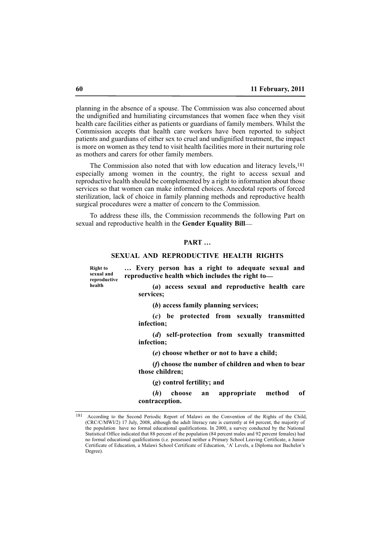planning in the absence of a spouse. The Commission was also concerned about the undignified and humiliating circumstances that women face when they visit health care facilities either as patients or guardians of family members. Whilst the Commission accepts that health care workers have been reported to subject patients and guardians of either sex to cruel and undignified treatment, the impact is more on women as they tend to visit health facilities more in their nurturing role as mothers and carers for other family members.

The Commission also noted that with low education and literacy levels,181 especially among women in the country, the right to access sexual and reproductive health should be complemented by a right to information about those services so that women can make informed choices. Anecdotal reports of forced sterilization, lack of choice in family planning methods and reproductive health surgical procedures were a matter of concern to the Commission.

To address these ills, the Commission recommends the following Part on sexual and reproductive health in the **Gender Equality Bill**—

# **PART …**

# **SEXUAL AND REPRODUCTIVE HEALTH RIGHTS**

**Right to sexual and reproductive health**

**… Every person has a right to adequate sexual and reproductive health which includes the right to\_\_**

**(***a***) access sexual and reproductive health care services;**

**(***b***) access family planning services;**

**(***c***) be protected from sexually transmitted infection;**

**(***d***) self-protection from sexually transmitted infection;**

**(***e***) choose whether or not to have a child;**

**(***f***) choose the number of children and when to bear those children;** 

**(***g***) control fertility; and**

**(***h***) choose an appropriate method of contraception.**

<sup>181</sup> According to the Second Periodic Report of Malawi on the Convention of the Rights of the Child, (CRC/C/MWI/2) 17 July, 2008, although the adult literacy rate is currently at 64 percent, the majority of the population have no formal educational qualifications. In 2000, a survey conducted by the National Statistical Office indicated that 88 percent of the population (84 percent males and 92 percent females) had no formal educational qualifications (i.e. possessed neither a Primary School Leaving Certificate, a Junior Certificate of Education, a Malawi School Certificate of Education, 'A' Levels, a Diploma nor Bachelor's Degree).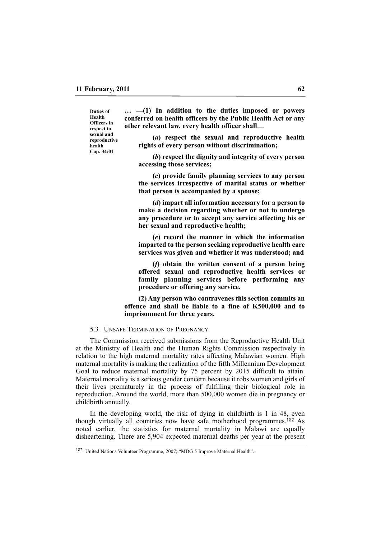**Duties of Health Officers in respect to sexual and reproductive health Cap. 34:01**

**… \_\_(1) In addition to the duties imposed or powers conferred on health officers by the Public Health Act or any other relevant law, every health officer shall\_\_**

**(***a***) respect the sexual and reproductive health rights of every person without discrimination;**

**(***b***) respect the dignity and integrity of every person accessing those services;**

**(***c***) provide family planning services to any person the services irrespective of marital status or whether that person is accompanied by a spouse;** 

**(***d***) impart all information necessary for a person to make a decision regarding whether or not to undergo any procedure or to accept any service affecting his or her sexual and reproductive health;**

**(***e***) record the manner in which the information imparted to the person seeking reproductive health care services was given and whether it was understood; and** 

**(***f***) obtain the written consent of a person being offered sexual and reproductive health services or family planning services before performing any procedure or offering any service.**

**(2) Any person who contravenes this section commits an offence and shall be liable to a fine of K500,000 and to imprisonment for three years.**

#### 5.3 UNSAFE TERMINATION OF PREGNANCY

The Commission received submissions from the Reproductive Health Unit at the Ministry of Health and the Human Rights Commission respectively in relation to the high maternal mortality rates affecting Malawian women. High maternal mortality is making the realization of the fifth Millennium Development Goal to reduce maternal mortality by 75 percent by 2015 difficult to attain. Maternal mortality is a serious gender concern because it robs women and girls of their lives prematurely in the process of fulfilling their biological role in reproduction. Around the world, more than 500,000 women die in pregnancy or childbirth annually.

In the developing world, the risk of dying in childbirth is 1 in 48, even though virtually all countries now have safe motherhood programmes.182 As noted earlier, the statistics for maternal mortality in Malawi are equally disheartening. There are 5,904 expected maternal deaths per year at the present

<sup>182</sup> United Nations Volunteer Programme, 2007; "MDG 5 Improve Maternal Health".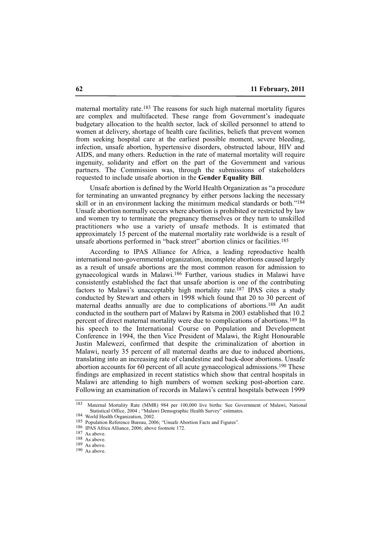maternal mortality rate.183 The reasons for such high maternal mortality figures are complex and multifaceted. These range from Government's inadequate budgetary allocation to the health sector, lack of skilled personnel to attend to women at delivery, shortage of health care facilities, beliefs that prevent women from seeking hospital care at the earliest possible moment, severe bleeding, infection, unsafe abortion, hypertensive disorders, obstructed labour, HIV and AIDS, and many others. Reduction in the rate of maternal mortality will require ingenuity, solidarity and effort on the part of the Government and various partners. The Commission was, through the submissions of stakeholders requested to include unsafe abortion in the **Gender Equality Bill**.

Unsafe abortion is defined by the World Health Organization as "a procedure for terminating an unwanted pregnancy by either persons lacking the necessary skill or in an environment lacking the minimum medical standards or both."184 Unsafe abortion normally occurs where abortion is prohibited or restricted by law and women try to terminate the pregnancy themselves or they turn to unskilled practitioners who use a variety of unsafe methods. It is estimated that approximately 15 percent of the maternal mortality rate worldwide is a result of unsafe abortions performed in "back street" abortion clinics or facilities.185

According to IPAS Alliance for Africa, a leading reproductive health international non-governmental organization, incomplete abortions caused largely as a result of unsafe abortions are the most common reason for admission to gynaecological wards in Malawi.186 Further, various studies in Malawi have consistently established the fact that unsafe abortion is one of the contributing factors to Malawi's unacceptably high mortality rate.187 IPAS cites a study conducted by Stewart and others in 1998 which found that 20 to 30 percent of maternal deaths annually are due to complications of abortions.<sup>188</sup> An audit conducted in the southern part of Malawi by Ratsma in 2003 established that 10.2 percent of direct maternal mortality were due to complications of abortions.189 In his speech to the International Course on Population and Development Conference in 1994, the then Vice President of Malawi, the Right Honourable Justin Malewezi, confirmed that despite the criminalization of abortion in Malawi, nearly 35 percent of all maternal deaths are due to induced abortions, translating into an increasing rate of clandestine and back-door abortions. Unsafe abortion accounts for 60 percent of all acute gynaecological admissions.190 These findings are emphasized in recent statistics which show that central hospitals in Malawi are attending to high numbers of women seeking post-abortion care. Following an examination of records in Malawi's central hospitals between 1999

<sup>183</sup> Maternal Mortality Rate (MMR) 984 per 100,000 live births: See Government of Malawi, National Statistical Office, 2004 ; "Malawi Demographic Health Survey" estimates.

<sup>184</sup> World Health Organization, 2002.

<sup>185</sup> Population Reference Bureau, 2006; "Unsafe Abortion Facts and Figures".

<sup>186</sup> IPAS Africa Alliance, 2006; above footnote 172.

<sup>187</sup> As above.

<sup>188</sup> As above.

 $189$  As above.

<sup>190</sup> As above.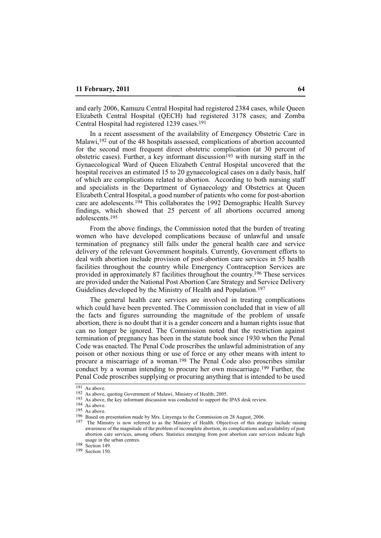and early 2006, Kamuzu Central Hospital had registered 2384 cases, while Queen Elizabeth Central Hospital (QECH) had registered 3178 cases; and Zomba Central Hospital had registered 1239 cases.191

In a recent assessment of the availability of Emergency Obstetric Care in Malawi,192 out of the 48 hospitals assessed, complications of abortion accounted for the second most frequent direct obstetric complication (at 30 percent of obstetric cases). Further, a key informant discussion<sup>193</sup> with nursing staff in the Gynaecological Ward of Queen Elizabeth Central Hospital uncovered that the hospital receives an estimated 15 to 20 gynaecological cases on a daily basis, half of which are complications related to abortion. According to both nursing staff and specialists in the Department of Gynaecology and Obstetrics at Queen Elizabeth Central Hospital, a good number of patients who come for post-abortion care are adolescents.194 This collaborates the 1992 Demographic Health Survey findings, which showed that 25 percent of all abortions occurred among adolescents.195

From the above findings, the Commission noted that the burden of treating women who have developed complications because of unlawful and unsafe termination of pregnancy still falls under the general health care and service delivery of the relevant Government hospitals. Currently, Government efforts to deal with abortion include provision of post-abortion care services in 55 health facilities throughout the country while Emergency Contraception Services are provided in approximately 87 facilities throughout the country.196 These services are provided under the National Post Abortion Care Strategy and Service Delivery Guidelines developed by the Ministry of Health and Population.197

The general health care services are involved in treating complications which could have been prevented. The Commission concluded that in view of all the facts and figures surrounding the magnitude of the problem of unsafe abortion, there is no doubt that it is a gender concern and a human rights issue that can no longer be ignored. The Commission noted that the restriction against termination of pregnancy has been in the statute book since 1930 when the Penal Code was enacted. The Penal Code proscribes the unlawful administration of any poison or other noxious thing or use of force or any other means with intent to procure a miscarriage of a woman.198 The Penal Code also proscribes similar conduct by a woman intending to procure her own miscarriage.199 Further, the Penal Code proscribes supplying or procuring anything that is intended to be used

<sup>191</sup> As above.

<sup>192</sup> As above, quoting Government of Malawi, Ministry of Health; 2005.

<sup>&</sup>lt;sup>193</sup> As above, the key informant discussion was conducted to support the IPAS desk review.

<sup>194</sup> As above.

<sup>195</sup> As above.

<sup>196</sup> Based on presentation made by Mrs. Linyenga to the Commission on 28 August, 2006.

<sup>&</sup>lt;sup>197</sup> The Ministry is now referred to as the Ministry of Health. Objectives of this strategy include raising awareness of the magnitude of the problem of incomplete abortion, its complications and availability of post abortion care services, among others. Statistics emerging from post abortion care services indicate high usage in the urban centres.

<sup>198</sup> Section 149.

<sup>199</sup> Section 150.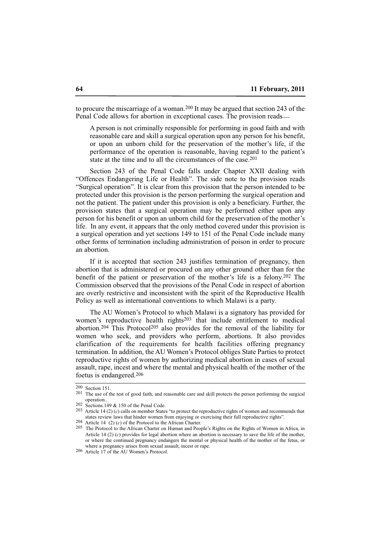to procure the miscarriage of a woman.200 It may be argued that section 243 of the Penal Code allows for abortion in exceptional cases. The provision reads—

A person is not criminally responsible for performing in good faith and with reasonable care and skill a surgical operation upon any person for his benefit, or upon an unborn child for the preservation of the mother's life, if the performance of the operation is reasonable, having regard to the patient's state at the time and to all the circumstances of the case.<sup>201</sup>

Section 243 of the Penal Code falls under Chapter XXII dealing with "Offences Endangering Life or Health". The side note to the provision reads "Surgical operation". It is clear from this provision that the person intended to be protected under this provision is the person performing the surgical operation and not the patient. The patient under this provision is only a beneficiary. Further, the provision states that a surgical operation may be performed either upon any person for his benefit or upon an unborn child for the preservation of the mother's life. In any event, it appears that the only method covered under this provision is a surgical operation and yet sections 149 to 151 of the Penal Code include many other forms of termination including administration of poison in order to procure an abortion.

If it is accepted that section 243 justifies termination of pregnancy, then abortion that is administered or procured on any other ground other than for the benefit of the patient or preservation of the mother's life is a felony.202 The Commission observed that the provisions of the Penal Code in respect of abortion are overly restrictive and inconsistent with the spirit of the Reproductive Health Policy as well as international conventions to which Malawi is a party.

The AU Women's Protocol to which Malawi is a signatory has provided for women's reproductive health rights<sup>203</sup> that include entitlement to medical abortion.<sup>204</sup> This Protocol<sup>205</sup> also provides for the removal of the liability for women who seek, and providers who perform, abortions. It also provides clarification of the requirements for health facilities offering pregnancy termination. In addition, the AU Women's Protocol obliges State Parties to protect reproductive rights of women by authorizing medical abortion in cases of sexual assault, rape, incest and where the mental and physical health of the mother of the foetus is endangered.206

<sup>200</sup> Section 151.

<sup>&</sup>lt;sup>201</sup> The use of the test of good faith, and reasonable care and skill protects the person performing the surgical operation..

<sup>202</sup> Sections.149 & 150 of the Penal Code.

<sup>203</sup> Article 14 (2) (*c*) calls on member States "to protect the reproductive rights of women and recommends that states review laws that hinder women from enjoying or exercising their full reproductive rights". 204 Article 14 (2) (*c*) of the Protocol to the African Charter.

<sup>205</sup> The Protocol to the African Charter on Human and People's Rights on the Rights of Women in Africa, in Article 14 (2) (*c*) provides for legal abortion where an abortion is necessary to save the life of the mother, or where the continued pregnancy endangers the mental or physical health of the mother of the fetus, or where a pregnancy arises from sexual assault, incest or rape.

<sup>206</sup> Article 17 of the AU Women's Protocol.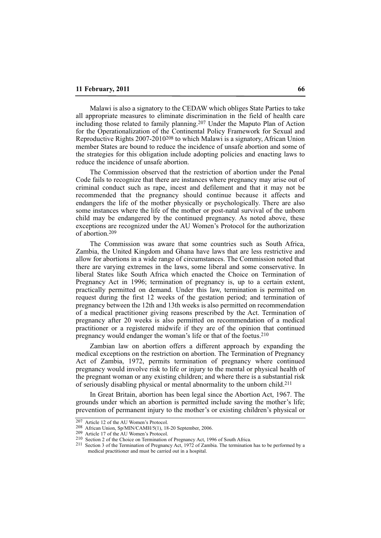Malawi is also a signatory to the CEDAW which obliges State Parties to take all appropriate measures to eliminate discrimination in the field of health care including those related to family planning.207 Under the Maputo Plan of Action for the Operationalization of the Continental Policy Framework for Sexual and Reproductive Rights 2007-2010208 to which Malawi is a signatory, African Union member States are bound to reduce the incidence of unsafe abortion and some of the strategies for this obligation include adopting policies and enacting laws to reduce the incidence of unsafe abortion.

The Commission observed that the restriction of abortion under the Penal Code fails to recognize that there are instances where pregnancy may arise out of criminal conduct such as rape, incest and defilement and that it may not be recommended that the pregnancy should continue because it affects and endangers the life of the mother physically or psychologically. There are also some instances where the life of the mother or post-natal survival of the unborn child may be endangered by the continued pregnancy. As noted above, these exceptions are recognized under the AU Women's Protocol for the authorization of abortion.209

The Commission was aware that some countries such as South Africa, Zambia, the United Kingdom and Ghana have laws that are less restrictive and allow for abortions in a wide range of circumstances. The Commission noted that there are varying extremes in the laws, some liberal and some conservative. In liberal States like South Africa which enacted the Choice on Termination of Pregnancy Act in 1996; termination of pregnancy is, up to a certain extent, practically permitted on demand. Under this law, termination is permitted on request during the first 12 weeks of the gestation period; and termination of pregnancy between the 12th and 13th weeks is also permitted on recommendation of a medical practitioner giving reasons prescribed by the Act. Termination of pregnancy after 20 weeks is also permitted on recommendation of a medical practitioner or a registered midwife if they are of the opinion that continued pregnancy would endanger the woman's life or that of the foetus.210

Zambian law on abortion offers a different approach by expanding the medical exceptions on the restriction on abortion. The Termination of Pregnancy Act of Zambia, 1972, permits termination of pregnancy where continued pregnancy would involve risk to life or injury to the mental or physical health of the pregnant woman or any existing children; and where there is a substantial risk of seriously disabling physical or mental abnormality to the unborn child.211

In Great Britain, abortion has been legal since the Abortion Act, 1967. The grounds under which an abortion is permitted include saving the mother's life; prevention of permanent injury to the mother's or existing children's physical or

<sup>207</sup> Article 12 of the AU Women's Protocol.

<sup>208</sup> African Union, Sp/MIN/CAMH/5(1), 18-20 September, 2006.

<sup>209</sup> Article 17 of the AU Women's Protocol.

<sup>210</sup> Section 2 of the Choice on Termination of Pregnancy Act, 1996 of South Africa.

<sup>211</sup> Section 3 of the Termination of Pregnancy Act, 1972 of Zambia. The termination has to be performed by a medical practitioner and must be carried out in a hospital.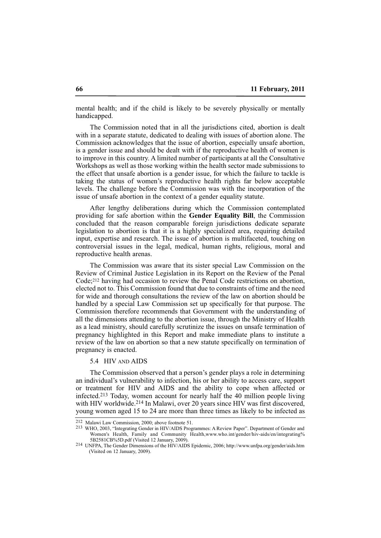mental health; and if the child is likely to be severely physically or mentally handicapped.

The Commission noted that in all the jurisdictions cited, abortion is dealt with in a separate statute, dedicated to dealing with issues of abortion alone. The Commission acknowledges that the issue of abortion, especially unsafe abortion, is a gender issue and should be dealt with if the reproductive health of women is to improve in this country. A limited number of participants at all the Consultative Workshops as well as those working within the health sector made submissions to the effect that unsafe abortion is a gender issue, for which the failure to tackle is taking the status of women's reproductive health rights far below acceptable levels. The challenge before the Commission was with the incorporation of the issue of unsafe abortion in the context of a gender equality statute.

After lengthy deliberations during which the Commission contemplated providing for safe abortion within the **Gender Equality Bill**, the Commission concluded that the reason comparable foreign jurisdictions dedicate separate legislation to abortion is that it is a highly specialized area, requiring detailed input, expertise and research. The issue of abortion is multifaceted, touching on controversial issues in the legal, medical, human rights, religious, moral and reproductive health arenas.

The Commission was aware that its sister special Law Commission on the Review of Criminal Justice Legislation in its Report on the Review of the Penal Code;212 having had occasion to review the Penal Code restrictions on abortion, elected not to. This Commission found that due to constraints of time and the need for wide and thorough consultations the review of the law on abortion should be handled by a special Law Commission set up specifically for that purpose. The Commission therefore recommends that Government with the understanding of all the dimensions attending to the abortion issue, through the Ministry of Health as a lead ministry, should carefully scrutinize the issues on unsafe termination of pregnancy highlighted in this Report and make immediate plans to institute a review of the law on abortion so that a new statute specifically on termination of pregnancy is enacted.

## 5.4 HIV AND AIDS

The Commission observed that a person's gender plays a role in determining an individual's vulnerability to infection, his or her ability to access care, support or treatment for HIV and AIDS and the ability to cope when affected or infected.213 Today, women account for nearly half the 40 million people living with HIV worldwide.<sup>214</sup> In Malawi, over 20 years since HIV was first discovered, young women aged 15 to 24 are more than three times as likely to be infected as

<sup>212</sup> Malawi Law Commission, 2000; above footnote 51.

<sup>213</sup> WHO, 2003, "Integrating Gender in HIV/AIDS Programmes: A Review Paper". Department of Gender and Women's Health, Family and Community Health,www.who.int/gender/hiv-aids/en/integrating% 5B2581CB%5D.pdf (Visited 12 January, 2009).

<sup>214</sup> UNFPA, The Gender Dimensions of the HIV/AIDS Epidemic, 2006; http://www.unfpa.org/gender/aids.htm (Visited on 12 January, 2009).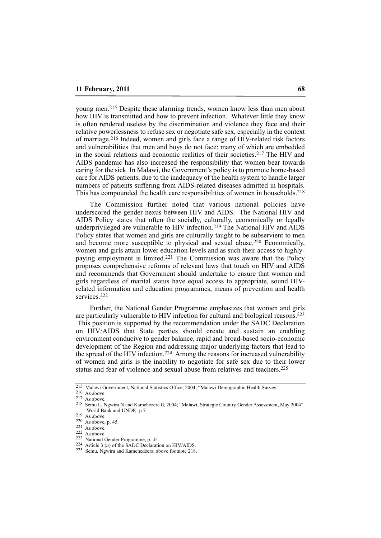young men.215 Despite these alarming trends, women know less than men about how HIV is transmitted and how to prevent infection. Whatever little they know is often rendered useless by the discrimination and violence they face and their relative powerlessness to refuse sex or negotiate safe sex, especially in the context of marriage.216 Indeed, women and girls face a range of HIV-related risk factors and vulnerabilities that men and boys do not face; many of which are embedded in the social relations and economic realities of their societies.217 The HIV and AIDS pandemic has also increased the responsibility that women bear towards caring for the sick. In Malawi, the Government's policy is to promote home-based care for AIDS patients, due to the inadequacy of the health system to handle larger numbers of patients suffering from AIDS-related diseases admitted in hospitals. This has compounded the health care responsibilities of women in households.218

The Commission further noted that various national policies have underscored the gender nexus between HIV and AIDS. The National HIV and AIDS Policy states that often the socially, culturally, economically or legally underprivileged are vulnerable to HIV infection.219 The National HIV and AIDS Policy states that women and girls are culturally taught to be subservient to men and become more susceptible to physical and sexual abuse.220 Economically, women and girls attain lower education levels and as such their access to highlypaying employment is limited.221 The Commission was aware that the Policy proposes comprehensive reforms of relevant laws that touch on HIV and AIDS and recommends that Government should undertake to ensure that women and girls regardless of marital status have equal access to appropriate, sound HIVrelated information and education programmes, means of prevention and health services.222

Further, the National Gender Programme emphasizes that women and girls are particularly vulnerable to HIV infection for cultural and biological reasons.223 This position is supported by the recommendation under the SADC Declaration on HIV/AIDS that State parties should create and sustain an enabling environment conducive to gender balance, rapid and broad-based socio-economic development of the Region and addressing major underlying factors that lead to the spread of the HIV infection.224 Among the reasons for increased vulnerability of women and girls is the inability to negotiate for safe sex due to their lower status and fear of violence and sexual abuse from relatives and teachers.225

<sup>215</sup> Malawi Government, National Statistics Office, 2004; "Malawi Demographic Health Survey".

<sup>216</sup> As above.

<sup>217</sup> As above.

<sup>218</sup> Semu L, Ngwira N and Kamchezera G, 2004; "Malawi, Strategic Country Gender Assessment, May 2004". World Bank and UNDP, p.7.

<sup>219</sup> As above.

<sup>220</sup> As above, p. 45.

<sup>221</sup> As above.

<sup>222</sup> As above.

<sup>223</sup> National Gender Programme, p. 45.

<sup>224</sup> Article 3 (*a*) of the SADC Declaration on HIV/AIDS.

<sup>225</sup> Semu, Ngwira and Kamchedzera, above footnote 218.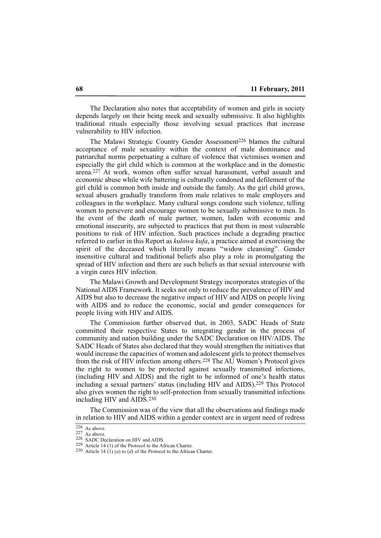The Declaration also notes that acceptability of women and girls in society depends largely on their being meek and sexually submissive. It also highlights traditional rituals especially those involving sexual practices that increase vulnerability to HIV infection.

The Malawi Strategic Country Gender Assessment<sup>226</sup> blames the cultural acceptance of male sexuality within the context of male dominance and patriarchal norms perpetuating a culture of violence that victimises women and especially the girl child which is common at the workplace and in the domestic arena.227 At work, women often suffer sexual harassment, verbal assault and economic abuse while wife battering is culturally condoned and defilement of the girl child is common both inside and outside the family. As the girl child grows, sexual abusers gradually transform from male relatives to male employers and colleagues in the workplace. Many cultural songs condone such violence, telling women to persevere and encourage women to be sexually submissive to men. In the event of the death of male partner, women, laden with economic and emotional insecurity, are subjected to practices that put them in most vulnerable positions to risk of HIV infection. Such practices include a degrading practice referred to earlier in this Report as *kulowa kufa*, a practice aimed at exorcising the spirit of the deceased which literally means "widow cleansing". Gender insensitive cultural and traditional beliefs also play a role in promulgating the spread of HIV infection and there are such beliefs as that sexual intercourse with a virgin cures HIV infection.

The Malawi Growth and Development Strategy incorporates strategies of the National AIDS Framework. It seeks not only to reduce the prevalence of HIV and AIDS but also to decrease the negative impact of HIV and AIDS on people living with AIDS and to reduce the economic, social and gender consequences for people living with HIV and AIDS.

The Commission further observed that, in 2003, SADC Heads of State committed their respective States to integrating gender in the process of community and nation building under the SADC Declaration on HIV/AIDS. The SADC Heads of States also declared that they would strengthen the initiatives that would increase the capacities of women and adolescent girls to protect themselves from the risk of HIV infection among others.228 The AU Women's Protocol gives the right to women to be protected against sexually transmitted infections, (including HIV and AIDS) and the right to be informed of one's health status including a sexual partners' status (including HIV and AIDS).229 This Protocol also gives women the right to self-protection from sexually transmitted infections including HIV and AIDS.230

The Commission was of the view that all the observations and findings made in relation to HIV and AIDS within a gender context are in urgent need of redress

 $\overline{226}$  As above.

<sup>227</sup> As above.

<sup>228</sup> SADC Declaration on HIV and AIDS.

<sup>229</sup> Article 14 (1) of the Protocol to the African Charter.

<sup>&</sup>lt;sup>230</sup> Article 14  $(1)$  (*a*) to (*d*) of the Protocol to the African Charter.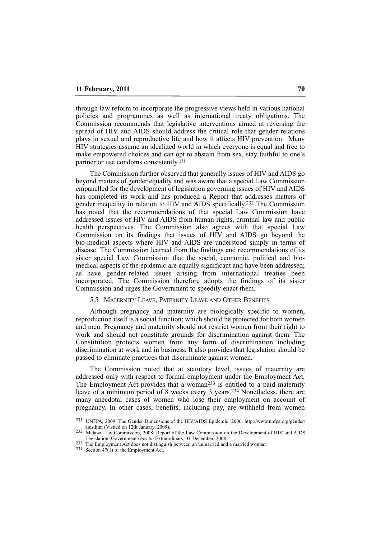through law reform to incorporate the progressive views held in various national policies and programmes as well as international treaty obligations. The Commission recommends that legislative interventions aimed at reversing the spread of HIV and AIDS should address the critical role that gender relations plays in sexual and reproductive life and how it affects HIV prevention. Many HIV strategies assume an idealized world in which everyone is equal and free to make empowered choices and can opt to abstain from sex, stay faithful to one's partner or use condoms consistently.231

The Commission further observed that generally issues of HIV and AIDS go beyond matters of gender equality and was aware that a special Law Commission empanelled for the development of legislation governing issues of HIV and AIDS has completed its work and has produced a Report that addresses matters of gender inequality in relation to HIV and AIDS specifically.232 The Commission has noted that the recommendations of that special Law Commission have addressed issues of HIV and AIDS from human rights, criminal law and public health perspectives. The Commission also agrees with that special Law Commission on its findings that issues of HIV and AIDS go beyond the bio-medical aspects where HIV and AIDS are understood simply in terms of disease. The Commission learned from the findings and recommendations of its sister special Law Commission that the social, economic, political and biomedical aspects of the epidemic are equally significant and have been addressed; as have gender-related issues arising from international treaties been incorporated. The Commission therefore adopts the findings of its sister Commission and urges the Government to speedily enact them.

#### 5.5 MATERNITY LEAVE, PATERNITY LEAVE AND OTHER BENEFITS

Although pregnancy and maternity are biologically specific to women, reproduction itself is a social function; which should be protected for both women and men. Pregnancy and maternity should not restrict women from their right to work and should not constitute grounds for discrimination against them. The Constitution protects women from any form of discrimination including discrimination at work and in business. It also provides that legislation should be passed to eliminate practices that discriminate against women.

The Commission noted that at statutory level, issues of maternity are addressed only with respect to formal employment under the Employment Act. The Employment Act provides that a woman<sup>233</sup> is entitled to a paid maternity leave of a minimum period of 8 weeks every 3 years.234 Nonetheless, there are many anecdotal cases of women who lose their employment on account of pregnancy. In other cases, benefits, including pay, are withheld from women

<sup>231</sup> UNFPA, 2009; The Gender Dimensions of the HIV/AIDS Epidemic: 2006; http://www.unfpa.org/gender/ aids.htm (Visited on 12th January, 2009).

<sup>232</sup> Malawi Law Commission, 2008; Report of the Law Commission on the Development of HIV and AIDS Legislation. Government *Gazette* Extraordinary, 31 December, 2008.

<sup>233</sup> The Employment Act does not distinguish between an unmarried and a married woman.

<sup>234</sup> Section 47(1) of the Employment Act.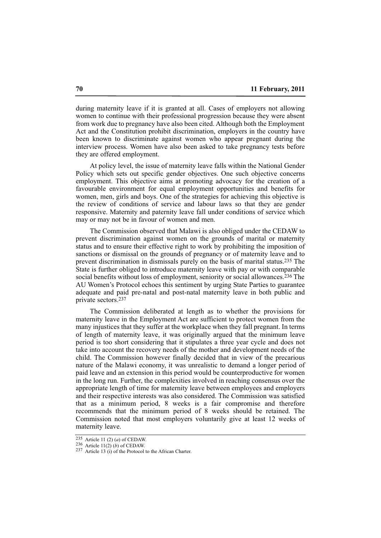during maternity leave if it is granted at all. Cases of employers not allowing women to continue with their professional progression because they were absent from work due to pregnancy have also been cited. Although both the Employment Act and the Constitution prohibit discrimination, employers in the country have been known to discriminate against women who appear pregnant during the interview process. Women have also been asked to take pregnancy tests before they are offered employment.

At policy level, the issue of maternity leave falls within the National Gender Policy which sets out specific gender objectives. One such objective concerns employment. This objective aims at promoting advocacy for the creation of a favourable environment for equal employment opportunities and benefits for women, men, girls and boys. One of the strategies for achieving this objective is the review of conditions of service and labour laws so that they are gender responsive. Maternity and paternity leave fall under conditions of service which may or may not be in favour of women and men.

The Commission observed that Malawi is also obliged under the CEDAW to prevent discrimination against women on the grounds of marital or maternity status and to ensure their effective right to work by prohibiting the imposition of sanctions or dismissal on the grounds of pregnancy or of maternity leave and to prevent discrimination in dismissals purely on the basis of marital status.235 The State is further obliged to introduce maternity leave with pay or with comparable social benefits without loss of employment, seniority or social allowances.<sup>236</sup> The AU Women's Protocol echoes this sentiment by urging State Parties to guarantee adequate and paid pre-natal and post-natal maternity leave in both public and private sectors.237

The Commission deliberated at length as to whether the provisions for maternity leave in the Employment Act are sufficient to protect women from the many injustices that they suffer at the workplace when they fall pregnant. In terms of length of maternity leave, it was originally argued that the minimum leave period is too short considering that it stipulates a three year cycle and does not take into account the recovery needs of the mother and development needs of the child. The Commission however finally decided that in view of the precarious nature of the Malawi economy, it was unrealistic to demand a longer period of paid leave and an extension in this period would be counterproductive for women in the long run. Further, the complexities involved in reaching consensus over the appropriate length of time for maternity leave between employees and employers and their respective interests was also considered. The Commission was satisfied that as a minimum period, 8 weeks is a fair compromise and therefore recommends that the minimum period of 8 weeks should be retained. The Commission noted that most employers voluntarily give at least 12 weeks of maternity leave.

<sup>235</sup> Article 11 (2) (*a*) of CEDAW.

<sup>236</sup> Article 11(2) (*b*) of CEDAW.

<sup>237</sup> Article 13 (i) of the Protocol to the African Charter.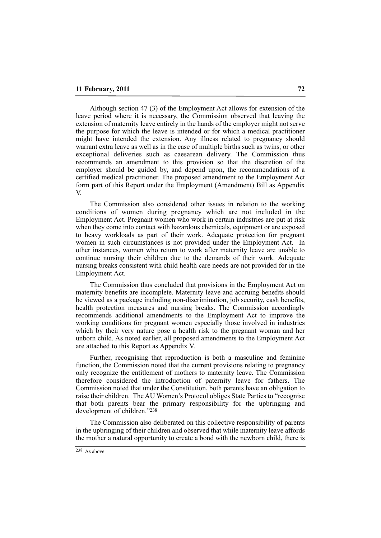Although section 47 (3) of the Employment Act allows for extension of the leave period where it is necessary, the Commission observed that leaving the extension of maternity leave entirely in the hands of the employer might not serve the purpose for which the leave is intended or for which a medical practitioner might have intended the extension. Any illness related to pregnancy should warrant extra leave as well as in the case of multiple births such as twins, or other exceptional deliveries such as caesarean delivery. The Commission thus recommends an amendment to this provision so that the discretion of the employer should be guided by, and depend upon, the recommendations of a certified medical practitioner. The proposed amendment to the Employment Act form part of this Report under the Employment (Amendment) Bill as Appendix V.

The Commission also considered other issues in relation to the working conditions of women during pregnancy which are not included in the Employment Act. Pregnant women who work in certain industries are put at risk when they come into contact with hazardous chemicals, equipment or are exposed to heavy workloads as part of their work. Adequate protection for pregnant women in such circumstances is not provided under the Employment Act. In other instances, women who return to work after maternity leave are unable to continue nursing their children due to the demands of their work. Adequate nursing breaks consistent with child health care needs are not provided for in the Employment Act.

The Commission thus concluded that provisions in the Employment Act on maternity benefits are incomplete. Maternity leave and accruing benefits should be viewed as a package including non-discrimination, job security, cash benefits, health protection measures and nursing breaks. The Commission accordingly recommends additional amendments to the Employment Act to improve the working conditions for pregnant women especially those involved in industries which by their very nature pose a health risk to the pregnant woman and her unborn child. As noted earlier, all proposed amendments to the Employment Act are attached to this Report as Appendix V.

Further, recognising that reproduction is both a masculine and feminine function, the Commission noted that the current provisions relating to pregnancy only recognize the entitlement of mothers to maternity leave. The Commission therefore considered the introduction of paternity leave for fathers. The Commission noted that under the Constitution, both parents have an obligation to raise their children. The AU Women's Protocol obliges State Parties to "recognise that both parents bear the primary responsibility for the upbringing and development of children."238

The Commission also deliberated on this collective responsibility of parents in the upbringing of their children and observed that while maternity leave affords the mother a natural opportunity to create a bond with the newborn child, there is

<sup>238</sup> As above.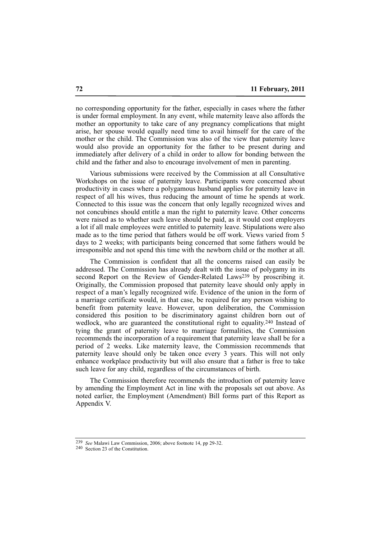no corresponding opportunity for the father, especially in cases where the father is under formal employment. In any event, while maternity leave also affords the mother an opportunity to take care of any pregnancy complications that might arise, her spouse would equally need time to avail himself for the care of the mother or the child. The Commission was also of the view that paternity leave would also provide an opportunity for the father to be present during and immediately after delivery of a child in order to allow for bonding between the child and the father and also to encourage involvement of men in parenting.

Various submissions were received by the Commission at all Consultative Workshops on the issue of paternity leave. Participants were concerned about productivity in cases where a polygamous husband applies for paternity leave in respect of all his wives, thus reducing the amount of time he spends at work. Connected to this issue was the concern that only legally recognized wives and not concubines should entitle a man the right to paternity leave. Other concerns were raised as to whether such leave should be paid, as it would cost employers a lot if all male employees were entitled to paternity leave. Stipulations were also made as to the time period that fathers would be off work. Views varied from 5 days to 2 weeks; with participants being concerned that some fathers would be irresponsible and not spend this time with the newborn child or the mother at all.

The Commission is confident that all the concerns raised can easily be addressed. The Commission has already dealt with the issue of polygamy in its second Report on the Review of Gender-Related Laws<sup>239</sup> by proscribing it. Originally, the Commission proposed that paternity leave should only apply in respect of a man's legally recognized wife. Evidence of the union in the form of a marriage certificate would, in that case, be required for any person wishing to benefit from paternity leave. However, upon deliberation, the Commission considered this position to be discriminatory against children born out of wedlock, who are guaranteed the constitutional right to equality.<sup>240</sup> Instead of tying the grant of paternity leave to marriage formalities, the Commission recommends the incorporation of a requirement that paternity leave shall be for a period of 2 weeks. Like maternity leave, the Commission recommends that paternity leave should only be taken once every 3 years. This will not only enhance workplace productivity but will also ensure that a father is free to take such leave for any child, regardless of the circumstances of birth.

The Commission therefore recommends the introduction of paternity leave by amending the Employment Act in line with the proposals set out above. As noted earlier, the Employment (Amendment) Bill forms part of this Report as Appendix V.

<sup>239</sup> *See* Malawi Law Commission, 2006; above footnote 14, pp 29-32.

<sup>240</sup> Section 23 of the Constitution.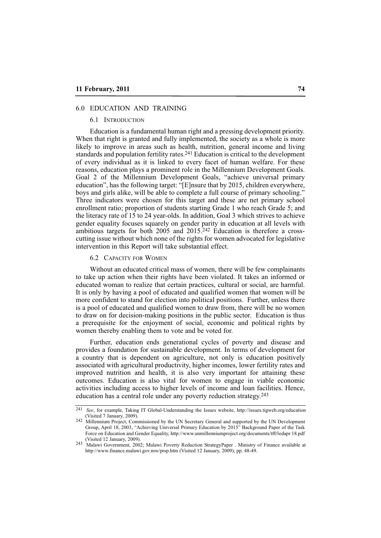## 6.0 EDUCATION AND TRAINING

#### 6.1 INTRODUCTION

Education is a fundamental human right and a pressing development priority. When that right is granted and fully implemented, the society as a whole is more likely to improve in areas such as health, nutrition, general income and living standards and population fertility rates.241 Education is critical to the development of every individual as it is linked to every facet of human welfare. For these reasons, education plays a prominent role in the Millennium Development Goals. Goal 2 of the Millennium Development Goals, "achieve universal primary education", has the following target: "[E]nsure that by 2015, children everywhere, boys and girls alike, will be able to complete a full course of primary schooling." Three indicators were chosen for this target and these are net primary school enrollment ratio; proportion of students starting Grade 1 who reach Grade 5; and the literacy rate of 15 to 24 year-olds. In addition, Goal 3 which strives to achieve gender equality focuses squarely on gender parity in education at all levels with ambitious targets for both 2005 and 2015.242 Education is therefore a crosscutting issue without which none of the rights for women advocated for legislative intervention in this Report will take substantial effect.

6.2 CAPACITY FOR WOMEN

Without an educated critical mass of women, there will be few complainants to take up action when their rights have been violated. It takes an informed or educated woman to realize that certain practices, cultural or social, are harmful. It is only by having a pool of educated and qualified women that women will be more confident to stand for election into political positions. Further, unless there is a pool of educated and qualified women to draw from, there will be no women to draw on for decision-making positions in the public sector. Education is thus a prerequisite for the enjoyment of social, economic and political rights by women thereby enabling them to vote and be voted for.

Further, education ends generational cycles of poverty and disease and provides a foundation for sustainable development. In terms of development for a country that is dependent on agriculture, not only is education positively associated with agricultural productivity, higher incomes, lower fertility rates and improved nutrition and health, it is also very important for attaining these outcomes. Education is also vital for women to engage in viable economic activities including access to higher levels of income and loan facilities. Hence, education has a central role under any poverty reduction strategy.243

<sup>241</sup> *See*, for example, Taking IT Global-Understanding the Issues website, http://issues.tigweb.org/education (Visited 7 January, 2009).

<sup>242</sup> Millennium Project, Commissioned by the UN Secretary General and supported by the UN Development Group, April 18, 2003, "Achieving Universal Primary Education by 2015" Background Paper of the Task Force on Education and Gender Equality, http://www.unmillenniumproject.org/documents/tf03edapr 18.pdf (Visited 12 January, 2009).

<sup>243</sup> Malawi Government, 2002; Malawi Poverty Reduction StrategyPaper . Ministry of Finance available at http://www.finance.malawi.gov.mw/prsp.htm (Visited 12 January, 2009), pp. 48-49.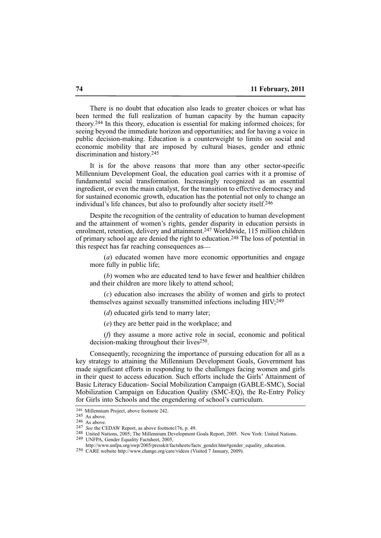There is no doubt that education also leads to greater choices or what has been termed the full realization of human capacity by the human capacity theory.244 In this theory, education is essential for making informed choices; for seeing beyond the immediate horizon and opportunities; and for having a voice in public decision-making. Education is a counterweight to limits on social and economic mobility that are imposed by cultural biases, gender and ethnic discrimination and history.245

It is for the above reasons that more than any other sector-specific Millennium Development Goal, the education goal carries with it a promise of fundamental social transformation. Increasingly recognized as an essential ingredient, or even the main catalyst, for the transition to effective democracy and for sustained economic growth, education has the potential not only to change an individual's life chances, but also to profoundly alter society itself.246

Despite the recognition of the centrality of education to human development and the attainment of women's rights, gender disparity in education persists in enrolment, retention, delivery and attainment.247 Worldwide, 115 million children of primary school age are denied the right to education.248 The loss of potential in this respect has far reaching consequences as\_\_

(*a*) educated women have more economic opportunities and engage more fully in public life;

(*b*) women who are educated tend to have fewer and healthier children and their children are more likely to attend school;

(*c*) education also increases the ability of women and girls to protect themselves against sexually transmitted infections including HIV;249

(*d*) educated girls tend to marry later;

(*e*) they are better paid in the workplace; and

(*f*) they assume a more active role in social, economic and political decision-making throughout their lives<sup>250</sup>.

Consequently, recognizing the importance of pursuing education for all as a key strategy to attaining the Millennium Development Goals, Government has made significant efforts in responding to the challenges facing women and girls in their quest to access education. Such efforts include the Girls' Attainment of Basic Literacy Education- Social Mobilization Campaign (GABLE-SMC), Social Mobilization Campaign on Education Quality (SMC-EQ), the Re-Entry Policy for Girls into Schools and the engendering of school's curriculum.

<sup>&</sup>lt;sup>244</sup> Millennium Project, above footnote 242.

<sup>245</sup> As above.

<sup>246</sup> As above.

<sup>247</sup> *See* the CEDAW Report, as above footnote176, p. 49.

<sup>248</sup> United Nations, 2005; The Millennium Development Goals Report, 2005. New York: United Nations. 249 UNFPA, Gender Equality Factsheet, 2005,

http://www.unfpa.org/swp/2005/presskit/factsheets/facts\_gender.htm#gender\_equality\_education.

<sup>250</sup> CARE website http://www.change.org/care/videos (Visited 7 January, 2009).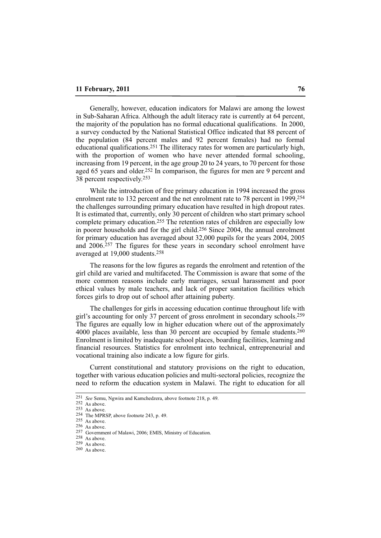Generally, however, education indicators for Malawi are among the lowest in Sub-Saharan Africa. Although the adult literacy rate is currently at 64 percent, the majority of the population has no formal educational qualifications. In 2000, a survey conducted by the National Statistical Office indicated that 88 percent of the population (84 percent males and 92 percent females) had no formal educational qualifications.251 The illiteracy rates for women are particularly high, with the proportion of women who have never attended formal schooling, increasing from 19 percent, in the age group 20 to 24 years, to 70 percent for those aged 65 years and older.252 In comparison, the figures for men are 9 percent and 38 percent respectively.253

While the introduction of free primary education in 1994 increased the gross enrolment rate to 132 percent and the net enrolment rate to 78 percent in 1999,254 the challenges surrounding primary education have resulted in high dropout rates. It is estimated that, currently, only 30 percent of children who start primary school complete primary education.255 The retention rates of children are especially low in poorer households and for the girl child.256 Since 2004, the annual enrolment for primary education has averaged about 32,000 pupils for the years 2004, 2005 and 2006.257 The figures for these years in secondary school enrolment have averaged at 19,000 students.258

The reasons for the low figures as regards the enrolment and retention of the girl child are varied and multifaceted. The Commission is aware that some of the more common reasons include early marriages, sexual harassment and poor ethical values by male teachers, and lack of proper sanitation facilities which forces girls to drop out of school after attaining puberty.

The challenges for girls in accessing education continue throughout life with girl's accounting for only 37 percent of gross enrolment in secondary schools.259 The figures are equally low in higher education where out of the approximately 4000 places available, less than 30 percent are occupied by female students.<sup>260</sup> Enrolment is limited by inadequate school places, boarding facilities, learning and financial resources. Statistics for enrolment into technical, entrepreneurial and vocational training also indicate a low figure for girls.

Current constitutional and statutory provisions on the right to education, together with various education policies and multi-sectoral policies, recognize the need to reform the education system in Malawi. The right to education for all

<sup>251</sup> *See* Semu, Ngwira and Kamchedzera, above footnote 218, p. 49.

 $252$  As above.

<sup>253</sup> As above.

<sup>254</sup> The MPRSP, above footnote 243, p. 49.  $255$  As above.

<sup>256</sup> As above.

<sup>257</sup> Government of Malawi, 2006; EMIS, Ministry of Education.

<sup>258</sup> As above.  $259$  As above.

 $260$  As above.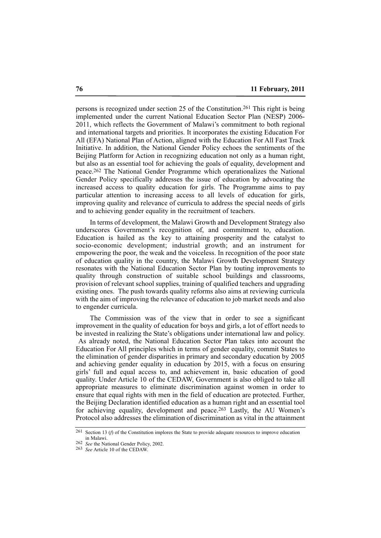persons is recognized under section 25 of the Constitution.261 This right is being implemented under the current National Education Sector Plan (NESP) 2006- 2011, which reflects the Government of Malawi's commitment to both regional and international targets and priorities. It incorporates the existing Education For All (EFA) National Plan of Action, aligned with the Education For All Fast Track Initiative. In addition, the National Gender Policy echoes the sentiments of the Beijing Platform for Action in recognizing education not only as a human right, but also as an essential tool for achieving the goals of equality, development and peace.262 The National Gender Programme which operationalizes the National Gender Policy specifically addresses the issue of education by advocating the increased access to quality education for girls. The Programme aims to pay particular attention to increasing access to all levels of education for girls, improving quality and relevance of curricula to address the special needs of girls and to achieving gender equality in the recruitment of teachers.

In terms of development, the Malawi Growth and Development Strategy also underscores Government's recognition of, and commitment to, education. Education is hailed as the key to attaining prosperity and the catalyst to socio-economic development; industrial growth; and an instrument for empowering the poor, the weak and the voiceless. In recognition of the poor state of education quality in the country, the Malawi Growth Development Strategy resonates with the National Education Sector Plan by touting improvements to quality through construction of suitable school buildings and classrooms, provision of relevant school supplies, training of qualified teachers and upgrading existing ones. The push towards quality reforms also aims at reviewing curricula with the aim of improving the relevance of education to job market needs and also to engender curricula.

The Commission was of the view that in order to see a significant improvement in the quality of education for boys and girls, a lot of effort needs to be invested in realizing the State's obligations under international law and policy. As already noted, the National Education Sector Plan takes into account the Education For All principles which in terms of gender equality, commit States to the elimination of gender disparities in primary and secondary education by 2005 and achieving gender equality in education by 2015, with a focus on ensuring girls' full and equal access to, and achievement in, basic education of good quality. Under Article 10 of the CEDAW, Government is also obliged to take all appropriate measures to eliminate discrimination against women in order to ensure that equal rights with men in the field of education are protected. Further, the Beijing Declaration identified education as a human right and an essential tool for achieving equality, development and peace.263 Lastly, the AU Women's Protocol also addresses the elimination of discrimination as vital in the attainment

<sup>261</sup> Section 13 (*f*) of the Constitution implores the State to provide adequate resources to improve education in Malawi.

<sup>262</sup> *See* the National Gender Policy, 2002.

<sup>263</sup> *See* Article 10 of the CEDAW.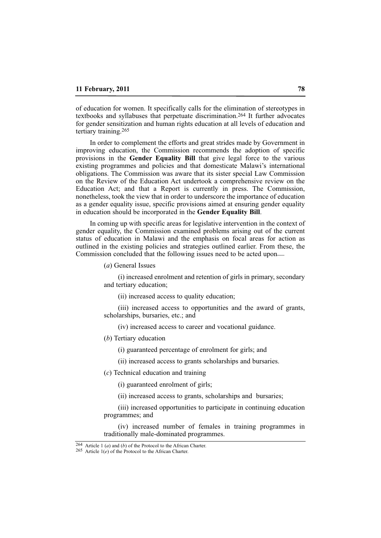of education for women. It specifically calls for the elimination of stereotypes in textbooks and syllabuses that perpetuate discrimination.264 It further advocates for gender sensitization and human rights education at all levels of education and tertiary training.265

In order to complement the efforts and great strides made by Government in improving education, the Commission recommends the adoption of specific provisions in the **Gender Equality Bill** that give legal force to the various existing programmes and policies and that domesticate Malawi's international obligations. The Commission was aware that its sister special Law Commission on the Review of the Education Act undertook a comprehensive review on the Education Act; and that a Report is currently in press. The Commission, nonetheless, took the view that in order to underscore the importance of education as a gender equality issue, specific provisions aimed at ensuring gender equality in education should be incorporated in the **Gender Equality Bill**.

In coming up with specific areas for legislative intervention in the context of gender equality, the Commission examined problems arising out of the current status of education in Malawi and the emphasis on focal areas for action as outlined in the existing policies and strategies outlined earlier. From these, the Commission concluded that the following issues need to be acted upon\_\_

(*a*) General Issues

(i) increased enrolment and retention of girls in primary, secondary and tertiary education;

(ii) increased access to quality education;

(iii) increased access to opportunities and the award of grants, scholarships, bursaries, etc.; and

(iv) increased access to career and vocational guidance.

(*b*) Tertiary education

(i) guaranteed percentage of enrolment for girls; and

(ii) increased access to grants scholarships and bursaries.

(*c*) Technical education and training

(i) guaranteed enrolment of girls;

(ii) increased access to grants, scholarships and bursaries;

(iii) increased opportunities to participate in continuing education programmes; and

(iv) increased number of females in training programmes in traditionally male-dominated programmes.

<sup>264</sup> Article 1 (*a*) and (*b*) of the Protocol to the African Charter.

<sup>265</sup> Article 1(*e*) of the Protocol to the African Charter.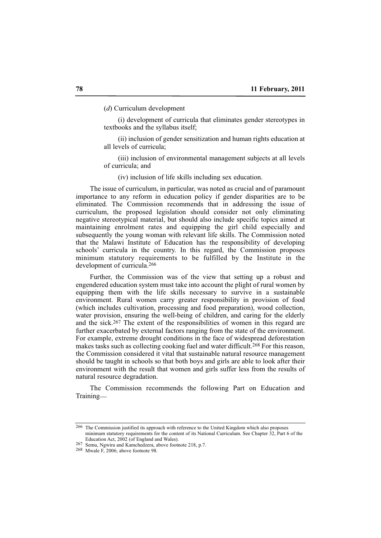(*d*) Curriculum development

(i) development of curricula that eliminates gender stereotypes in textbooks and the syllabus itself;

(ii) inclusion of gender sensitization and human rights education at all levels of curricula;

(iii) inclusion of environmental management subjects at all levels of curricula; and

(iv) inclusion of life skills including sex education.

The issue of curriculum, in particular, was noted as crucial and of paramount importance to any reform in education policy if gender disparities are to be eliminated. The Commission recommends that in addressing the issue of curriculum, the proposed legislation should consider not only eliminating negative stereotypical material, but should also include specific topics aimed at maintaining enrolment rates and equipping the girl child especially and subsequently the young woman with relevant life skills. The Commission noted that the Malawi Institute of Education has the responsibility of developing schools' curricula in the country. In this regard, the Commission proposes minimum statutory requirements to be fulfilled by the Institute in the development of curricula.266

Further, the Commission was of the view that setting up a robust and engendered education system must take into account the plight of rural women by equipping them with the life skills necessary to survive in a sustainable environment. Rural women carry greater responsibility in provision of food (which includes cultivation, processing and food preparation), wood collection, water provision, ensuring the well-being of children, and caring for the elderly and the sick.267 The extent of the responsibilities of women in this regard are further exacerbated by external factors ranging from the state of the environment. For example, extreme drought conditions in the face of widespread deforestation makes tasks such as collecting cooking fuel and water difficult.268 For this reason, the Commission considered it vital that sustainable natural resource management should be taught in schools so that both boys and girls are able to look after their environment with the result that women and girls suffer less from the results of natural resource degradation.

The Commission recommends the following Part on Education and Training\_\_

<sup>266</sup> The Commission justified its approach with reference to the United Kingdom which also proposes minimum statutory requirements for the content of its National Curriculum. See Chapter 32, Part 6 of the Education Act, 2002 (of England and Wales).

<sup>267</sup> Semu, Ngwira and Kamchedzera, above footnote 218, p.7.

<sup>268</sup> Mwale F, 2006; above footnote 98.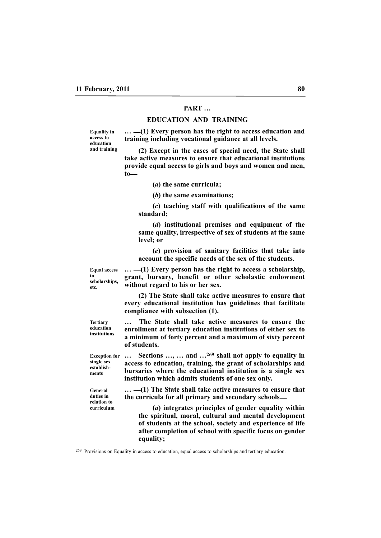# **PART …**

#### **EDUCATION AND TRAINING**

**Equality in access to education and training**

**… \_\_(1) Every person has the right to access education and training including vocational guidance at all levels.**

**(2) Except in the cases of special need, the State shall take active measures to ensure that educational institutions provide equal access to girls and boys and women and men, to\_\_**

**(***a***) the same curricula;**

**(***b***) the same examinations;**

**(***c***) teaching staff with qualifications of the same standard;** 

**(***d***) institutional premises and equipment of the same quality, irrespective of sex of students at the same level; or**

**(***e***) provision of sanitary facilities that take into account the specific needs of the sex of the students.**

**… \_\_(1) Every person has the right to access a scholarship, grant, bursary, benefit or other scholastic endowment without regard to his or her sex.** 

**(2) The State shall take active measures to ensure that every educational institution has guidelines that facilitate compliance with subsection (1).**

**… The State shall take active measures to ensure the enrollment at tertiary education institutions of either sex to a minimum of forty percent and a maximum of sixty percent of students. institutions**

**… Sections …, … and …269 shall not apply to equality in access to education, training, the grant of scholarships and bursaries where the educational institution is a single sex institution which admits students of one sex only. Exception for single sex establish-**

> **… \_\_(1) The State shall take active measures to ensure that the curricula for all primary and secondary schools\_\_**

**(***a***) integrates principles of gender equality within the spiritual, moral, cultural and mental development of students at the school, society and experience of life after completion of school with specific focus on gender equality;**

**Equal access to scholarships, etc.**

**Tertiary education**

**ments**

**General duties in relation to curriculum**

<sup>269</sup> Provisions on Equality in access to education, equal access to scholarships and tertiary education.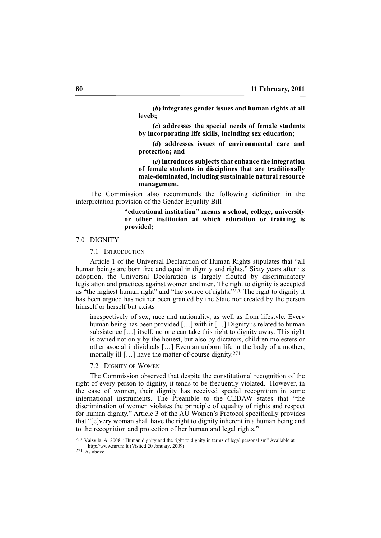**(***b***) integrates gender issues and human rights at all levels;**

**(***c***) addresses the special needs of female students by incorporating life skills, including sex education;** 

**(***d***) addresses issues of environmental care and protection; and**

**(***e***) introduces subjects that enhance the integration of female students in disciplines that are traditionally male-dominated, including sustainable natural resource management.**

The Commission also recommends the following definition in the interpretation provision of the Gender Equality Bill\_\_

## **"educational institution" means a school, college, university or other institution at which education or training is provided;**

## 7.0 DIGNITY

7.1 INTRODUCTION

Article 1 of the Universal Declaration of Human Rights stipulates that "all human beings are born free and equal in dignity and rights." Sixty years after its adoption, the Universal Declaration is largely flouted by discriminatory legislation and practices against women and men. The right to dignity is accepted as "the highest human right" and "the source of rights."270 The right to dignity it has been argued has neither been granted by the State nor created by the person himself or herself but exists

irrespectively of sex, race and nationality, as well as from lifestyle. Every human being has been provided [...] with it [...] Dignity is related to human subsistence […] itself; no one can take this right to dignity away. This right is owned not only by the honest, but also by dictators, children molesters or other asocial individuals […] Even an unborn life in the body of a mother; mortally ill [...] have the matter-of-course dignity.<sup>271</sup>

7.2 DIGNITY OF WOMEN

The Commission observed that despite the constitutional recognition of the right of every person to dignity, it tends to be frequently violated. However, in the case of women, their dignity has received special recognition in some international instruments. The Preamble to the CEDAW states that "the discrimination of women violates the principle of equality of rights and respect for human dignity." Article 3 of the AU Women's Protocol specifically provides that "[e]very woman shall have the right to dignity inherent in a human being and to the recognition and protection of her human and legal rights."

 $271$  As above.

<sup>270</sup> Vaišvila, A, 2008; "Human dignity and the right to dignity in terms of legal personalism" Available at http://www.mruni.lt (Visited 20 January, 2009).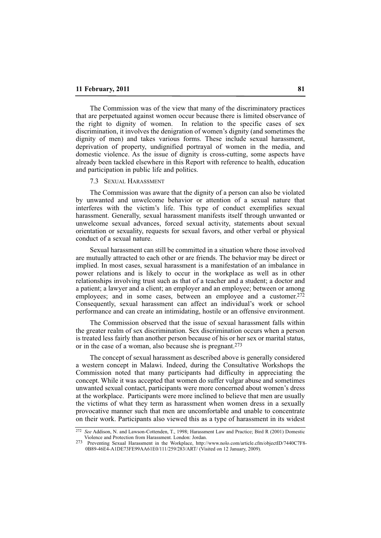The Commission was of the view that many of the discriminatory practices that are perpetuated against women occur because there is limited observance of the right to dignity of women. In relation to the specific cases of sex discrimination, it involves the denigration of women's dignity (and sometimes the dignity of men) and takes various forms. These include sexual harassment, deprivation of property, undignified portrayal of women in the media, and domestic violence. As the issue of dignity is cross-cutting, some aspects have already been tackled elsewhere in this Report with reference to health, education and participation in public life and politics.

#### 7.3 SEXUAL HARASSMENT

The Commission was aware that the dignity of a person can also be violated by unwanted and unwelcome behavior or attention of a sexual nature that interferes with the victim's life. This type of conduct exemplifies sexual harassment. Generally, sexual harassment manifests itself through unwanted or unwelcome sexual advances, forced sexual activity, statements about sexual orientation or sexuality, requests for sexual favors, and other verbal or physical conduct of a sexual nature.

Sexual harassment can still be committed in a situation where those involved are mutually attracted to each other or are friends. The behavior may be direct or implied. In most cases, sexual harassment is a manifestation of an imbalance in power relations and is likely to occur in the workplace as well as in other relationships involving trust such as that of a teacher and a student; a doctor and a patient; a lawyer and a client; an employer and an employee; between or among employees; and in some cases, between an employee and a customer.<sup>272</sup> Consequently, sexual harassment can affect an individual's work or school performance and can create an intimidating, hostile or an offensive environment.

The Commission observed that the issue of sexual harassment falls within the greater realm of sex discrimination. Sex discrimination occurs when a person is treated less fairly than another person because of his or her sex or marital status, or in the case of a woman, also because she is pregnant.273

The concept of sexual harassment as described above is generally considered a western concept in Malawi. Indeed, during the Consultative Workshops the Commission noted that many participants had difficulty in appreciating the concept. While it was accepted that women do suffer vulgar abuse and sometimes unwanted sexual contact, participants were more concerned about women's dress at the workplace. Participants were more inclined to believe that men are usually the victims of what they term as harassment when women dress in a sexually provocative manner such that men are uncomfortable and unable to concentrate on their work. Participants also viewed this as a type of harassment in its widest

<sup>272</sup> *See* Addison, N. and Lawson-Cottenden, T., 1998; Harassment Law and Practice; Bird R (2001) Domestic Violence and Protection from Harassment. London: Jordan.<br><sup>273</sup> Preventing Sexual Harassment in the Workplace, http://www.nolo.com/article.cfm/objectID/7440C7F8-

<sup>0</sup>B89-46E4-A1DE73FE99AA61E0/111/259/283/ART/ (Visited on 12 January, 2009).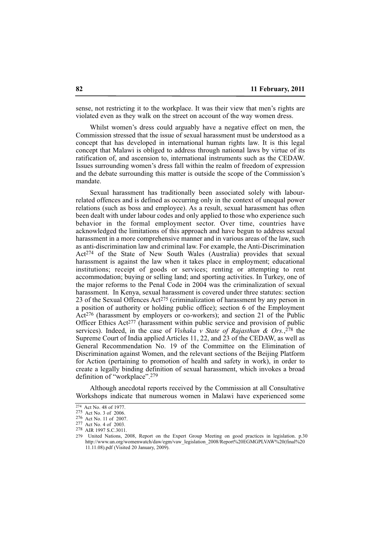sense, not restricting it to the workplace. It was their view that men's rights are violated even as they walk on the street on account of the way women dress.

Whilst women's dress could arguably have a negative effect on men, the Commission stressed that the issue of sexual harassment must be understood as a concept that has developed in international human rights law. It is this legal concept that Malawi is obliged to address through national laws by virtue of its ratification of, and ascension to, international instruments such as the CEDAW. Issues surrounding women's dress fall within the realm of freedom of expression and the debate surrounding this matter is outside the scope of the Commission's mandate.

Sexual harassment has traditionally been associated solely with labourrelated offences and is defined as occurring only in the context of unequal power relations (such as boss and employee). As a result, sexual harassment has often been dealt with under labour codes and only applied to those who experience such behavior in the formal employment sector. Over time, countries have acknowledged the limitations of this approach and have begun to address sexual harassment in a more comprehensive manner and in various areas of the law, such as anti-discrimination law and criminal law. For example, the Anti-Discrimination Act274 of the State of New South Wales (Australia) provides that sexual harassment is against the law when it takes place in employment; educational institutions; receipt of goods or services; renting or attempting to rent accommodation; buying or selling land; and sporting activities. In Turkey, one of the major reforms to the Penal Code in 2004 was the criminalization of sexual harassment. In Kenya, sexual harassment is covered under three statutes: section 23 of the Sexual Offences Act275 (criminalization of harassment by any person in a position of authority or holding public office); section 6 of the Employment Act276 (harassment by employers or co-workers); and section 21 of the Public Officer Ethics Act<sup>277</sup> (harassment within public service and provision of public services). Indeed, in the case of *Vishaka v State of Rajasthan & Ors.*,<sup>278</sup> the Supreme Court of India applied Articles 11, 22, and 23 of the CEDAW, as well as General Recommendation No. 19 of the Committee on the Elimination of Discrimination against Women, and the relevant sections of the Beijing Platform for Action (pertaining to promotion of health and safety in work), in order to create a legally binding definition of sexual harassment, which invokes a broad definition of "workplace".279

Although anecdotal reports received by the Commission at all Consultative Workshops indicate that numerous women in Malawi have experienced some

<sup>274</sup> Act No. 48 of 1977.

<sup>275</sup> Act No. 3 of 2006.

<sup>276</sup> Act No. 11 of 2007.

<sup>277</sup> Act No. 4 of 2003.

<sup>278</sup> AIR 1997 S.C.3011.

<sup>279</sup> United Nations, 2008, Report on the Expert Group Meeting on good practices in legislation. p.30 http://www.un.org/womenwatch/daw/egm/vaw\_legislation\_2008/Report%20EGMGPLVAW%20(final%20 11.11.08).pdf (Visited 20 January, 2009).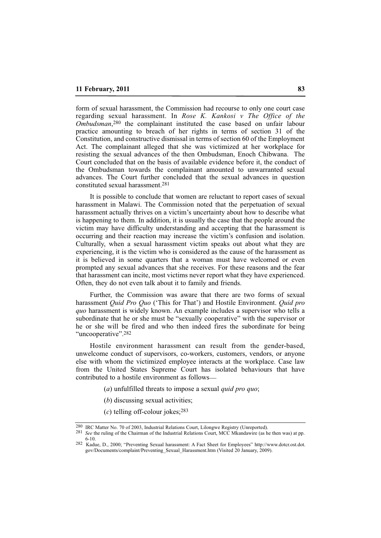form of sexual harassment, the Commission had recourse to only one court case regarding sexual harassment. In *Rose K. Kankosi v The Office of the Ombudsman*,280 the complainant instituted the case based on unfair labour practice amounting to breach of her rights in terms of section 31 of the Constitution, and constructive dismissal in terms of section 60 of the Employment Act. The complainant alleged that she was victimized at her workplace for resisting the sexual advances of the then Ombudsman, Enoch Chibwana. The Court concluded that on the basis of available evidence before it, the conduct of the Ombudsman towards the complainant amounted to unwarranted sexual advances. The Court further concluded that the sexual advances in question constituted sexual harassment.281

It is possible to conclude that women are reluctant to report cases of sexual harassment in Malawi. The Commission noted that the perpetuation of sexual harassment actually thrives on a victim's uncertainty about how to describe what is happening to them. In addition, it is usually the case that the people around the victim may have difficulty understanding and accepting that the harassment is occurring and their reaction may increase the victim's confusion and isolation. Culturally, when a sexual harassment victim speaks out about what they are experiencing, it is the victim who is considered as the cause of the harassment as it is believed in some quarters that a woman must have welcomed or even prompted any sexual advances that she receives. For these reasons and the fear that harassment can incite, most victims never report what they have experienced. Often, they do not even talk about it to family and friends.

Further, the Commission was aware that there are two forms of sexual harassment *Quid Pro Quo* ('This for That') and Hostile Environment. *Quid pro quo* harassment is widely known. An example includes a supervisor who tells a subordinate that he or she must be "sexually cooperative" with the supervisor or he or she will be fired and who then indeed fires the subordinate for being "uncooperative".<sup>282</sup>

Hostile environment harassment can result from the gender-based, unwelcome conduct of supervisors, co-workers, customers, vendors, or anyone else with whom the victimized employee interacts at the workplace. Case law from the United States Supreme Court has isolated behaviours that have contributed to a hostile environment as follows\_\_

- (*a*) unfulfilled threats to impose a sexual *quid pro quo*;
- (*b*) discussing sexual activities;
- (*c*) telling off-colour jokes;283

<sup>280</sup> IRC Matter No. 70 of 2003, Industrial Relations Court, Lilongwe Registry (Unreported).

<sup>281</sup> *See* the ruling of the Chairman of the Industrial Relations Court, MCC Mkandawire (as he then was) at pp. 6-10. 282 Kadue, D., 2000; "Preventing Sexual harassment: A Fact Sheet for Employees" http://www.dotcr.ost.dot.

gov/Documents/complaint/Preventing\_Sexual\_Harassment.htm (Visited 20 January, 2009).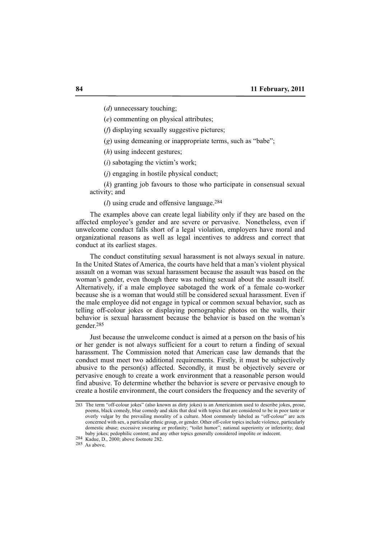(*d*) unnecessary touching;

(*e*) commenting on physical attributes;

(*f*) displaying sexually suggestive pictures;

(*g*) using demeaning or inappropriate terms, such as "babe";

(*h*) using indecent gestures;

(*i*) sabotaging the victim's work;

(*j*) engaging in hostile physical conduct;

(*k*) granting job favours to those who participate in consensual sexual activity; and

(*l*) using crude and offensive language.284

The examples above can create legal liability only if they are based on the affected employee's gender and are severe or pervasive. Nonetheless, even if unwelcome conduct falls short of a legal violation, employers have moral and organizational reasons as well as legal incentives to address and correct that conduct at its earliest stages.

The conduct constituting sexual harassment is not always sexual in nature. In the United States of America, the courts have held that a man's violent physical assault on a woman was sexual harassment because the assault was based on the woman's gender, even though there was nothing sexual about the assault itself. Alternatively, if a male employee sabotaged the work of a female co-worker because she is a woman that would still be considered sexual harassment. Even if the male employee did not engage in typical or common sexual behavior, such as telling off-colour jokes or displaying pornographic photos on the walls, their behavior is sexual harassment because the behavior is based on the woman's gender.285

Just because the unwelcome conduct is aimed at a person on the basis of his or her gender is not always sufficient for a court to return a finding of sexual harassment. The Commission noted that American case law demands that the conduct must meet two additional requirements. Firstly, it must be subjectively abusive to the person(s) affected. Secondly, it must be objectively severe or pervasive enough to create a work environment that a reasonable person would find abusive. To determine whether the behavior is severe or pervasive enough to create a hostile environment, the court considers the frequency and the severity of

284 Kadue, D., 2000; above footnote 282.

285 As above.

<sup>283</sup> The term "off-colour jokes" (also known as dirty jokes) is an Americanism used to describe jokes, prose, poems, black comedy, blue comedy and skits that deal with topics that are considered to be in poor taste or overly vulgar by the prevailing morality of a culture. Most commonly labeled as "off-colour" are acts concerned with sex, a particular ethnic group, or gender. Other off-color topics include violence, particularly domestic abuse; excessive swearing or profanity; "toilet humor"; national superiority or inferiority; dead baby jokes; pedophilic content; and any other topics generally considered impolite or indecent.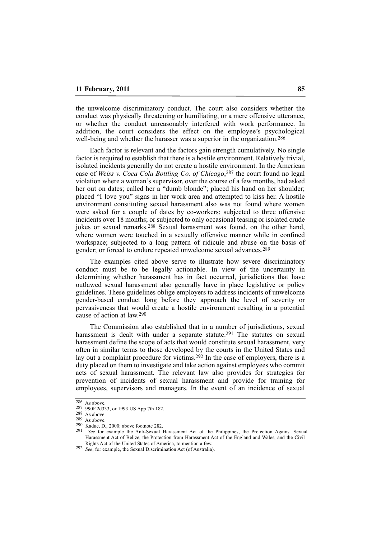the unwelcome discriminatory conduct. The court also considers whether the conduct was physically threatening or humiliating, or a mere offensive utterance, or whether the conduct unreasonably interfered with work performance. In addition, the court considers the effect on the employee's psychological well-being and whether the harasser was a superior in the organization.<sup>286</sup>

Each factor is relevant and the factors gain strength cumulatively. No single factor is required to establish that there is a hostile environment. Relatively trivial, isolated incidents generally do not create a hostile environment. In the American case of *Weiss v. Coca Cola Bottling Co. of Chicago*,287 the court found no legal violation where a woman's supervisor, over the course of a few months, had asked her out on dates; called her a "dumb blonde"; placed his hand on her shoulder; placed "I love you" signs in her work area and attempted to kiss her. A hostile environment constituting sexual harassment also was not found where women were asked for a couple of dates by co-workers; subjected to three offensive incidents over 18 months; or subjected to only occasional teasing or isolated crude jokes or sexual remarks.288 Sexual harassment was found, on the other hand, where women were touched in a sexually offensive manner while in confined workspace; subjected to a long pattern of ridicule and abuse on the basis of gender; or forced to endure repeated unwelcome sexual advances.289

The examples cited above serve to illustrate how severe discriminatory conduct must be to be legally actionable. In view of the uncertainty in determining whether harassment has in fact occurred, jurisdictions that have outlawed sexual harassment also generally have in place legislative or policy guidelines. These guidelines oblige employers to address incidents of unwelcome gender-based conduct long before they approach the level of severity or pervasiveness that would create a hostile environment resulting in a potential cause of action at law.290

The Commission also established that in a number of jurisdictions, sexual harassment is dealt with under a separate statute.<sup>291</sup> The statutes on sexual harassment define the scope of acts that would constitute sexual harassment, very often in similar terms to those developed by the courts in the United States and lay out a complaint procedure for victims.292 In the case of employers, there is a duty placed on them to investigate and take action against employees who commit acts of sexual harassment. The relevant law also provides for strategies for prevention of incidents of sexual harassment and provide for training for employees, supervisors and managers. In the event of an incidence of sexual

 $286$  As above.

<sup>287</sup> 990F.2d333, or 1993 US App 7th 182.

<sup>288</sup> As above.

<sup>289</sup> As above.

 $^{290}$  Kadue, D., 2000; above footnote 282.

<sup>291</sup> *See* for example the Anti-Sexual Harassment Act of the Philippines, the Protection Against Sexual Harassment Act of Belize, the Protection from Harassment Act of the England and Wales, and the Civil Rights Act of the United States of America, to mention a few.

<sup>292</sup> *See*, for example, the Sexual Discrimination Act (of Australia).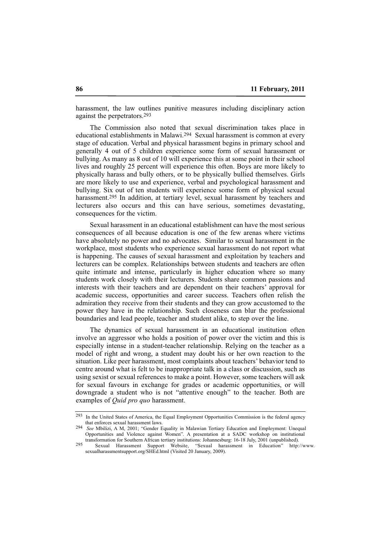harassment, the law outlines punitive measures including disciplinary action against the perpetrators.293

The Commission also noted that sexual discrimination takes place in educational establishments in Malawi.294 Sexual harassment is common at every stage of education. Verbal and physical harassment begins in primary school and generally 4 out of 5 children experience some form of sexual harassment or bullying. As many as 8 out of 10 will experience this at some point in their school lives and roughly 25 percent will experience this often. Boys are more likely to physically harass and bully others, or to be physically bullied themselves. Girls are more likely to use and experience, verbal and psychological harassment and bullying. Six out of ten students will experience some form of physical sexual harassment.295 In addition, at tertiary level, sexual harassment by teachers and lecturers also occurs and this can have serious, sometimes devastating, consequences for the victim.

Sexual harassment in an educational establishment can have the most serious consequences of all because education is one of the few arenas where victims have absolutely no power and no advocates. Similar to sexual harassment in the workplace, most students who experience sexual harassment do not report what is happening. The causes of sexual harassment and exploitation by teachers and lecturers can be complex. Relationships between students and teachers are often quite intimate and intense, particularly in higher education where so many students work closely with their lecturers. Students share common passions and interests with their teachers and are dependent on their teachers' approval for academic success, opportunities and career success. Teachers often relish the admiration they receive from their students and they can grow accustomed to the power they have in the relationship. Such closeness can blur the professional boundaries and lead people, teacher and student alike, to step over the line.

The dynamics of sexual harassment in an educational institution often involve an aggressor who holds a position of power over the victim and this is especially intense in a student-teacher relationship. Relying on the teacher as a model of right and wrong, a student may doubt his or her own reaction to the situation. Like peer harassment, most complaints about teachers' behavior tend to centre around what is felt to be inappropriate talk in a class or discussion, such as using sexist or sexual references to make a point. However, some teachers will ask for sexual favours in exchange for grades or academic opportunities, or will downgrade a student who is not "attentive enough" to the teacher. Both are examples of *Quid pro quo* harassment.

<sup>293</sup> In the United States of America, the Equal Employment Opportunities Commission is the federal agency that enforces sexual harassment laws.

<sup>294</sup> *See* Mbilizi, A M, 2001; "Gender Equality in Malawian Tertiary Education and Employment: Unequal Opportunities and Violence against Women". A presentation at a SADC workshop on institutional transformation for Southern African tertiary institutions: Johannesburg: 16-18 July, 2001 (unpublished).

<sup>295</sup> Sexual Harassment Support Website, "Sexual harassment in Education" http://www. sexualharassmentsupport.org/SHEd.html (Visited 20 January, 2009).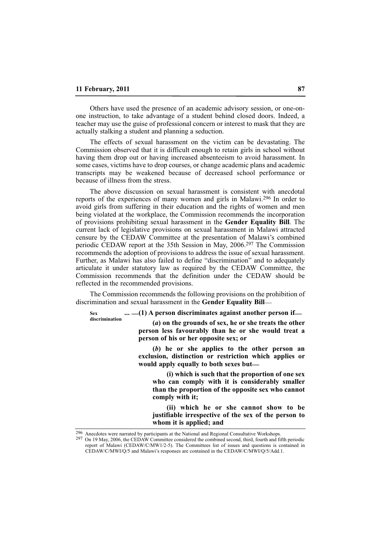Others have used the presence of an academic advisory session, or one-onone instruction, to take advantage of a student behind closed doors. Indeed, a teacher may use the guise of professional concern or interest to mask that they are actually stalking a student and planning a seduction.

The effects of sexual harassment on the victim can be devastating. The Commission observed that it is difficult enough to retain girls in school without having them drop out or having increased absenteeism to avoid harassment. In some cases, victims have to drop courses, or change academic plans and academic transcripts may be weakened because of decreased school performance or because of illness from the stress.

The above discussion on sexual harassment is consistent with anecdotal reports of the experiences of many women and girls in Malawi.296 In order to avoid girls from suffering in their education and the rights of women and men being violated at the workplace, the Commission recommends the incorporation of provisions prohibiting sexual harassment in the **Gender Equality Bill**. The current lack of legislative provisions on sexual harassment in Malawi attracted censure by the CEDAW Committee at the presentation of Malawi's combined periodic CEDAW report at the 35th Session in May, 2006.297 The Commission recommends the adoption of provisions to address the issue of sexual harassment. Further, as Malawi has also failed to define "discrimination" and to adequately articulate it under statutory law as required by the CEDAW Committee, the Commission recommends that the definition under the CEDAW should be reflected in the recommended provisions.

The Commission recommends the following provisions on the prohibition of discrimination and sexual harassment in the **Gender Equality Bill**\_\_

**... \_\_(1) A person discriminates against another person if\_\_ Sex discrimination**

**(***a***) on the grounds of sex, he or she treats the other person less favourably than he or she would treat a person of his or her opposite sex; or**

**(***b***) he or she applies to the other person an exclusion, distinction or restriction which applies or** would apply equally to both sexes but—

**(i) which is such that the proportion of one sex who can comply with it is considerably smaller than the proportion of the opposite sex who cannot comply with it;**

**(ii) which he or she cannot show to be justifiable irrespective of the sex of the person to whom it is applied; and**

<sup>296</sup> Anecdotes were narrated by participants at the National and Regional Consultative Workshops.

<sup>297</sup> On 19 May, 2006, the CEDAW Committee considered the combined second, third, fourth and fifth periodic report of Malawi (CEDAW/C/MW1/2-5). The Committees list of issues and questions is contained in CEDAW/C/MWI/Q/5 and Malawi's responses are contained in the CEDAW/C/MWI/Q/5/Add.1.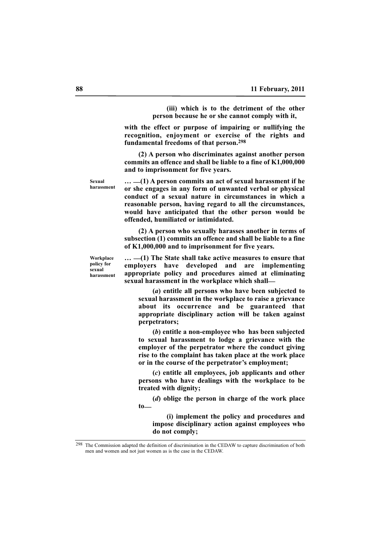**(iii) which is to the detriment of the other person because he or she cannot comply with it,**

**with the effect or purpose of impairing or nullifying the recognition, enjoyment or exercise of the rights and fundamental freedoms of that person.298**

**(2) A person who discriminates against another person commits an offence and shall be liable to a fine of K1,000,000 and to imprisonment for five years.**

**… \_\_(1) A person commits an act of sexual harassment if he or she engages in any form of unwanted verbal or physical conduct of a sexual nature in circumstances in which a reasonable person, having regard to all the circumstances, would have anticipated that the other person would be offended, humiliated or intimidated.**

**(2) A person who sexually harasses another in terms of subsection (1) commits an offence and shall be liable to a fine of K1,000,000 and to imprisonment for five years.**

**Workplace policy for sexual harassment**

**Sexual harassment**

> **… \_\_(1) The State shall take active measures to ensure that employers have developed and are implementing appropriate policy and procedures aimed at eliminating sexual harassment in the workplace which shall\_\_**

**(***a***) entitle all persons who have been subjected to sexual harassment in the workplace to raise a grievance about its occurrence and be guaranteed that appropriate disciplinary action will be taken against perpetrators;**

**(***b***) entitle a non-employee who has been subjected to sexual harassment to lodge a grievance with the employer of the perpetrator where the conduct giving rise to the complaint has taken place at the work place or in the course of the perpetrator's employment;**

**(***c***) entitle all employees, job applicants and other persons who have dealings with the workplace to be treated with dignity;**

**(***d***) oblige the person in charge of the work place to\_\_**

**(i) implement the policy and procedures and impose disciplinary action against employees who do not comply;**

<sup>298</sup> The Commission adapted the definition of discrimination in the CEDAW to capture discrimination of both men and women and not just women as is the case in the CEDAW.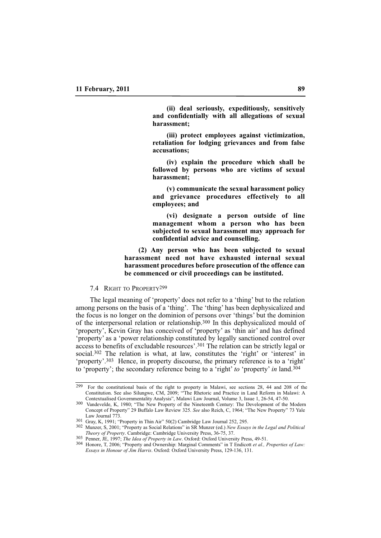**(ii) deal seriously, expeditiously, sensitively and confidentially with all allegations of sexual harassment;**

**(iii) protect employees against victimization, retaliation for lodging grievances and from false accusations;** 

**(iv) explain the procedure which shall be followed by persons who are victims of sexual harassment;** 

**(v) communicate the sexual harassment policy and grievance procedures effectively to all employees; and**

**(vi) designate a person outside of line management whom a person who has been subjected to sexual harassment may approach for confidential advice and counselling.**

**(2) Any person who has been subjected to sexual harassment need not have exhausted internal sexual harassment procedures before prosecution of the offence can be commenced or civil proceedings can be instituted.**

#### 7.4 RIGHT TO PROPERTY299

The legal meaning of 'property' does not refer to a 'thing' but to the relation among persons on the basis of a 'thing'. The 'thing' has been dephysicalized and the focus is no longer on the dominion of persons over 'things' but the dominion of the interpersonal relation or relationship.300 In this dephysicalized mould of 'property', Kevin Gray has conceived of 'property' as 'thin air' and has defined 'property' as a 'power relationship constituted by legally sanctioned control over access to benefits of excludable resources'.301 The relation can be strictly legal or social.<sup>302</sup> The relation is what, at law, constitutes the 'right' or 'interest' in 'property'.303 Hence, in property discourse, the primary reference is to a 'right' to 'property'; the secondary reference being to a 'right' *to* 'property' *in* land.304

<sup>299</sup> For the constitutional basis of the right to property in Malawi, see sections 28, 44 and 208 of the Constitution. See also Silungwe, CM, 2009; "'The Rhetoric and Practice in Land Reform in Malawi: A Contextualised Governmentality Analysis", Malawi Law Journal, Volume 3, Issue 1, 26-54, 47-50.

<sup>300</sup> Vandevelde, K, 1980; "The New Property of the Nineteenth Century: The Development of the Modern Concept of Property" 29 Buffalo Law Review 325. *See* also Reich, C, 1964; "The New Property" 73 Yale Law Journal 773.

<sup>301</sup> Gray, K, 1991; "Property in Thin Air" 50(2) Cambridge Law Journal 252, 295.

<sup>302</sup> Munzer, S, 2001; "Property as Social Relations" in SR Munzer (ed.) *New Essays in the Legal and Political Theory of Property*. Cambridge: Cambridge University Press, 36-75, 37.

<sup>303</sup> Penner, JE, 1997; *The Idea of Property in Law*. Oxford: Oxford University Press, 49-51.

<sup>304</sup> Honore, T, 2006; "Property and Ownership: Marginal Comments" in T Endicott *et al., Properties of Law: Essays in Honour of Jim Harris*. Oxford: Oxford University Press, 129-136, 131.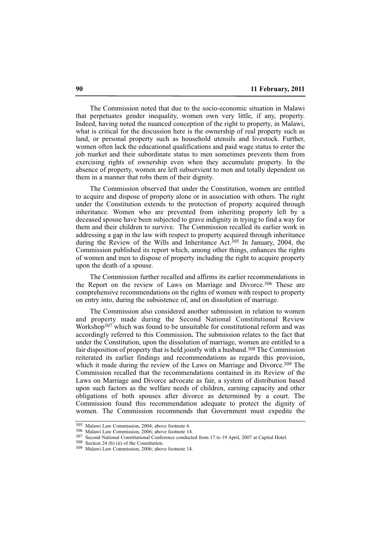The Commission noted that due to the socio-economic situation in Malawi that perpetuates gender inequality, women own very little, if any, property. Indeed, having noted the nuanced conception of the right to property, in Malawi, what is critical for the discussion here is the ownership of real property such as land, or personal property such as household utensils and livestock. Further, women often lack the educational qualifications and paid wage status to enter the job market and their subordinate status to men sometimes prevents them from exercising rights of ownership even when they accumulate property. In the absence of property, women are left subservient to men and totally dependent on them in a manner that robs them of their dignity.

The Commission observed that under the Constitution, women are entitled to acquire and dispose of property alone or in association with others. The right under the Constitution extends to the protection of property acquired through inheritance. Women who are prevented from inheriting property left by a deceased spouse have been subjected to grave indignity in trying to find a way for them and their children to survive. The Commission recalled its earlier work in addressing a gap in the law with respect to property acquired through inheritance during the Review of the Wills and Inheritance Act.<sup>305</sup> In January, 2004, the Commission published its report which, among other things, enhances the rights of women and men to dispose of property including the right to acquire property upon the death of a spouse.

The Commission further recalled and affirms its earlier recommendations in the Report on the review of Laws on Marriage and Divorce.306 These are comprehensive recommendations on the rights of women with respect to property on entry into, during the subsistence of, and on dissolution of marriage.

The Commission also considered another submission in relation to women and property made during the Second National Constitutional Review Workshop307 which was found to be unsuitable for constitutional reform and was accordingly referred to this Commission**.** The submission relates to the fact that under the Constitution, upon the dissolution of marriage, women are entitled to a fair disposition of property that is held jointly with a husband.308 The Commission reiterated its earlier findings and recommendations as regards this provision, which it made during the review of the Laws on Marriage and Divorce.<sup>309</sup> The Commission recalled that the recommendations contained in its Review of the Laws on Marriage and Divorce advocate as fair, a system of distribution based upon such factors as the welfare needs of children, earning capacity and other obligations of both spouses after divorce as determined by a court. The Commission found this recommendation adequate to protect the dignity of women. The Commission recommends that Government must expedite the

<sup>305</sup> Malawi Law Commission, 2004; above footnote 6.

<sup>306</sup> Malawi Law Commission, 2006; above footnote 14.

<sup>307</sup> Second National Constitutional Conference conducted from 17 to 19 April, 2007 at Capital Hotel.

<sup>308</sup> Section 24 (b) (ii) of the Constitution.

<sup>309</sup> Malawi Law Commission, 2006; above footnote 14.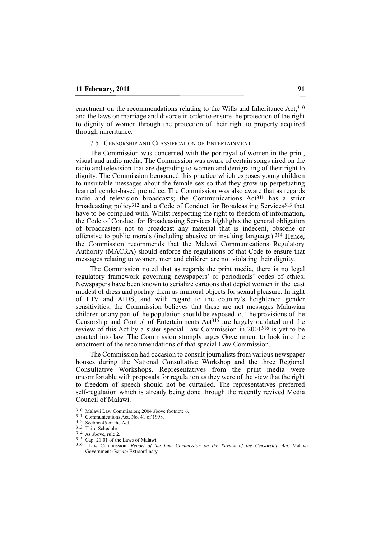enactment on the recommendations relating to the Wills and Inheritance Act, 310 and the laws on marriage and divorce in order to ensure the protection of the right to dignity of women through the protection of their right to property acquired through inheritance.

## 7.5 CENSORSHIP AND CLASSIFICATION OF ENTERTAINMENT

The Commission was concerned with the portrayal of women in the print, visual and audio media. The Commission was aware of certain songs aired on the radio and television that are degrading to women and denigrating of their right to dignity. The Commission bemoaned this practice which exposes young children to unsuitable messages about the female sex so that they grow up perpetuating learned gender-based prejudice. The Commission was also aware that as regards radio and television broadcasts; the Communications Act<sup>311</sup> has a strict broadcasting policy<sup>312</sup> and a Code of Conduct for Broadcasting Services<sup>313</sup> that have to be complied with. Whilst respecting the right to freedom of information, the Code of Conduct for Broadcasting Services highlights the general obligation of broadcasters not to broadcast any material that is indecent, obscene or offensive to public morals (including abusive or insulting language).<sup>314</sup> Hence, the Commission recommends that the Malawi Communications Regulatory Authority (MACRA) should enforce the regulations of that Code to ensure that messages relating to women, men and children are not violating their dignity.

The Commission noted that as regards the print media, there is no legal regulatory framework governing newspapers' or periodicals' codes of ethics. Newspapers have been known to serialize cartoons that depict women in the least modest of dress and portray them as immoral objects for sexual pleasure. In light of HIV and AIDS, and with regard to the country's heightened gender sensitivities, the Commission believes that these are not messages Malawian children or any part of the population should be exposed to. The provisions of the Censorship and Control of Entertainments Act315 are largely outdated and the review of this Act by a sister special Law Commission in 2001316 is yet to be enacted into law. The Commission strongly urges Government to look into the enactment of the recommendations of that special Law Commission.

The Commission had occasion to consult journalists from various newspaper houses during the National Consultative Workshop and the three Regional Consultative Workshops. Representatives from the print media were uncomfortable with proposals for regulation as they were of the view that the right to freedom of speech should not be curtailed. The representatives preferred self-regulation which is already being done through the recently revived Media Council of Malawi.

<sup>310</sup> Malawi Law Commission; 2004 above footnote 6.

<sup>311</sup> Communications Act, No. 41 of 1998.

<sup>312</sup> Section 45 of the Act.

<sup>313</sup> Third Schedule.

<sup>314</sup> As above, rule 2.

<sup>315</sup> Cap. 21:01 of the Laws of Malawi.

<sup>316</sup> Law Commission, *Report of the Law Commission on the Review of the Censorship Act*, Malawi Government *Gazette* Extraordinary.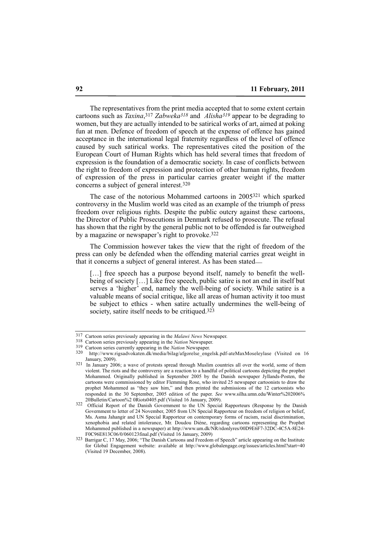The representatives from the print media accepted that to some extent certain cartoons such as *Taxina*,317 *Zabweka318* and *Alisha319* appear to be degrading to women, but they are actually intended to be satirical works of art, aimed at poking fun at men. Defence of freedom of speech at the expense of offence has gained acceptance in the international legal fraternity regardless of the level of offence caused by such satirical works. The representatives cited the position of the European Court of Human Rights which has held several times that freedom of expression is the foundation of a democratic society. In case of conflicts between the right to freedom of expression and protection of other human rights, freedom of expression of the press in particular carries greater weight if the matter concerns a subject of general interest.320

The case of the notorious Mohammed cartoons in 2005321 which sparked controversy in the Muslim world was cited as an example of the triumph of press freedom over religious rights. Despite the public outcry against these cartoons, the Director of Public Prosecutions in Denmark refused to prosecute. The refusal has shown that the right by the general public not to be offended is far outweighed by a magazine or newspaper's right to provoke.322

The Commission however takes the view that the right of freedom of the press can only be defended when the offending material carries great weight in that it concerns a subject of general interest. As has been stated\_\_

[...] free speech has a purpose beyond itself, namely to benefit the wellbeing of society […] Like free speech, public satire is not an end in itself but serves a 'higher' end, namely the well-being of society. While satire is a valuable means of social critique, like all areas of human activity it too must be subject to ethics - when satire actually undermines the well-being of society, satire itself needs to be critiqued.<sup>323</sup>

<sup>317</sup> Cartoon series previously appearing in the *Malawi News* Newspaper.

<sup>318</sup> Cartoon series previously appearing in the *Nation* Newspaper.

<sup>319</sup> Cartoon series currently appearing in the *Nation* Newspaper.

<sup>320</sup> http://www.rigsadvokaten.dk/media/bilag/afgorelse\_engelsk.pdf-ateMaxMoseleylase (Visited on 16 January, 2009).

<sup>&</sup>lt;sup>321</sup> In January 2006; a wave of protests spread through Muslim countries all over the world, some of them violent. The riots and the controversy are a reaction to a handful of political cartoons depicting the prophet Mohammed. Originally published in September 2005 by the Danish newspaper Jyllands-Posten, the cartoons were commissioned by editor Flemming Rose, who invited 25 newspaper cartoonists to draw the prophet Mohammed as "they saw him," and then printed the submissions of the 12 cartoonists who responded in the 30 September, 2005 edition of the paper. *See* www.silha.umn.edu/Winter%202006% 20Bulletin/Cartoon%2 0Riots0405.pdf (Visited 16 January, 2009).

<sup>&</sup>lt;sup>322</sup> Official Report of the Danish Government to the UN Special Rapporteurs (Response by the Danish Government to letter of 24 November, 2005 from UN Special Rapporteur on freedom of religion or belief, Ms. Asma Jahangir and UN Special Rapporteur on contemporary forms of racism, racial discrimination, xenophobia and related intolerance, Mr. Doudou Diéne, regarding cartoons representing the Prophet Mohammed published in a newspaper) at http://www.um.dk/NR/rdonlyres/00D9E6F7-32DC-4C5A-8E24- F0C96E813C06/0/060123final.pdf (Visited 16 January, 2009)

<sup>323</sup> Barrigar C, 17 May, 2006; "The Danish Cartoons and Freedom of Speech" article appearing on the Institute for Global Engagement website: available at http://www.globalengage.org/issues/articles.html?start=40 (Visited 19 December, 2008).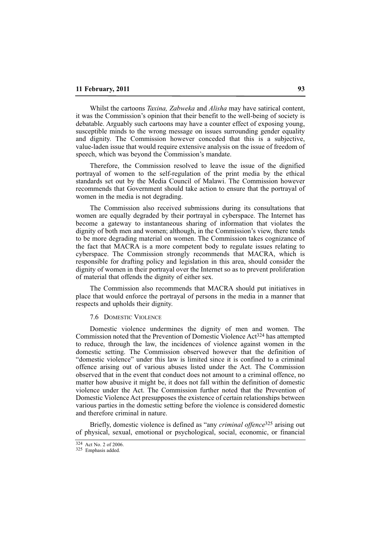Whilst the cartoons *Taxina, Zabweka* and *Alisha* may have satirical content, it was the Commission's opinion that their benefit to the well-being of society is debatable. Arguably such cartoons may have a counter effect of exposing young, susceptible minds to the wrong message on issues surrounding gender equality and dignity. The Commission however conceded that this is a subjective, value-laden issue that would require extensive analysis on the issue of freedom of speech, which was beyond the Commission's mandate.

Therefore, the Commission resolved to leave the issue of the dignified portrayal of women to the self-regulation of the print media by the ethical standards set out by the Media Council of Malawi. The Commission however recommends that Government should take action to ensure that the portrayal of women in the media is not degrading.

The Commission also received submissions during its consultations that women are equally degraded by their portrayal in cyberspace. The Internet has become a gateway to instantaneous sharing of information that violates the dignity of both men and women; although, in the Commission's view, there tends to be more degrading material on women. The Commission takes cognizance of the fact that MACRA is a more competent body to regulate issues relating to cyberspace. The Commission strongly recommends that MACRA, which is responsible for drafting policy and legislation in this area, should consider the dignity of women in their portrayal over the Internet so as to prevent proliferation of material that offends the dignity of either sex.

The Commission also recommends that MACRA should put initiatives in place that would enforce the portrayal of persons in the media in a manner that respects and upholds their dignity.

#### 7.6 DOMESTIC VIOLENCE

Domestic violence undermines the dignity of men and women. The Commission noted that the Prevention of Domestic Violence Act324 has attempted to reduce, through the law, the incidences of violence against women in the domestic setting. The Commission observed however that the definition of "domestic violence" under this law is limited since it is confined to a criminal offence arising out of various abuses listed under the Act. The Commission observed that in the event that conduct does not amount to a criminal offence, no matter how abusive it might be, it does not fall within the definition of domestic violence under the Act. The Commission further noted that the Prevention of Domestic Violence Act presupposes the existence of certain relationships between various parties in the domestic setting before the violence is considered domestic and therefore criminal in nature.

Briefly, domestic violence is defined as "any *criminal offence*325 arising out of physical, sexual, emotional or psychological, social, economic, or financial

<sup>324</sup> Act No. 2 of 2006.

<sup>325</sup> Emphasis added.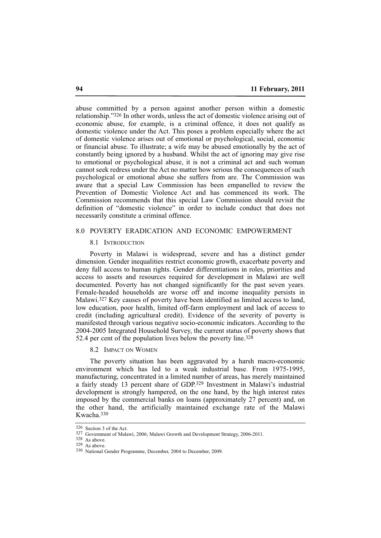abuse committed by a person against another person within a domestic relationship."326 In other words, unless the act of domestic violence arising out of economic abuse, for example, is a criminal offence, it does not qualify as domestic violence under the Act. This poses a problem especially where the act of domestic violence arises out of emotional or psychological, social, economic or financial abuse. To illustrate; a wife may be abused emotionally by the act of constantly being ignored by a husband. Whilst the act of ignoring may give rise to emotional or psychological abuse, it is not a criminal act and such woman cannot seek redress under the Act no matter how serious the consequences of such psychological or emotional abuse she suffers from are. The Commission was aware that a special Law Commission has been empanelled to review the Prevention of Domestic Violence Act and has commenced its work. The Commission recommends that this special Law Commission should revisit the definition of "domestic violence" in order to include conduct that does not necessarily constitute a criminal offence.

#### 8.0 POVERTY ERADICATION AND ECONOMIC EMPOWERMENT

#### 8.1 INTRODUCTION

Poverty in Malawi is widespread, severe and has a distinct gender dimension. Gender inequalities restrict economic growth, exacerbate poverty and deny full access to human rights. Gender differentiations in roles, priorities and access to assets and resources required for development in Malawi are well documented. Poverty has not changed significantly for the past seven years. Female-headed households are worse off and income inequality persists in Malawi.327 Key causes of poverty have been identified as limited access to land, low education, poor health, limited off-farm employment and lack of access to credit (including agricultural credit). Evidence of the severity of poverty is manifested through various negative socio-economic indicators. According to the 2004-2005 Integrated Household Survey, the current status of poverty shows that 52.4 per cent of the population lives below the poverty line.<sup>328</sup>

## 8.2 IMPACT ON WOMEN

The poverty situation has been aggravated by a harsh macro-economic environment which has led to a weak industrial base. From 1975-1995, manufacturing, concentrated in a limited number of areas, has merely maintained a fairly steady 13 percent share of GDP.329 Investment in Malawi's industrial development is strongly hampered, on the one hand, by the high interest rates imposed by the commercial banks on loans (approximately 27 percent) and, on the other hand, the artificially maintained exchange rate of the Malawi Kwacha.330

<sup>326</sup> Section 3 of the Act.

<sup>327</sup> Government of Malawi, 2006; Malawi Growth and Development Strategy, 2006-2011.

<sup>328</sup> As above.

<sup>329</sup> As above.

<sup>330</sup> National Gender Programme, December, 2004 to December, 2009.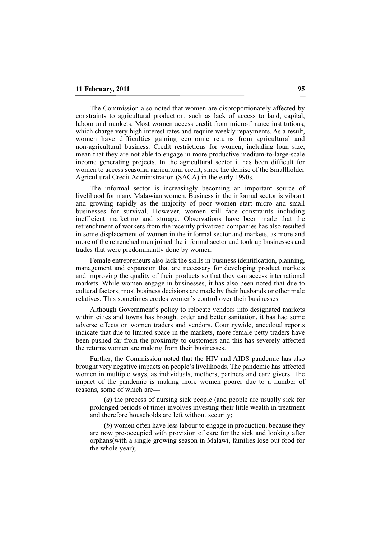The Commission also noted that women are disproportionately affected by constraints to agricultural production, such as lack of access to land, capital, labour and markets. Most women access credit from micro-finance institutions, which charge very high interest rates and require weekly repayments. As a result, women have difficulties gaining economic returns from agricultural and non-agricultural business. Credit restrictions for women, including loan size, mean that they are not able to engage in more productive medium-to-large-scale income generating projects. In the agricultural sector it has been difficult for women to access seasonal agricultural credit, since the demise of the Smallholder Agricultural Credit Administration (SACA) in the early 1990s.

The informal sector is increasingly becoming an important source of livelihood for many Malawian women. Business in the informal sector is vibrant and growing rapidly as the majority of poor women start micro and small businesses for survival. However, women still face constraints including inefficient marketing and storage. Observations have been made that the retrenchment of workers from the recently privatized companies has also resulted in some displacement of women in the informal sector and markets, as more and more of the retrenched men joined the informal sector and took up businesses and trades that were predominantly done by women.

Female entrepreneurs also lack the skills in business identification, planning, management and expansion that are necessary for developing product markets and improving the quality of their products so that they can access international markets. While women engage in businesses, it has also been noted that due to cultural factors, most business decisions are made by their husbands or other male relatives. This sometimes erodes women's control over their businesses.

Although Government's policy to relocate vendors into designated markets within cities and towns has brought order and better sanitation, it has had some adverse effects on women traders and vendors. Countrywide, anecdotal reports indicate that due to limited space in the markets, more female petty traders have been pushed far from the proximity to customers and this has severely affected the returns women are making from their businesses.

Further, the Commission noted that the HIV and AIDS pandemic has also brought very negative impacts on people's livelihoods. The pandemic has affected women in multiple ways, as individuals, mothers, partners and care givers. The impact of the pandemic is making more women poorer due to a number of reasons, some of which are\_\_

(*a*) the process of nursing sick people (and people are usually sick for prolonged periods of time) involves investing their little wealth in treatment and therefore households are left without security;

(*b*) women often have less labour to engage in production, because they are now pre-occupied with provision of care for the sick and looking after orphans(with a single growing season in Malawi, families lose out food for the whole year);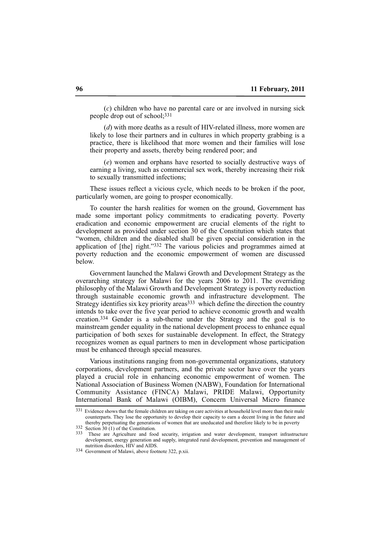(*c*) children who have no parental care or are involved in nursing sick people drop out of school;331

(*d*) with more deaths as a result of HIV-related illness, more women are likely to lose their partners and in cultures in which property grabbing is a practice, there is likelihood that more women and their families will lose their property and assets, thereby being rendered poor; and

(*e*) women and orphans have resorted to socially destructive ways of earning a living, such as commercial sex work, thereby increasing their risk to sexually transmitted infections;

These issues reflect a vicious cycle, which needs to be broken if the poor, particularly women, are going to prosper economically.

To counter the harsh realities for women on the ground, Government has made some important policy commitments to eradicating poverty. Poverty eradication and economic empowerment are crucial elements of the right to development as provided under section 30 of the Constitution which states that "women, children and the disabled shall be given special consideration in the application of [the] right."332 The various policies and programmes aimed at poverty reduction and the economic empowerment of women are discussed below.

Government launched the Malawi Growth and Development Strategy as the overarching strategy for Malawi for the years 2006 to 2011. The overriding philosophy of the Malawi Growth and Development Strategy is poverty reduction through sustainable economic growth and infrastructure development. The Strategy identifies six key priority areas<sup>333</sup> which define the direction the country intends to take over the five year period to achieve economic growth and wealth creation.334 Gender is a sub-theme under the Strategy and the goal is to mainstream gender equality in the national development process to enhance equal participation of both sexes for sustainable development. In effect, the Strategy recognizes women as equal partners to men in development whose participation must be enhanced through special measures.

Various institutions ranging from non-governmental organizations, statutory corporations, development partners, and the private sector have over the years played a crucial role in enhancing economic empowerment of women. The National Association of Business Women (NABW), Foundation for International Community Assistance (FINCA) Malawi, PRIDE Malawi, Opportunity International Bank of Malawi (OIBM), Concern Universal Micro finance

<sup>&</sup>lt;sup>331</sup> Evidence shows that the female children are taking on care activities at household level more than their male counterparts. They lose the opportunity to develop their capacity to earn a decent living in the future and thereby perpetuating the generations of women that are uneducated and therefore likely to be in poverty

 $\frac{332}{333}$  Section 30 (1) of the Constitution.

These are Agriculture and food security, irrigation and water development, transport infrastructure development, energy generation and supply, integrated rural development, prevention and management of nutrition disorders, HIV and AIDS.

<sup>334</sup> Government of Malawi, above footnote 322, p.xii.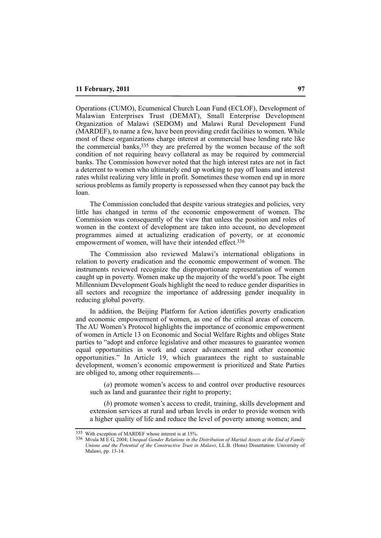Operations (CUMO), Ecumenical Church Loan Fund (ECLOF), Development of Malawian Enterprises Trust (DEMAT), Small Enterprise Development Organization of Malawi (SEDOM) and Malawi Rural Development Fund (MARDEF), to name a few, have been providing credit facilities to women. While most of these organizations charge interest at commercial base lending rate like the commercial banks,335 they are preferred by the women because of the soft condition of not requiring heavy collateral as may be required by commercial banks. The Commission however noted that the high interest rates are not in fact a deterrent to women who ultimately end up working to pay off loans and interest rates whilst realizing very little in profit. Sometimes these women end up in more serious problems as family property is repossessed when they cannot pay back the loan.

The Commission concluded that despite various strategies and policies, very little has changed in terms of the economic empowerment of women. The Commission was consequently of the view that unless the position and roles of women in the context of development are taken into account, no development programmes aimed at actualizing eradication of poverty, or at economic empowerment of women, will have their intended effect.<sup>336</sup>

The Commission also reviewed Malawi's international obligations in relation to poverty eradication and the economic empowerment of women. The instruments reviewed recognize the disproportionate representation of women caught up in poverty. Women make up the majority of the world's poor. The eight Millennium Development Goals highlight the need to reduce gender disparities in all sectors and recognize the importance of addressing gender inequality in reducing global poverty.

In addition, the Beijing Platform for Action identifies poverty eradication and economic empowerment of women, as one of the critical areas of concern. The AU Women's Protocol highlights the importance of economic empowerment of women in Article 13 on Economic and Social Welfare Rights and obliges State parties to "adopt and enforce legislative and other measures to guarantee women equal opportunities in work and career advancement and other economic opportunities." In Article 19, which guarantees the right to sustainable development, women's economic empowerment is prioritized and State Parties are obliged to, among other requirements\_\_

(*a*) promote women's access to and control over productive resources such as land and guarantee their right to property;

(*b*) promote women's access to credit, training, skills development and extension services at rural and urban levels in order to provide women with a higher quality of life and reduce the level of poverty among women; and

<sup>335</sup> With exception of MARDEF whose interest is at 15%.

<sup>336</sup> Mvula M E G, 2004; *Unequal Gender Relations in the Distribution of Marital Assets at the End of Family Unions and the Potential of the Constructive Trust in Malawi*, LL.B. (Hons) Dissertation: University of Malawi, pp. 13-14.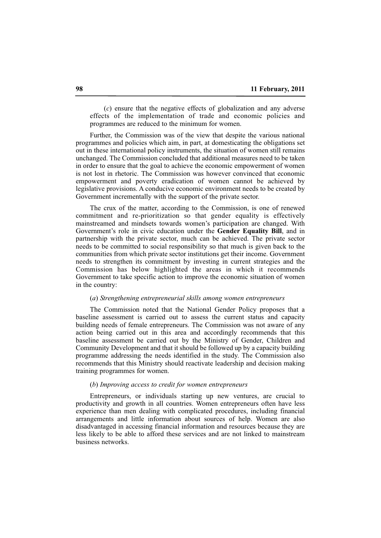(*c*) ensure that the negative effects of globalization and any adverse effects of the implementation of trade and economic policies and programmes are reduced to the minimum for women.

Further, the Commission was of the view that despite the various national programmes and policies which aim, in part, at domesticating the obligations set out in these international policy instruments, the situation of women still remains unchanged. The Commission concluded that additional measures need to be taken in order to ensure that the goal to achieve the economic empowerment of women is not lost in rhetoric. The Commission was however convinced that economic empowerment and poverty eradication of women cannot be achieved by legislative provisions. A conducive economic environment needs to be created by Government incrementally with the support of the private sector.

The crux of the matter, according to the Commission, is one of renewed commitment and re-prioritization so that gender equality is effectively mainstreamed and mindsets towards women's participation are changed. With Government's role in civic education under the **Gender Equality Bill**, and in partnership with the private sector, much can be achieved. The private sector needs to be committed to social responsibility so that much is given back to the communities from which private sector institutions get their income. Government needs to strengthen its commitment by investing in current strategies and the Commission has below highlighted the areas in which it recommends Government to take specific action to improve the economic situation of women in the country:

## (*a*) *Strengthening entrepreneurial skills among women entrepreneurs*

The Commission noted that the National Gender Policy proposes that a baseline assessment is carried out to assess the current status and capacity building needs of female entrepreneurs. The Commission was not aware of any action being carried out in this area and accordingly recommends that this baseline assessment be carried out by the Ministry of Gender, Children and Community Development and that it should be followed up by a capacity building programme addressing the needs identified in the study. The Commission also recommends that this Ministry should reactivate leadership and decision making training programmes for women.

## (*b*) *Improving access to credit for women entrepreneurs*

Entrepreneurs, or individuals starting up new ventures, are crucial to productivity and growth in all countries. Women entrepreneurs often have less experience than men dealing with complicated procedures, including financial arrangements and little information about sources of help. Women are also disadvantaged in accessing financial information and resources because they are less likely to be able to afford these services and are not linked to mainstream business networks.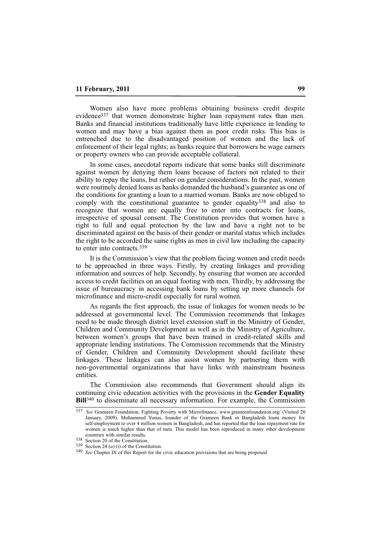Women also have more problems obtaining business credit despite evidence337 that women demonstrate higher loan repayment rates than men. Banks and financial institutions traditionally have little experience in lending to women and may have a bias against them as poor credit risks. This bias is entrenched due to the disadvantaged position of women and the lack of enforcement of their legal rights; as banks require that borrowers be wage earners or property owners who can provide acceptable collateral.

In some cases, anecdotal reports indicate that some banks still discriminate against women by denying them loans because of factors not related to their ability to repay the loans, but rather on gender considerations. In the past, women were routinely denied loans as banks demanded the husband's guarantee as one of the conditions for granting a loan to a married woman. Banks are now obliged to comply with the constitutional guarantee to gender equality<sup>338</sup> and also to recognize that women are equally free to enter into contracts for loans, irrespective of spousal consent. The Constitution provides that women have a right to full and equal protection by the law and have a right not to be discriminated against on the basis of their gender or marital status which includes the right to be accorded the same rights as men in civil law including the capacity to enter into contracts.339

It is the Commission's view that the problem facing women and credit needs to be approached in three ways. Firstly, by creating linkages and providing information and sources of help. Secondly, by ensuring that women are accorded access to credit facilities on an equal footing with men. Thirdly, by addressing the issue of bureaucracy in accessing bank loans by setting up more channels for microfinance and micro-credit especially for rural women.

As regards the first approach, the issue of linkages for women needs to be addressed at governmental level. The Commission recommends that linkages need to be made through district level extension staff in the Ministry of Gender, Children and Community Development as well as in the Ministry of Agriculture, between women's groups that have been trained in credit-related skills and appropriate lending institutions. The Commission recommends that the Ministry of Gender, Children and Community Development should facilitate these linkages. These linkages can also assist women by partnering them with non-governmental organizations that have links with mainstream business entities.

The Commission also recommends that Government should align its continuing civic education activities with the provisions in the **Gender Equality Bill**<sup>340</sup> to disseminate all necessary information. For example, the Commission

<sup>337</sup> *See* Grameen Foundation, Fighting Poverty with Microfinance, www.grameenfoundation.org/ (Visited 20 January, 2009). Muhammed Yunus, founder of the Grameen Bank in Bangladesh loans money for self-employment to over 4 million women in Bangladesh, and has reported that the loan repayment rate for women is much higher than that of men. This model has been reproduced in many other development countries with similar results.

<sup>338</sup> Section 20 of the Constitution.

<sup>339</sup> Section 24 (*a*) (i) of the Constitution.

<sup>340</sup> *See* Chapter IX of this Report for the civic education provisions that are being proposed.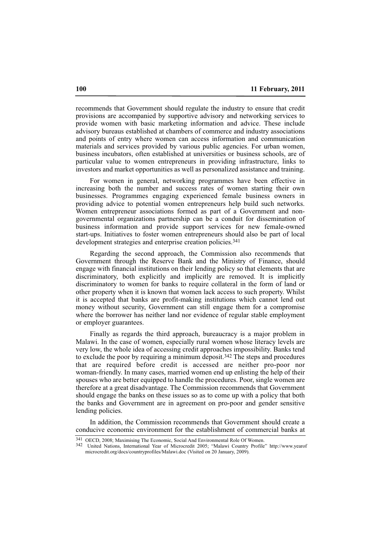recommends that Government should regulate the industry to ensure that credit provisions are accompanied by supportive advisory and networking services to provide women with basic marketing information and advice. These include advisory bureaus established at chambers of commerce and industry associations and points of entry where women can access information and communication materials and services provided by various public agencies. For urban women, business incubators, often established at universities or business schools, are of particular value to women entrepreneurs in providing infrastructure, links to investors and market opportunities as well as personalized assistance and training.

For women in general, networking programmes have been effective in increasing both the number and success rates of women starting their own businesses. Programmes engaging experienced female business owners in providing advice to potential women entrepreneurs help build such networks. Women entrepreneur associations formed as part of a Government and nongovernmental organizations partnership can be a conduit for dissemination of business information and provide support services for new female-owned start-ups. Initiatives to foster women entrepreneurs should also be part of local development strategies and enterprise creation policies.<sup>341</sup>

Regarding the second approach, the Commission also recommends that Government through the Reserve Bank and the Ministry of Finance, should engage with financial institutions on their lending policy so that elements that are discriminatory, both explicitly and implicitly are removed. It is implicitly discriminatory to women for banks to require collateral in the form of land or other property when it is known that women lack access to such property. Whilst it is accepted that banks are profit-making institutions which cannot lend out money without security, Government can still engage them for a compromise where the borrower has neither land nor evidence of regular stable employment or employer guarantees.

Finally as regards the third approach, bureaucracy is a major problem in Malawi. In the case of women, especially rural women whose literacy levels are very low, the whole idea of accessing credit approaches impossibility. Banks tend to exclude the poor by requiring a minimum deposit.342 The steps and procedures that are required before credit is accessed are neither pro-poor nor woman-friendly. In many cases, married women end up enlisting the help of their spouses who are better equipped to handle the procedures. Poor, single women are therefore at a great disadvantage. The Commission recommends that Government should engage the banks on these issues so as to come up with a policy that both the banks and Government are in agreement on pro-poor and gender sensitive lending policies.

In addition, the Commission recommends that Government should create a conducive economic environment for the establishment of commercial banks at

<sup>341</sup> OECD, 2008; Maximising The Economic, Social And Environmental Role Of Women.

<sup>342</sup> United Nations, International Year of Microcredit 2005; "Malawi Country Profile" http://www.yearof microcredit.org/docs/countryprofiles/Malawi.doc (Visited on 20 January, 2009).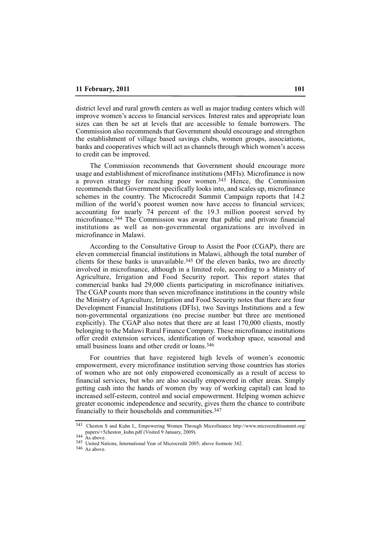district level and rural growth centers as well as major trading centers which will improve women's access to financial services. Interest rates and appropriate loan sizes can then be set at levels that are accessible to female borrowers. The Commission also recommends that Government should encourage and strengthen the establishment of village based savings clubs, women groups, associations, banks and cooperatives which will act as channels through which women's access to credit can be improved.

The Commission recommends that Government should encourage more usage and establishment of microfinance institutions (MFIs). Microfinance is now a proven strategy for reaching poor women.343 Hence, the Commission recommends that Government specifically looks into, and scales up, microfinance schemes in the country. The Microcredit Summit Campaign reports that 14.2 million of the world's poorest women now have access to financial services; accounting for nearly 74 percent of the 19.3 million poorest served by microfinance.344 The Commission was aware that public and private financial institutions as well as non-governmental organizations are involved in microfinance in Malawi.

According to the Consultative Group to Assist the Poor (CGAP), there are eleven commercial financial institutions in Malawi, although the total number of clients for these banks is unavailable.345 Of the eleven banks, two are directly involved in microfinance, although in a limited role, according to a Ministry of Agriculture, Irrigation and Food Security report. This report states that commercial banks had 29,000 clients participating in microfinance initiatives. The CGAP counts more than seven microfinance institutions in the country while the Ministry of Agriculture, Irrigation and Food Security notes that there are four Development Financial Institutions (DFIs), two Savings Institutions and a few non-governmental organizations (no precise number but three are mentioned explicitly). The CGAP also notes that there are at least 170,000 clients, mostly belonging to the Malawi Rural Finance Company. These microfinance institutions offer credit extension services, identification of workshop space, seasonal and small business loans and other credit or loans.<sup>346</sup>

For countries that have registered high levels of women's economic empowerment, every microfinance institution serving those countries has stories of women who are not only empowered economically as a result of access to financial services, but who are also socially empowered in other areas. Simply getting cash into the hands of women (by way of working capital) can lead to increased self-esteem, control and social empowerment. Helping women achieve greater economic independence and security, gives them the chance to contribute financially to their households and communities.347

346 As above.

<sup>343</sup> Cheston S and Kuhn L, Empowering Women Through Microfinance http://www.microcreditsummit.org/ papers/+5cheston\_kuhn.pdf (Visited 9 January, 2009).

 $344 \nA's above.$ 

<sup>345</sup> United Nations, International Year of Microcredit 2005; above footnote 342.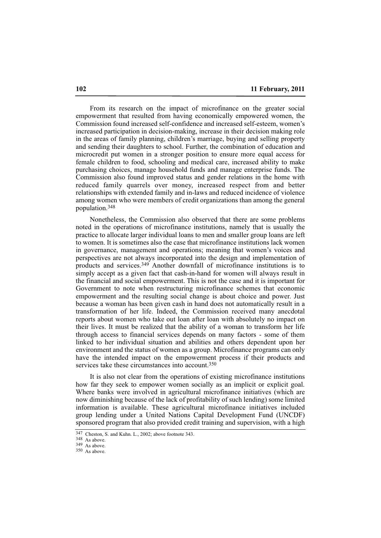From its research on the impact of microfinance on the greater social empowerment that resulted from having economically empowered women, the Commission found increased self-confidence and increased self-esteem, women's increased participation in decision-making, increase in their decision making role in the areas of family planning, children's marriage, buying and selling property and sending their daughters to school. Further, the combination of education and microcredit put women in a stronger position to ensure more equal access for female children to food, schooling and medical care, increased ability to make purchasing choices, manage household funds and manage enterprise funds. The Commission also found improved status and gender relations in the home with reduced family quarrels over money, increased respect from and better relationships with extended family and in-laws and reduced incidence of violence among women who were members of credit organizations than among the general population.348

Nonetheless, the Commission also observed that there are some problems noted in the operations of microfinance institutions, namely that is usually the practice to allocate larger individual loans to men and smaller group loans are left to women. It is sometimes also the case that microfinance institutions lack women in governance, management and operations; meaning that women's voices and perspectives are not always incorporated into the design and implementation of products and services.349 Another downfall of microfinance institutions is to simply accept as a given fact that cash-in-hand for women will always result in the financial and social empowerment. This is not the case and it is important for Government to note when restructuring microfinance schemes that economic empowerment and the resulting social change is about choice and power. Just because a woman has been given cash in hand does not automatically result in a transformation of her life. Indeed, the Commission received many anecdotal reports about women who take out loan after loan with absolutely no impact on their lives. It must be realized that the ability of a woman to transform her life through access to financial services depends on many factors - some of them linked to her individual situation and abilities and others dependent upon her environment and the status of women as a group. Microfinance programs can only have the intended impact on the empowerment process if their products and services take these circumstances into account.<sup>350</sup>

It is also not clear from the operations of existing microfinance institutions how far they seek to empower women socially as an implicit or explicit goal. Where banks were involved in agricultural microfinance initiatives (which are now diminishing because of the lack of profitability of such lending) some limited information is available. These agricultural microfinance initiatives included group lending under a United Nations Capital Development Fund (UNCDF) sponsored program that also provided credit training and supervision, with a high

<sup>347</sup> Cheston, S. and Kuhn. L., 2002; above footnote 343.

 $348$  As above.

<sup>349</sup> As above.

<sup>350</sup> As above.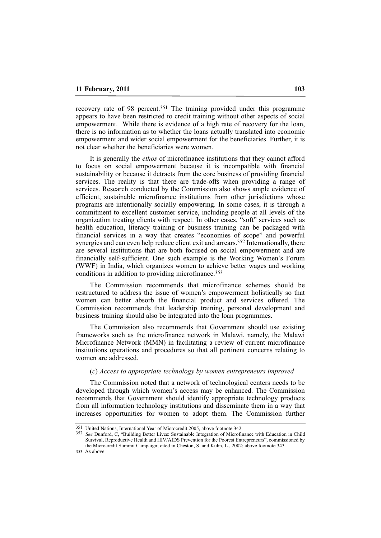recovery rate of 98 percent.351 The training provided under this programme appears to have been restricted to credit training without other aspects of social empowerment. While there is evidence of a high rate of recovery for the loan, there is no information as to whether the loans actually translated into economic empowerment and wider social empowerment for the beneficiaries. Further, it is not clear whether the beneficiaries were women.

It is generally the *ethos* of microfinance institutions that they cannot afford to focus on social empowerment because it is incompatible with financial sustainability or because it detracts from the core business of providing financial services. The reality is that there are trade-offs when providing a range of services. Research conducted by the Commission also shows ample evidence of efficient, sustainable microfinance institutions from other jurisdictions whose programs are intentionally socially empowering. In some cases, it is through a commitment to excellent customer service, including people at all levels of the organization treating clients with respect. In other cases, "soft" services such as health education, literacy training or business training can be packaged with financial services in a way that creates "economies of scope" and powerful synergies and can even help reduce client exit and arrears.352 Internationally, there are several institutions that are both focused on social empowerment and are financially self-sufficient. One such example is the Working Women's Forum (WWF) in India, which organizes women to achieve better wages and working conditions in addition to providing microfinance.353

The Commission recommends that microfinance schemes should be restructured to address the issue of women's empowerment holistically so that women can better absorb the financial product and services offered. The Commission recommends that leadership training, personal development and business training should also be integrated into the loan programmes.

The Commission also recommends that Government should use existing frameworks such as the microfinance network in Malawi, namely, the Malawi Microfinance Network (MMN) in facilitating a review of current microfinance institutions operations and procedures so that all pertinent concerns relating to women are addressed.

#### (*c*) *Access to appropriate technology by women entrepreneurs improved*

The Commission noted that a network of technological centers needs to be developed through which women's access may be enhanced. The Commission recommends that Government should identify appropriate technology products from all information technology institutions and disseminate them in a way that increases opportunities for women to adopt them. The Commission further

353 As above.

<sup>351</sup> United Nations, International Year of Microcredit 2005, above footnote 342.

<sup>352</sup> *See* Dunford, C, "Building Better Lives: Sustainable Integration of Microfinance with Education in Child Survival, Reproductive Health and HIV/AIDS Prevention for the Poorest Entrepreneurs", commissioned by the Microcredit Summit Campaign; cited in Cheston, S. and Kuhn, L., 2002; above footnote 343.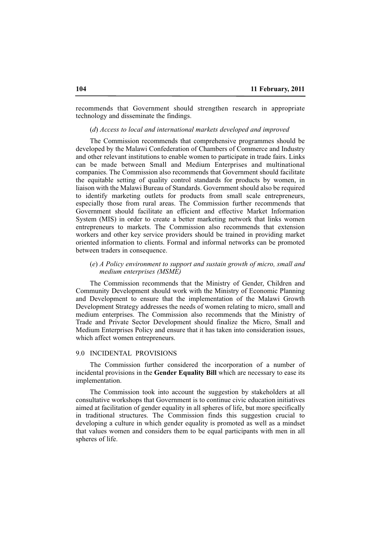recommends that Government should strengthen research in appropriate technology and disseminate the findings.

## (*d*) *Access to local and international markets developed and improved*

The Commission recommends that comprehensive programmes should be developed by the Malawi Confederation of Chambers of Commerce and Industry and other relevant institutions to enable women to participate in trade fairs. Links can be made between Small and Medium Enterprises and multinational companies. The Commission also recommends that Government should facilitate the equitable setting of quality control standards for products by women, in liaison with the Malawi Bureau of Standards. Government should also be required to identify marketing outlets for products from small scale entrepreneurs, especially those from rural areas. The Commission further recommends that Government should facilitate an efficient and effective Market Information System (MIS) in order to create a better marketing network that links women entrepreneurs to markets. The Commission also recommends that extension workers and other key service providers should be trained in providing market oriented information to clients. Formal and informal networks can be promoted between traders in consequence.

## (*e*) *A Policy environment to support and sustain growth of micro, small and medium enterprises (MSME)*

The Commission recommends that the Ministry of Gender, Children and Community Development should work with the Ministry of Economic Planning and Development to ensure that the implementation of the Malawi Growth Development Strategy addresses the needs of women relating to micro, small and medium enterprises. The Commission also recommends that the Ministry of Trade and Private Sector Development should finalize the Micro, Small and Medium Enterprises Policy and ensure that it has taken into consideration issues, which affect women entrepreneurs.

#### 9.0 INCIDENTAL PROVISIONS

The Commission further considered the incorporation of a number of incidental provisions in the **Gender Equality Bill** which are necessary to ease its implementation.

The Commission took into account the suggestion by stakeholders at all consultative workshops that Government is to continue civic education initiatives aimed at facilitation of gender equality in all spheres of life, but more specifically in traditional structures. The Commission finds this suggestion crucial to developing a culture in which gender equality is promoted as well as a mindset that values women and considers them to be equal participants with men in all spheres of life.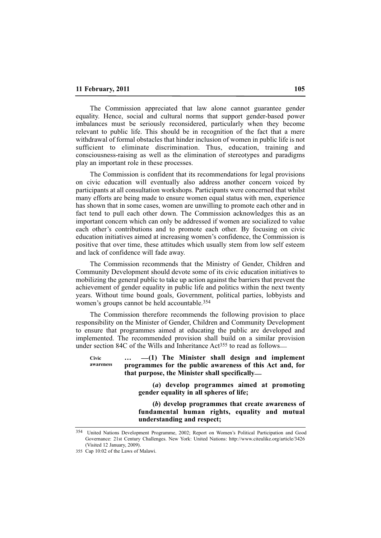The Commission appreciated that law alone cannot guarantee gender equality. Hence, social and cultural norms that support gender-based power imbalances must be seriously reconsidered, particularly when they become relevant to public life. This should be in recognition of the fact that a mere withdrawal of formal obstacles that hinder inclusion of women in public life is not sufficient to eliminate discrimination. Thus, education, training and consciousness-raising as well as the elimination of stereotypes and paradigms play an important role in these processes.

The Commission is confident that its recommendations for legal provisions on civic education will eventually also address another concern voiced by participants at all consultation workshops. Participants were concerned that whilst many efforts are being made to ensure women equal status with men, experience has shown that in some cases, women are unwilling to promote each other and in fact tend to pull each other down. The Commission acknowledges this as an important concern which can only be addressed if women are socialized to value each other's contributions and to promote each other. By focusing on civic education initiatives aimed at increasing women's confidence, the Commission is positive that over time, these attitudes which usually stem from low self esteem and lack of confidence will fade away.

The Commission recommends that the Ministry of Gender, Children and Community Development should devote some of its civic education initiatives to mobilizing the general public to take up action against the barriers that prevent the achievement of gender equality in public life and politics within the next twenty years. Without time bound goals, Government, political parties, lobbyists and women's groups cannot be held accountable.354

The Commission therefore recommends the following provision to place responsibility on the Minister of Gender, Children and Community Development to ensure that programmes aimed at educating the public are developed and implemented. The recommended provision shall build on a similar provision under section 84C of the Wills and Inheritance  $Act^{355}$  to read as follows—

**… \_\_(1) The Minister shall design and implement programmes for the public awareness of this Act and, for that purpose, the Minister shall specifically\_\_ Civic awareness**

> **(***a***) develop programmes aimed at promoting gender equality in all spheres of life;**

> **(***b***) develop programmes that create awareness of fundamental human rights, equality and mutual understanding and respect;**

<sup>354</sup> United Nations Development Programme, 2002; Report on Women's Political Participation and Good Governance: 21st Century Challenges. New York: United Nations: http://www.citeulike.org/article/3426 (Visited 12 January, 2009).

<sup>355</sup> Cap 10:02 of the Laws of Malawi.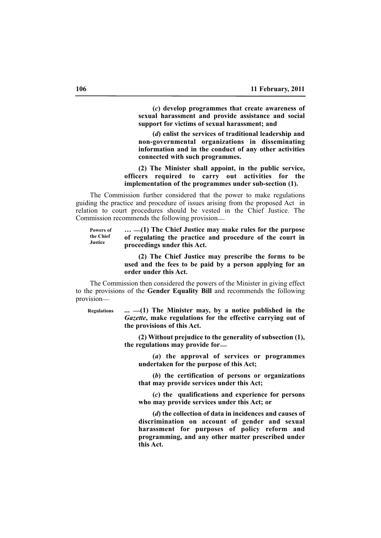**(***c***) develop programmes that create awareness of sexual harassment and provide assistance and social support for victims of sexual harassment; and**

**(***d***) enlist the services of traditional leadership and non-governmental organizations in disseminating information and in the conduct of any other activities connected with such programmes.**

**(2) The Minister shall appoint, in the public service, officers required to carry out activities for the implementation of the programmes under sub-section (1).**

The Commission further considered that the power to make regulations guiding the practice and procedure of issues arising from the proposed Act in relation to court procedures should be vested in the Chief Justice. The Commission recommends the following provision\_\_

**… \_\_(1) The Chief Justice may make rules for the purpose of regulating the practice and procedure of the court in proceedings under this Act. Powers of the Chief Justice**

> **(2) The Chief Justice may prescribe the forms to be used and the fees to be paid by a person applying for an order under this Act.**

The Commission then considered the powers of the Minister in giving effect to the provisions of the **Gender Equality Bill** and recommends the following provision\_\_

**Regulations** 

**... \_\_(1) The Minister may, by a notice published in the** *Gazette***, make regulations for the effective carrying out of the provisions of this Act.**

**(2) Without prejudice to the generality of subsection (1), the regulations may provide for\_\_**

**(***a***) the approval of services or programmes undertaken for the purpose of this Act;**

**(***b***) the certification of persons or organizations that may provide services under this Act;**

**(***c***) the qualifications and experience for persons who may provide services under this Act; or**

**(***d***) the collection of data in incidences and causes of discrimination on account of gender and sexual harassment for purposes of policy reform and programming, and any other matter prescribed under this Act.**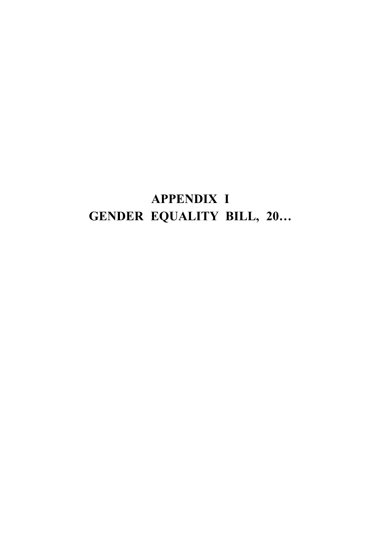# **APPENDIX I GENDER EQUALITY BILL, 20…**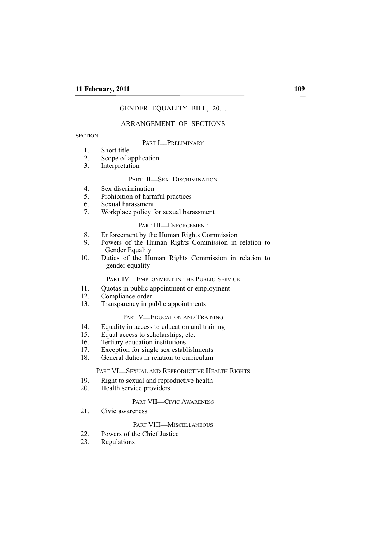# GENDER EQUALITY BILL, 20…

# ARRANGEMENT OF SECTIONS

#### **SECTION**

## PART **I\_PRELIMINARY**

- 1. Short title<br>2. Scope of a
- 2. Scope of application<br>3. Interpretation
- **Interpretation**

# PART II-SEX DISCRIMINATION

- 4. Sex discrimination<br>5. Prohibition of harm
- 5. Prohibition of harmful practices
- 6. Sexual harassment
- 7. Workplace policy for sexual harassment

# PART III-ENFORCEMENT

- 8. Enforcement by the Human Rights Commission<br>9 Powers of the Human Rights Commission in
- Powers of the Human Rights Commission in relation to Gender Equality
- 10. Duties of the Human Rights Commission in relation to gender equality

# PART IV-EMPLOYMENT IN THE PUBLIC SERVICE

- 11. Quotas in public appointment or employment
- 12. Compliance order<br>13. Transparency in pu
- Transparency in public appointments

#### PART V-EDUCATION AND TRAINING

- 14. Equality in access to education and training<br>15. Equal access to scholarships, etc.
- Equal access to scholarships, etc.
- 16. Tertiary education institutions
- 17. Exception for single sex establishments
- 18. General duties in relation to curriculum

#### PART VI-SEXUAL AND REPRODUCTIVE HEALTH RIGHTS

- 19. Right to sexual and reproductive health 20. Health service providers
- Health service providers

# PART VII—CIVIC AWARENESS

21. Civic awareness

#### PART VIII\_MISCELLANEOUS

- 22. Powers of the Chief Justice
- 23. Regulations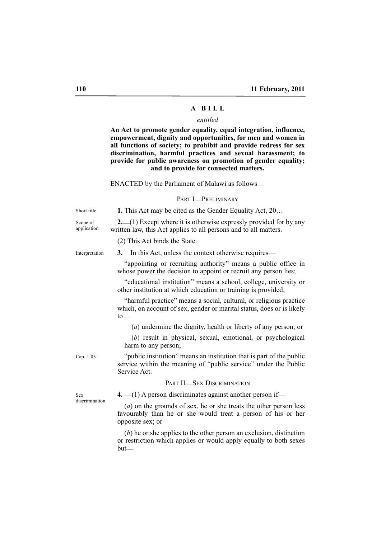# **A B I L L**

## *entitled*

**An Act to promote gender equality, equal integration, influence, empowerment, dignity and opportunities, for men and women in all functions of society; to prohibit and provide redress for sex discrimination, harmful practices and sexual harassment; to provide for public awareness on promotion of gender equality; and to provide for connected matters.**

ENACTED by the Parliament of Malawi as follows\_\_

#### PART **I\_PRELIMINARY**

**1.** This Act may be cited as the Gender Equality Act, 20…

Short title

Scope of application

**2.** (1) Except where it is otherwise expressly provided for by any written law, this Act applies to all persons and to all matters.

(2) This Act binds the State.

**3.** In this Act, unless the context otherwise requires— Interpretation

> "appointing or recruiting authority" means a public office in whose power the decision to appoint or recruit any person lies;

> "educational institution" means a school, college, university or other institution at which education or training is provided;

> "harmful practice" means a social, cultural, or religious practice which, on account of sex, gender or marital status, does or is likely  $t_0$

(*a*) undermine the dignity, health or liberty of any person; or

(*b*) result in physical, sexual, emotional, or psychological harm to any person;

Cap. 1:03

"public institution" means an institution that is part of the public service within the meaning of "public service" under the Public Service Act.

#### PART II-SEX DISCRIMINATION

Sex discrimination **4.**  $\qquad$  (1) A person discriminates against another person if

(*a*) on the grounds of sex, he or she treats the other person less favourably than he or she would treat a person of his or her opposite sex; or

(*b*) he or she applies to the other person an exclusion, distinction or restriction which applies or would apply equally to both sexes  $but$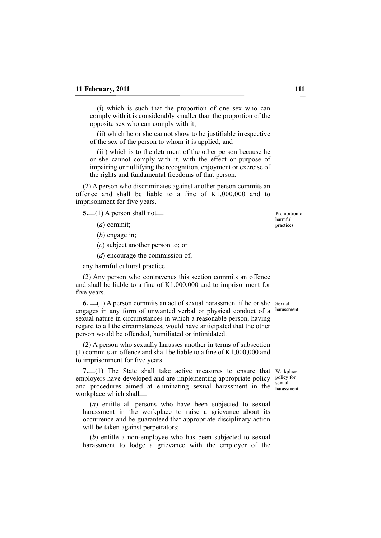(i) which is such that the proportion of one sex who can comply with it is considerably smaller than the proportion of the opposite sex who can comply with it;

(ii) which he or she cannot show to be justifiable irrespective of the sex of the person to whom it is applied; and

(iii) which is to the detriment of the other person because he or she cannot comply with it, with the effect or purpose of impairing or nullifying the recognition, enjoyment or exercise of the rights and fundamental freedoms of that person.

(2) A person who discriminates against another person commits an offence and shall be liable to a fine of K1,000,000 and to imprisonment for five years.

**5.** (1) A person shall not

(*a*) commit;

(*b*) engage in;

(*c*) subject another person to; or

(*d*) encourage the commission of,

any harmful cultural practice.

(2) Any person who contravenes this section commits an offence and shall be liable to a fine of K1,000,000 and to imprisonment for five years.

**6.**  $\equiv$  (1) A person commits an act of sexual harassment if he or she Sexual engages in any form of unwanted verbal or physical conduct of a sexual nature in circumstances in which a reasonable person, having regard to all the circumstances, would have anticipated that the other person would be offended, humiliated or intimidated.

(2) A person who sexually harasses another in terms of subsection (1) commits an offence and shall be liable to a fine of K1,000,000 and to imprisonment for five years.

7. (1) The State shall take active measures to ensure that Workplace employers have developed and are implementing appropriate policy and procedures aimed at eliminating sexual harassment in the sexual workplace which shall\_\_

(*a*) entitle all persons who have been subjected to sexual harassment in the workplace to raise a grievance about its occurrence and be guaranteed that appropriate disciplinary action will be taken against perpetrators;

(*b*) entitle a non-employee who has been subjected to sexual harassment to lodge a grievance with the employer of the

Prohibition of harmful practices

harassment

policy for<br>sexual harassment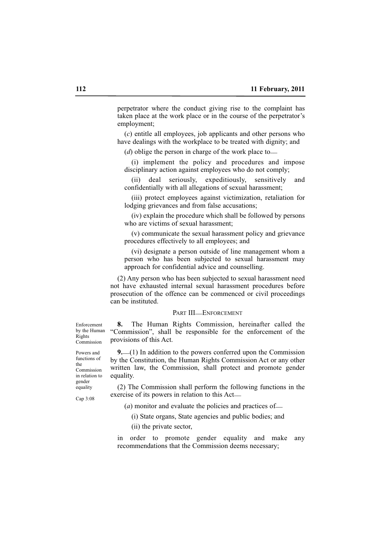perpetrator where the conduct giving rise to the complaint has taken place at the work place or in the course of the perpetrator's employment;

(*c*) entitle all employees, job applicants and other persons who have dealings with the workplace to be treated with dignity; and

(*d*) oblige the person in charge of the work place to

(i) implement the policy and procedures and impose disciplinary action against employees who do not comply;

(ii) deal seriously, expeditiously, sensitively and confidentially with all allegations of sexual harassment;

(iii) protect employees against victimization, retaliation for lodging grievances and from false accusations;

(iv) explain the procedure which shall be followed by persons who are victims of sexual harassment;

(v) communicate the sexual harassment policy and grievance procedures effectively to all employees; and

(vi) designate a person outside of line management whom a person who has been subjected to sexual harassment may approach for confidential advice and counselling.

(2) Any person who has been subjected to sexual harassment need not have exhausted internal sexual harassment procedures before prosecution of the offence can be commenced or civil proceedings can be instituted.

#### PART III\_ENFORCEMENT

**8.** The Human Rights Commission, hereinafter called the "Commission", shall be responsible for the enforcement of the provisions of this Act.

**9.**\_\_(1) In addition to the powers conferred upon the Commission by the Constitution, the Human Rights Commission Act or any other written law, the Commission, shall protect and promote gender equality.

(2) The Commission shall perform the following functions in the exercise of its powers in relation to this Act\_\_

(*a*) monitor and evaluate the policies and practices of —

(i) State organs, State agencies and public bodies; and

(ii) the private sector,

in order to promote gender equality and make any recommendations that the Commission deems necessary;

Enforcement by the Human Rights Commission

Powers and functions of the Commission in relation to gender equality

Cap 3:08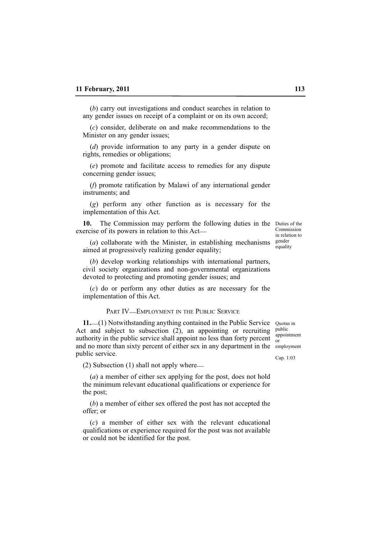(*b*) carry out investigations and conduct searches in relation to any gender issues on receipt of a complaint or on its own accord;

(*c*) consider, deliberate on and make recommendations to the Minister on any gender issues;

(*d*) provide information to any party in a gender dispute on rights, remedies or obligations;

(*e*) promote and facilitate access to remedies for any dispute concerning gender issues;

(*f*) promote ratification by Malawi of any international gender instruments; and

(*g*) perform any other function as is necessary for the implementation of this Act.

10. The Commission may perform the following duties in the Duties of the exercise of its powers in relation to this Act\_\_

(*a*) collaborate with the Minister, in establishing mechanisms  $\frac{\text{gender}}{\text{current}}$ aimed at progressively realizing gender equality;

(*b*) develop working relationships with international partners, civil society organizations and non-governmental organizations devoted to protecting and promoting gender issues; and

(*c*) do or perform any other duties as are necessary for the implementation of this Act.

#### PART IV-EMPLOYMENT IN THE PUBLIC SERVICE

11. (1) Notwithstanding anything contained in the Public Service Quotas in Act and subject to subsection (2), an appointing or recruiting authority in the public service shall appoint no less than forty percent  $\frac{q_1}{q_1}$ and no more than sixty percent of either sex in any department in the employment public service.

(2) Subsection (1) shall not apply where\_\_

(*a*) a member of either sex applying for the post, does not hold the minimum relevant educational qualifications or experience for the post;

(*b*) a member of either sex offered the post has not accepted the offer; or

(*c*) a member of either sex with the relevant educational qualifications or experience required for the post was not available or could not be identified for the post.

public appointment

Cap. 1:03

Commission in relation to equality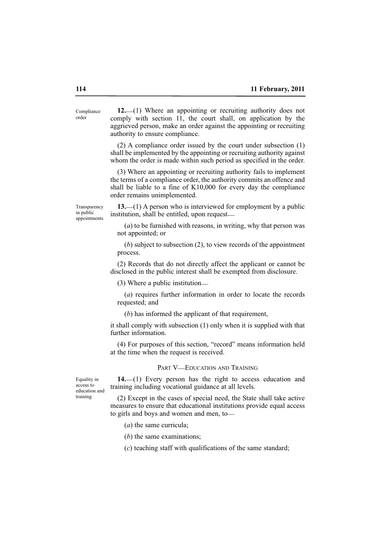**12.**\_\_(1) Where an appointing or recruiting authority does not comply with section 11, the court shall, on application by the aggrieved person, make an order against the appointing or recruiting authority to ensure compliance. Compliance

> (2) A compliance order issued by the court under subsection (1) shall be implemented by the appointing or recruiting authority against whom the order is made within such period as specified in the order.

> (3) Where an appointing or recruiting authority fails to implement the terms of a compliance order, the authority commits an offence and shall be liable to a fine of K10,000 for every day the compliance order remains unimplemented.

Transparency in public appointments

**13.**\_\_(1) A person who is interviewed for employment by a public institution, shall be entitled, upon request\_\_

(*a*) to be furnished with reasons, in writing, why that person was not appointed; or

(*b*) subject to subsection (2), to view records of the appointment process.

(2) Records that do not directly affect the applicant or cannot be disclosed in the public interest shall be exempted from disclosure.

(3) Where a public institution\_\_

(*a*) requires further information in order to locate the records requested; and

(*b*) has informed the applicant of that requirement,

it shall comply with subsection (1) only when it is supplied with that further information.

(4) For purposes of this section, "record" means information held at the time when the request is received.

#### PART V—EDUCATION AND TRAINING

Equality in access to education and training

14.<sup>1</sup> Every person has the right to access education and training including vocational guidance at all levels.

(2) Except in the cases of special need, the State shall take active measures to ensure that educational institutions provide equal access to girls and boys and women and men, to—

- (*a*) the same curricula;
- (*b*) the same examinations;

(*c*) teaching staff with qualifications of the same standard;

order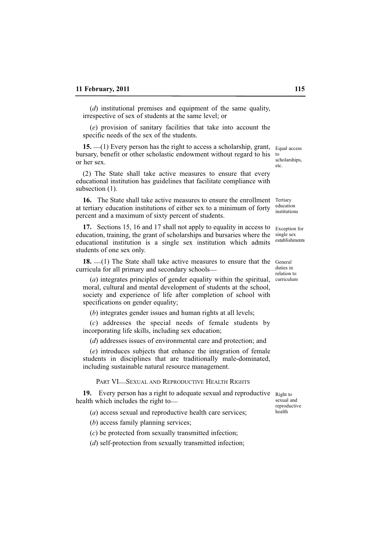(*d*) institutional premises and equipment of the same quality, irrespective of sex of students at the same level; or

(*e*) provision of sanitary facilities that take into account the specific needs of the sex of the students.

**15.** \_\_(1) Every person has the right to access a scholarship, grant, bursary, benefit or other scholastic endowment without regard to his or her sex.

(2) The State shall take active measures to ensure that every educational institution has guidelines that facilitate compliance with subsection  $(1)$ .

**16.** The State shall take active measures to ensure the enrollment Tertiary at tertiary education institutions of either sex to a minimum of forty percent and a maximum of sixty percent of students.

**17.** Sections 15, 16 and 17 shall not apply to equality in access to education, training, the grant of scholarships and bursaries where the educational institution is a single sex institution which admits students of one sex only.

18.  $-(1)$  The State shall take active measures to ensure that the General curricula for all primary and secondary schools\_\_

(*a*) integrates principles of gender equality within the spiritual, moral, cultural and mental development of students at the school, society and experience of life after completion of school with specifications on gender equality;

(*b*) integrates gender issues and human rights at all levels;

(*c*) addresses the special needs of female students by incorporating life skills, including sex education;

(*d*) addresses issues of environmental care and protection; and

(*e*) introduces subjects that enhance the integration of female students in disciplines that are traditionally male-dominated, including sustainable natural resource management.

PART VI\_SEXUAL AND REPRODUCTIVE HEALTH RIGHTS

**19.** Every person has a right to adequate sexual and reproductive Right to health which includes the right to-

(*a*) access sexual and reproductive health care services;

(*b*) access family planning services;

(*c*) be protected from sexually transmitted infection;

(*d*) self-protection from sexually transmitted infection;

sexual and reproductive health

Equal access to scholarships, etc.

education institutions

Exception for single sex establishments

duties in relation to curriculum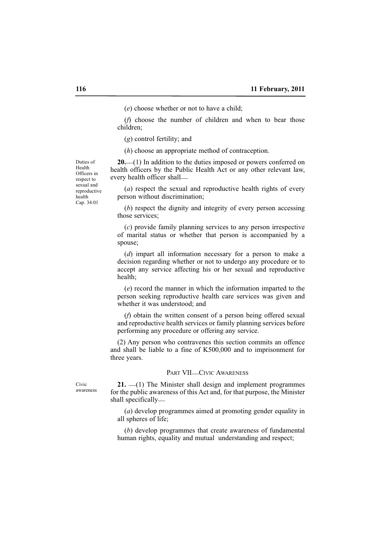(*e*) choose whether or not to have a child;

(*f*) choose the number of children and when to bear those children;

(*g*) control fertility; and

(*h*) choose an appropriate method of contraception.

Duties of Health Officers in respect to sexual and reproductive health Cap. 34:01

**20.**\_\_(1) In addition to the duties imposed or powers conferred on health officers by the Public Health Act or any other relevant law, every health officer shall\_\_

(*a*) respect the sexual and reproductive health rights of every person without discrimination;

(*b*) respect the dignity and integrity of every person accessing those services;

(*c*) provide family planning services to any person irrespective of marital status or whether that person is accompanied by a spouse;

(*d*) impart all information necessary for a person to make a decision regarding whether or not to undergo any procedure or to accept any service affecting his or her sexual and reproductive health;

(*e*) record the manner in which the information imparted to the person seeking reproductive health care services was given and whether it was understood; and

(*f*) obtain the written consent of a person being offered sexual and reproductive health services or family planning services before performing any procedure or offering any service.

(2) Any person who contravenes this section commits an offence and shall be liable to a fine of K500,000 and to imprisonment for three years.

#### PART VII-CIVIC AWARENESS

Civic awareness

21.  $\equiv$ (1) The Minister shall design and implement programmes for the public awareness of this Act and, for that purpose, the Minister shall specifically\_\_

(*a*) develop programmes aimed at promoting gender equality in all spheres of life;

(*b*) develop programmes that create awareness of fundamental human rights, equality and mutual understanding and respect;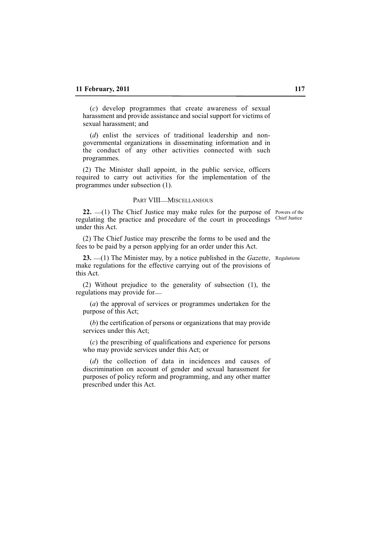(*c*) develop programmes that create awareness of sexual harassment and provide assistance and social support for victims of sexual harassment; and

(*d*) enlist the services of traditional leadership and nongovernmental organizations in disseminating information and in the conduct of any other activities connected with such programmes.

(2) The Minister shall appoint, in the public service, officers required to carry out activities for the implementation of the programmes under subsection (1).

#### PART VIII\_MISCELLANEOUS

**22.** (1) The Chief Justice may make rules for the purpose of Powers of the regulating the practice and procedure of the court in proceedings Chief Justice under this Act.

(2) The Chief Justice may prescribe the forms to be used and the fees to be paid by a person applying for an order under this Act.

**23.** (1) The Minister may, by a notice published in the *Gazette*, Regulations make regulations for the effective carrying out of the provisions of this Act.

(2) Without prejudice to the generality of subsection (1), the regulations may provide for

(*a*) the approval of services or programmes undertaken for the purpose of this Act;

(*b*) the certification of persons or organizations that may provide services under this Act;

(*c*) the prescribing of qualifications and experience for persons who may provide services under this Act; or

(*d*) the collection of data in incidences and causes of discrimination on account of gender and sexual harassment for purposes of policy reform and programming, and any other matter prescribed under this Act.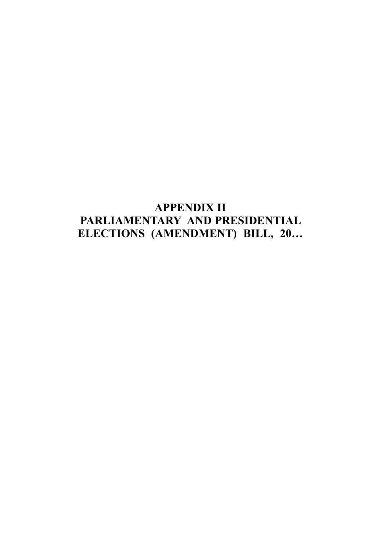# **APPENDIX II** PARLIAMENTARY AND PRESIDENTIAL ELECTIONS (AMENDMENT) BILL, 20...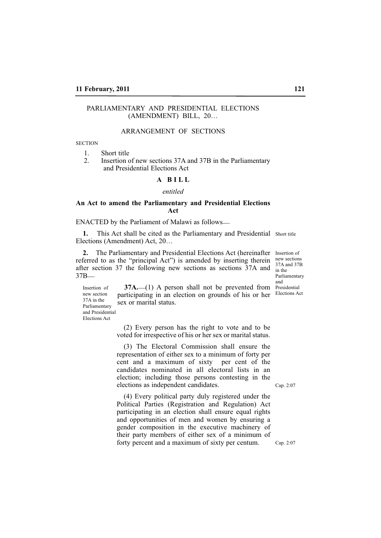## PARLIAMENTARY AND PRESIDENTIAL ELECTIONS (AMENDMENT) BILL, 20…

# ARRANGEMENT OF SECTIONS

**SECTION** 

1. Short title

2. Insertion of new sections 37A and 37B in the Parliamentary and Presidential Elections Act

# **A B I L L**

*entitled*

#### **An Act to amend the Parliamentary and Presidential Elections Act**

ENACTED by the Parliament of Malawi as follows\_\_

1. This Act shall be cited as the Parliamentary and Presidential Short title Elections (Amendment) Act, 20…

2. The Parliamentary and Presidential Elections Act (hereinafter Insertion of referred to as the "principal Act") is amended by inserting therein  $\frac{new}{27}$  sections after section 37 the following new sections as sections 37A and 37B\_\_

**37A.** (1) A person shall not be prevented from Presidential participating in an election on grounds of his or her Elections Act 37A and 37B in the Parliamentary and

sex or marital status. new section 37A in the Parliamentary and Presidential Elections Act

Insertion of

(2) Every person has the right to vote and to be voted for irrespective of his or her sex or marital status.

(3) The Electoral Commission shall ensure the representation of either sex to a minimum of forty per cent and a maximum of sixty per cent of the candidates nominated in all electoral lists in an election; including those persons contesting in the elections as independent candidates.

Cap. 2:07

(4) Every political party duly registered under the Political Parties (Registration and Regulation) Act participating in an election shall ensure equal rights and opportunities of men and women by ensuring a gender composition in the executive machinery of their party members of either sex of a minimum of forty percent and a maximum of sixty per centum.

Cap. 2:07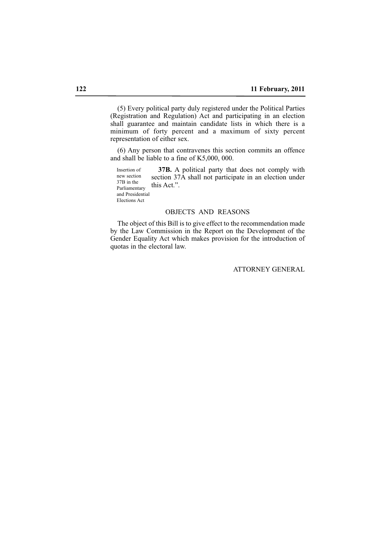(5) Every political party duly registered under the Political Parties (Registration and Regulation) Act and participating in an election shall guarantee and maintain candidate lists in which there is a minimum of forty percent and a maximum of sixty percent representation of either sex.

(6) Any person that contravenes this section commits an offence and shall be liable to a fine of K5,000, 000.

**37B.** A political party that does not comply with section 37A shall not participate in an election under this Act.". Insertion of new section 37B in the Parliamentary and Presidential

Elections Act

#### OBJECTS AND REASONS

The object of this Bill is to give effect to the recommendation made by the Law Commission in the Report on the Development of the Gender Equality Act which makes provision for the introduction of quotas in the electoral law.

# ATTORNEY GENERAL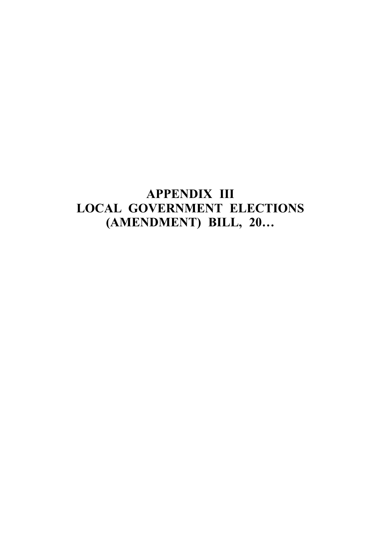# **APPENDIX III LOCAL GOVERNMENT ELECTIONS** (AMENDMENT) BILL, 20...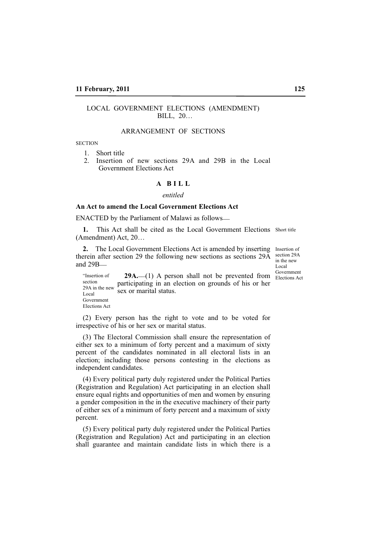## LOCAL GOVERNMENT ELECTIONS (AMENDMENT) BILL, 20…

# ARRANGEMENT OF SECTIONS

**SECTION** 

1. Short title

2. Insertion of new sections 29A and 29B in the Local Government Elections Act

#### **A B I L L**

*entitled*

#### **An Act to amend the Local Government Elections Act**

ENACTED by the Parliament of Malawi as follows\_\_

1. This Act shall be cited as the Local Government Elections Short title (Amendment) Act, 20…

2. The Local Government Elections Act is amended by inserting Insertion of therein after section 29 the following new sections as sections 29A and 29B\_\_

section 29A in the new Local

"Insertion of **29A.** (1) A person shall not be prevented from **Elections** Act "Insertion of **29A.** (1) A person shall not be prevented from **Elections** Act participating in an election on grounds of his or her sex or marital status. section 29A in the new Local Government Elections Act

(2) Every person has the right to vote and to be voted for irrespective of his or her sex or marital status.

(3) The Electoral Commission shall ensure the representation of either sex to a minimum of forty percent and a maximum of sixty percent of the candidates nominated in all electoral lists in an election; including those persons contesting in the elections as independent candidates.

(4) Every political party duly registered under the Political Parties (Registration and Regulation) Act participating in an election shall ensure equal rights and opportunities of men and women by ensuring a gender composition in the in the executive machinery of their party of either sex of a minimum of forty percent and a maximum of sixty percent.

(5) Every political party duly registered under the Political Parties (Registration and Regulation) Act and participating in an election shall guarantee and maintain candidate lists in which there is a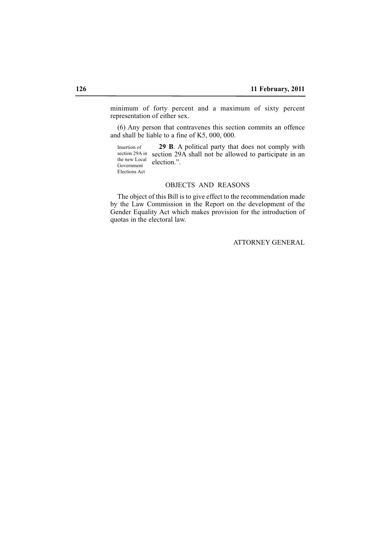minimum of forty percent and a maximum of sixty percent representation of either sex.

(6) Any person that contravenes this section commits an offence and shall be liable to a fine of K5, 000, 000.

**29 B**. A political party that does not comply with section 29A in section 29A shall not be allowed to participate in an election.". Insertion of the new Local Government Elections Act

# OBJECTS AND REASONS

The object of this Bill is to give effect to the recommendation made by the Law Commission in the Report on the development of the Gender Equality Act which makes provision for the introduction of quotas in the electoral law.

# ATTORNEY GENERAL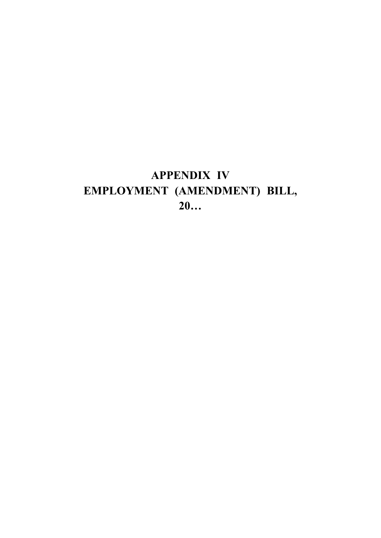# **APPENDIX IV** EMPLOYMENT (AMENDMENT) BILL,  $20...$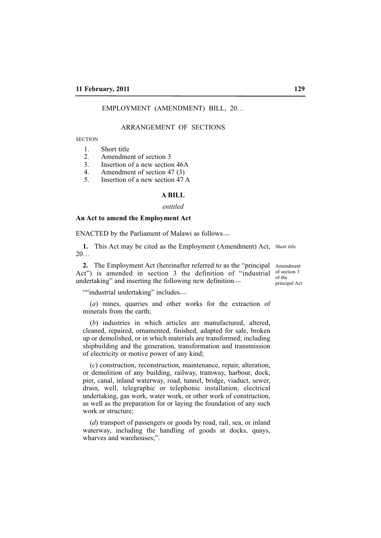EMPLOYMENT (AMENDMENT) BILL, 20…

#### ARRANGEMENT OF SECTIONS

**SECTION** 

- 1. Short title<br>2 Amendme
- Amendment of section 3
- 3. Insertion of a new section 46A
- 4. Amendment of section 47  $(3)$ <br>5 Insertion of a new section 47
- 5. Insertion of a new section 47 A

#### **A BILL**

#### *entitled*

#### **An Act to amend the Employment Act**

ENACTED by the Parliament of Malawi as follows\_\_

1. This Act may be cited as the Employment (Amendment) Act, Short title 20…

**2.** The Employment Act (hereinafter referred to as the "principal Amendment Act") is amended in section 3 the definition of "industrial of section 3 undertaking" and inserting the following new definition—

of the principal Act

""industrial undertaking" includes—

(*a*) mines, quarries and other works for the extraction of minerals from the earth;

(*b*) industries in which articles are manufactured, altered, cleaned, repaired, ornamented, finished, adapted for sale, broken up or demolished, or in which materials are transformed; including shipbuilding and the generation, transformation and transmission of electricity or motive power of any kind;

(*c*) construction, reconstruction, maintenance, repair, alteration, or demolition of any building, railway, tramway, harbour, dock, pier, canal, inland waterway, road, tunnel, bridge, viaduct, sewer, drain, well, telegraphic or telephonic installation, electrical undertaking, gas work, water work, or other work of construction, as well as the preparation for or laying the foundation of any such work or structure;

(*d*) transport of passengers or goods by road, rail, sea, or inland waterway, including the handling of goods at docks, quays, wharves and warehouses;".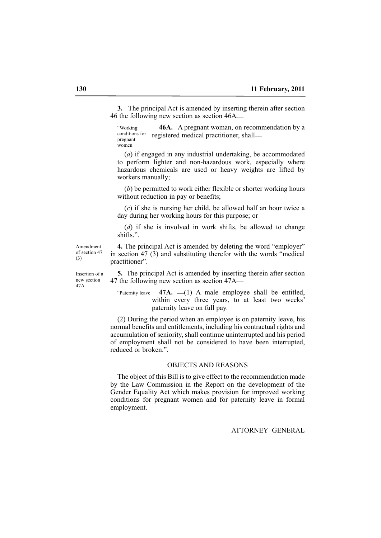**3.** The principal Act is amended by inserting therein after section 46 the following new section as section 46A\_\_

**46A.** A pregnant woman, on recommendation by a registered medical practitioner, shall\_\_ "Working conditions for pregnant women

(*a*) if engaged in any industrial undertaking, be accommodated to perform lighter and non-hazardous work, especially where hazardous chemicals are used or heavy weights are lifted by workers manually;

(*b*) be permitted to work either flexible or shorter working hours without reduction in pay or benefits;

(*c*) if she is nursing her child, be allowed half an hour twice a day during her working hours for this purpose; or

(*d*) if she is involved in work shifts, be allowed to change shifts.".

Amendment of section 47 (3)

**4.** The principal Act is amended by deleting the word "employer" in section 47 (3) and substituting therefor with the words "medical practitioner".

**5.** The principal Act is amended by inserting therein after section 47 the following new section as section 47A\_\_

"Paternity leave  $47A$ .  $-(1)$  A male employee shall be entitled, within every three years, to at least two weeks' paternity leave on full pay.

(2) During the period when an employee is on paternity leave, his normal benefits and entitlements, including his contractual rights and accumulation of seniority, shall continue uninterrupted and his period of employment shall not be considered to have been interrupted, reduced or broken.".

#### OBJECTS AND REASONS

The object of this Bill is to give effect to the recommendation made by the Law Commission in the Report on the development of the Gender Equality Act which makes provision for improved working conditions for pregnant women and for paternity leave in formal employment.

ATTORNEY GENERAL

Insertion of a new section 47A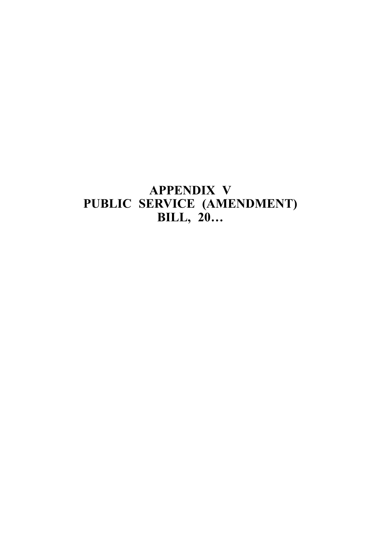# **APPENDIX V** PUBLIC SERVICE (AMENDMENT)<br>BILL, 20...